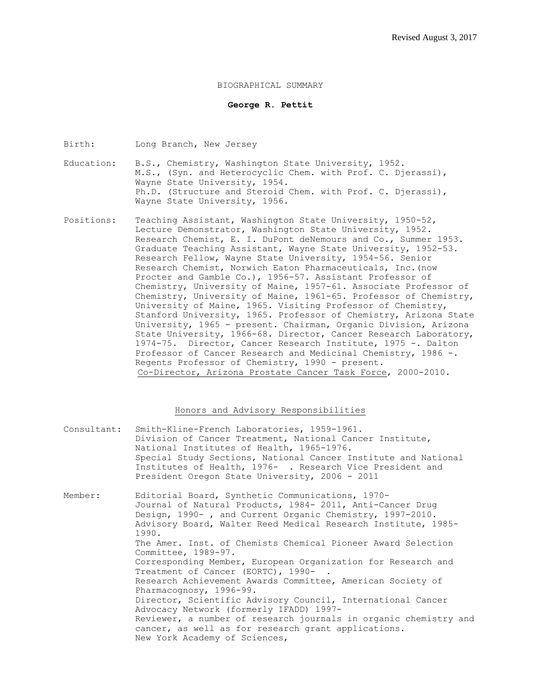#### BIOGRAPHICAL SUMMARY

### **George R. Pettit**

Birth: Long Branch, New Jersey

- Education: B.S., Chemistry, Washington State University, 1952. M.S., (Syn. and Heterocyclic Chem. with Prof. C. Djerassi), Wayne State University, 1954. Ph.D. (Structure and Steroid Chem. with Prof. C. Djerassi), Wayne State University, 1956.
- Positions: Teaching Assistant, Washington State University, 1950-52, Lecture Demonstrator, Washington State University, 1952. Research Chemist, E. I. DuPont deNemours and Co., Summer 1953. Graduate Teaching Assistant, Wayne State University, 1952-53. Research Fellow, Wayne State University, 1954-56. Senior Research Chemist, Norwich Eaton Pharmaceuticals, Inc.(now Procter and Gamble Co.), 1956-57. Assistant Professor of Chemistry, University of Maine, 1957-61. Associate Professor of Chemistry, University of Maine, 1961-65. Professor of Chemistry, University of Maine, 1965. Visiting Professor of Chemistry, Stanford University, 1965. Professor of Chemistry, Arizona State University, 1965 - present. Chairman, Organic Division, Arizona State University, 1966-68. Director, Cancer Research Laboratory, 1974-75. Director, Cancer Research Institute, 1975 -. Dalton Professor of Cancer Research and Medicinal Chemistry, 1986 -. Regents Professor of Chemistry, 1990 - present. Co-Director, Arizona Prostate Cancer Task Force, 2000-2010.

## Honors and Advisory Responsibilities

- Consultant: Smith-Kline-French Laboratories, 1959-1961. Division of Cancer Treatment, National Cancer Institute, National Institutes of Health, 1965-1976. Special Study Sections, National Cancer Institute and National Institutes of Health, 1976- . Research Vice President and President Oregon State University, 2006 - 2011
- Member: Editorial Board, Synthetic Communications, 1970- Journal of Natural Products, l984- 2011, Anti-Cancer Drug Design, 1990-, and Current Organic Chemistry, 1997-2010. Advisory Board, Walter Reed Medical Research Institute, 1985- 1990. The Amer. Inst. of Chemists Chemical Pioneer Award Selection Committee, 1989-97. Corresponding Member, European Organization for Research and Treatment of Cancer (EORTC), 1990-. Research Achievement Awards Committee, American Society of Pharmacognosy, 1996-99. Director, Scientific Advisory Council, International Cancer Advocacy Network (formerly IFADD) 1997- Reviewer, a number of research journals in organic chemistry and cancer, as well as for research grant applications. New York Academy of Sciences,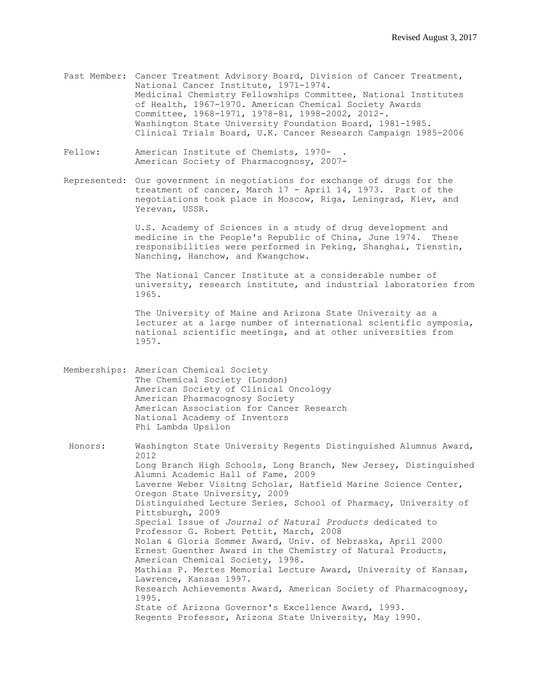- Past Member: Cancer Treatment Advisory Board, Division of Cancer Treatment, National Cancer Institute, 1971-1974. Medicinal Chemistry Fellowships Committee, National Institutes of Health, 1967-1970. American Chemical Society Awards Committee, 1968-1971, 1978-81, 1998-2002, 2012-. Washington State University Foundation Board, 1981-1985. Clinical Trials Board, U.K. Cancer Research Campaign 1985-2006
- Fellow: American Institute of Chemists, 1970-American Society of Pharmacognosy, 2007-
- Represented: Our government in negotiations for exchange of drugs for the treatment of cancer, March 17 - April 14, 1973. Part of the negotiations took place in Moscow, Riga, Leningrad, Kiev, and Yerevan, USSR.

U.S. Academy of Sciences in a study of drug development and medicine in the People's Republic of China, June 1974. These responsibilities were performed in Peking, Shanghai, Tienstin, Nanching, Hanchow, and Kwangchow.

The National Cancer Institute at a considerable number of university, research institute, and industrial laboratories from 1965.

The University of Maine and Arizona State University as a lecturer at a large number of international scientific symposia, national scientific meetings, and at other universities from 1957.

Memberships: American Chemical Society The Chemical Society (London) American Society of Clinical Oncology American Pharmacognosy Society American Association for Cancer Research National Academy of Inventors Phi Lambda Upsilon

Honors: Washington State University Regents Distinguished Alumnus Award, 2012 Long Branch High Schools, Long Branch, New Jersey, Distinguished Alumni Academic Hall of Fame, 2009 Laverne Weber Visitng Scholar, Hatfield Marine Science Center, Oregon State University, 2009 Distinguished Lecture Series, School of Pharmacy, University of Pittsburgh, 2009 Special Issue of *Journal of Natural Products* dedicated to Professor G. Robert Pettit, March, 2008 Nolan & Gloria Sommer Award, Univ. of Nebraska, April 2000 Ernest Guenther Award in the Chemistry of Natural Products, American Chemical Society, 1998. Mathias P. Mertes Memorial Lecture Award, University of Kansas, Lawrence, Kansas 1997. Research Achievements Award, American Society of Pharmacognosy, 1995. State of Arizona Governor's Excellence Award, 1993. Regents Professor, Arizona State University, May 1990.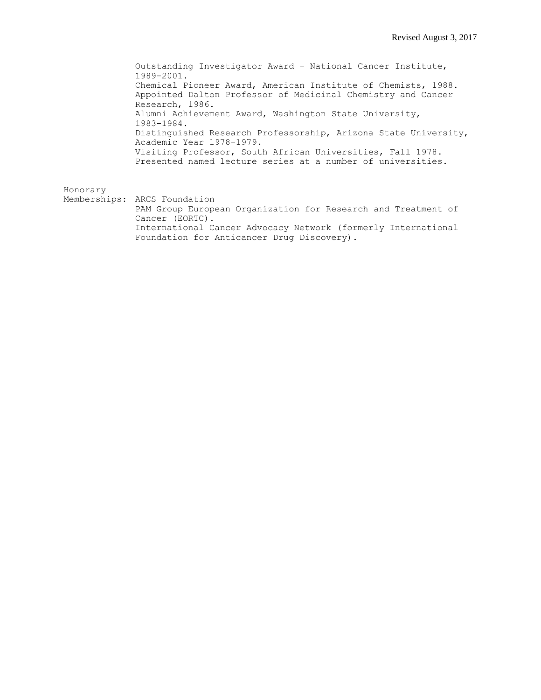Outstanding Investigator Award - National Cancer Institute, 1989-2001. Chemical Pioneer Award, American Institute of Chemists, 1988. Appointed Dalton Professor of Medicinal Chemistry and Cancer Research, 1986. Alumni Achievement Award, Washington State University, 1983-1984. Distinguished Research Professorship, Arizona State University, Academic Year 1978-1979. Visiting Professor, South African Universities, Fall 1978. Presented named lecture series at a number of universities.

Honorary

Memberships: ARCS Foundation PAM Group European Organization for Research and Treatment of Cancer (EORTC). International Cancer Advocacy Network (formerly International Foundation for Anticancer Drug Discovery).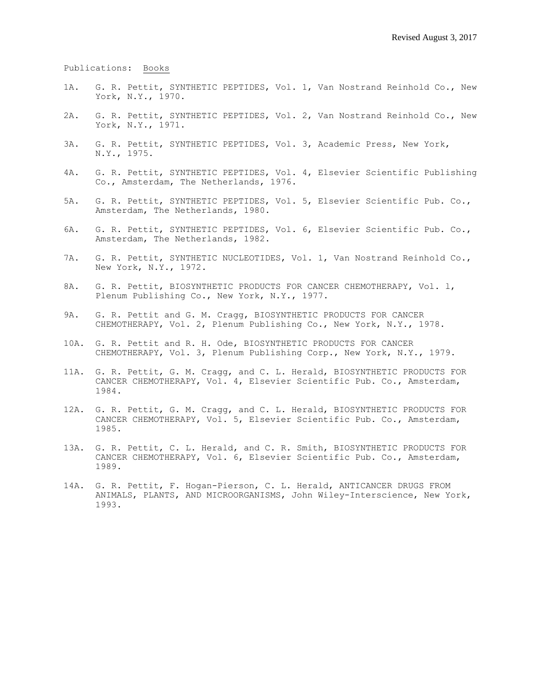Publications: Books

- 1A. G. R. Pettit, SYNTHETIC PEPTIDES, Vol. 1, Van Nostrand Reinhold Co., New York, N.Y., 1970.
- 2A. G. R. Pettit, SYNTHETIC PEPTIDES, Vol. 2, Van Nostrand Reinhold Co., New York, N.Y., 1971.
- 3A. G. R. Pettit, SYNTHETIC PEPTIDES, Vol. 3, Academic Press, New York, N.Y., 1975.
- 4A. G. R. Pettit, SYNTHETIC PEPTIDES, Vol. 4, Elsevier Scientific Publishing Co., Amsterdam, The Netherlands, 1976.
- 5A. G. R. Pettit, SYNTHETIC PEPTIDES, Vol. 5, Elsevier Scientific Pub. Co., Amsterdam, The Netherlands, 1980.
- 6A. G. R. Pettit, SYNTHETIC PEPTIDES, Vol. 6, Elsevier Scientific Pub. Co., Amsterdam, The Netherlands, 1982.
- 7A. G. R. Pettit, SYNTHETIC NUCLEOTIDES, Vol. 1, Van Nostrand Reinhold Co., New York, N.Y., 1972.
- 8A. G. R. Pettit, BIOSYNTHETIC PRODUCTS FOR CANCER CHEMOTHERAPY, Vol. l, Plenum Publishing Co., New York, N.Y., 1977.
- 9A. G. R. Pettit and G. M. Cragg, BIOSYNTHETIC PRODUCTS FOR CANCER CHEMOTHERAPY, Vol. 2, Plenum Publishing Co., New York, N.Y., 1978.
- 10A. G. R. Pettit and R. H. Ode, BIOSYNTHETIC PRODUCTS FOR CANCER CHEMOTHERAPY, Vol. 3, Plenum Publishing Corp., New York, N.Y., 1979.
- 11A. G. R. Pettit, G. M. Cragg, and C. L. Herald, BIOSYNTHETIC PRODUCTS FOR CANCER CHEMOTHERAPY, Vol. 4, Elsevier Scientific Pub. Co., Amsterdam, 1984.
- 12A. G. R. Pettit, G. M. Cragg, and C. L. Herald, BIOSYNTHETIC PRODUCTS FOR CANCER CHEMOTHERAPY, Vol. 5, Elsevier Scientific Pub. Co., Amsterdam, 1985.
- 13A. G. R. Pettit, C. L. Herald, and C. R. Smith, BIOSYNTHETIC PRODUCTS FOR CANCER CHEMOTHERAPY, Vol. 6, Elsevier Scientific Pub. Co., Amsterdam, 1989.
- 14A. G. R. Pettit, F. Hogan-Pierson, C. L. Herald, ANTICANCER DRUGS FROM ANIMALS, PLANTS, AND MICROORGANISMS, John Wiley-Interscience, New York, 1993.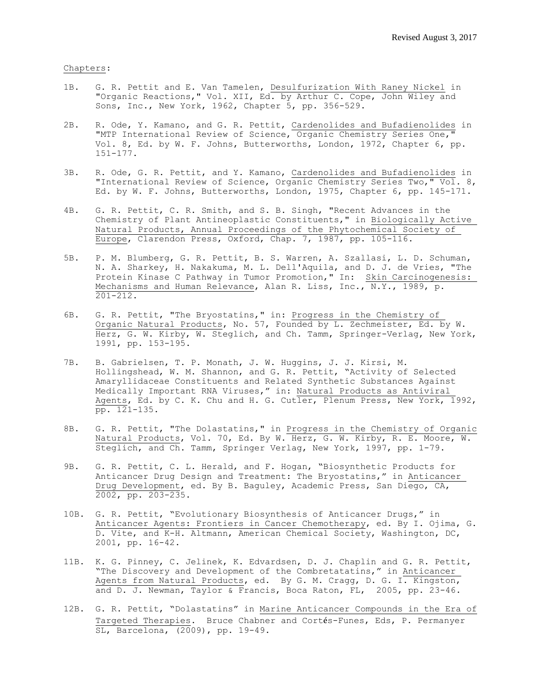### Chapters:

- 1B. G. R. Pettit and E. Van Tamelen, Desulfurization With Raney Nickel in "Organic Reactions," Vol. XII, Ed. by Arthur C. Cope, John Wiley and Sons, Inc., New York, 1962, Chapter 5, pp. 356-529.
- 2B. R. Ode, Y. Kamano, and G. R. Pettit, Cardenolides and Bufadienolides in "MTP International Review of Science, Organic Chemistry Series One," Vol. 8, Ed. by W. F. Johns, Butterworths, London, 1972, Chapter 6, pp. 151-177.
- 3B. R. Ode, G. R. Pettit, and Y. Kamano, Cardenolides and Bufadienolides in "International Review of Science, Organic Chemistry Series Two," Vol. 8, Ed. by W. F. Johns, Butterworths, London, 1975, Chapter 6, pp. 145-171.
- 4B. G. R. Pettit, C. R. Smith, and S. B. Singh, "Recent Advances in the Chemistry of Plant Antineoplastic Constituents," in Biologically Active Natural Products, Annual Proceedings of the Phytochemical Society of Europe, Clarendon Press, Oxford, Chap. 7, 1987, pp. 105-116.
- 5B. P. M. Blumberg, G. R. Pettit, B. S. Warren, A. Szallasi, L. D. Schuman, N. A. Sharkey, H. Nakakuma, M. L. Dell'Aquila, and D. J. de Vries, "The Protein Kinase C Pathway in Tumor Promotion," In: Skin Carcinogenesis: Mechanisms and Human Relevance, Alan R. Liss, Inc.,  $\overline{N.Y.}$ , 1989, p. 201-212.
- 6B. G. R. Pettit, "The Bryostatins," in: Progress in the Chemistry of Organic Natural Products, No. 57, Founded by L. Zechmeister, Ed. by W. Herz, G. W. Kirby, W. Steglich, and Ch. Tamm, Springer-Verlag, New York, 1991, pp. 153-195.
- 7B. B. Gabrielsen, T. P. Monath, J. W. Huggins, J. J. Kirsi, M. Hollingshead, W. M. Shannon, and G. R. Pettit, "Activity of Selected Amaryllidaceae Constituents and Related Synthetic Substances Against Medically Important RNA Viruses," in: Natural Products as Antiviral Agents, Ed. by C. K. Chu and H. G. Cutler, Plenum Press, New York, 1992, pp. 121-135.
- 8B. G. R. Pettit, "The Dolastatins," in Progress in the Chemistry of Organic Natural Products, Vol. 70, Ed. By W. Herz, G. W. Kirby, R. E. Moore, W. Steglich, and Ch. Tamm, Springer Verlag, New York, 1997, pp. 1-79.
- 9B. G. R. Pettit, C. L. Herald, and F. Hogan, "Biosynthetic Products for Anticancer Drug Design and Treatment: The Bryostatins," in Anticancer Drug Development, ed. By B. Baguley, Academic Press, San Diego, CA, 2002, pp. 203-235.
- 10B. G. R. Pettit, "Evolutionary Biosynthesis of Anticancer Drugs," in Anticancer Agents: Frontiers in Cancer Chemotherapy, ed. By I. Ojima, G. D. Vite, and K-H. Altmann, American Chemical Society, Washington, DC, 2001, pp. 16-42.
- 11B. K. G. Pinney, C. Jelinek, K. Edvardsen, D. J. Chaplin and G. R. Pettit, "The Discovery and Development of the Combretatatins," in Anticancer Agents from Natural Products, ed. By G. M. Cragg, D. G. I. Kingston, and D. J. Newman, Taylor & Francis, Boca Raton, FL, 2005, pp. 23-46.
- 12B. G. R. Pettit, "Dolastatins" in Marine Anticancer Compounds in the Era of Targeted Therapies. Bruce Chabner and Cortés-Funes, Eds, P. Permanyer SL, Barcelona, (2009), pp. 19-49.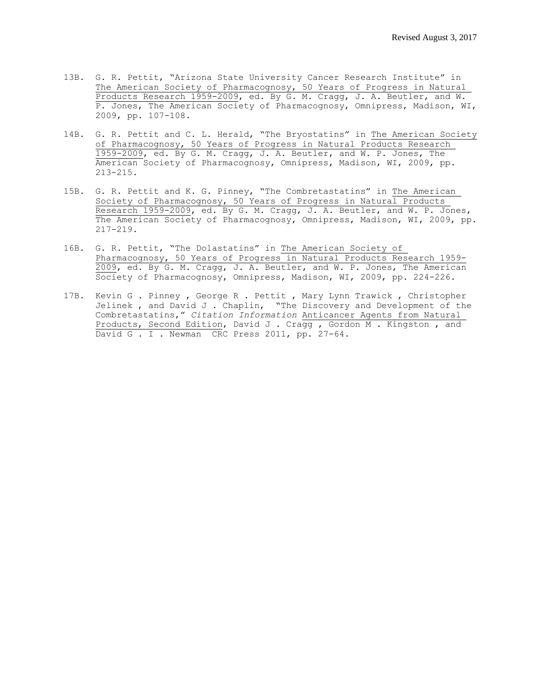- 13B. G. R. Pettit, "Arizona State University Cancer Research Institute" in The American Society of Pharmacognosy, 50 Years of Progress in Natural Products Research 1959-2009, ed. By G. M. Cragg, J. A. Beutler, and W. P. Jones, The American Society of Pharmacognosy, Omnipress, Madison, WI, 2009, pp. 107-108.
- 14B. G. R. Pettit and C. L. Herald, "The Bryostatins" in The American Society of Pharmacognosy, 50 Years of Progress in Natural Products Research 1959-2009, ed. By G. M. Cragg, J. A. Beutler, and W. P. Jones, The American Society of Pharmacognosy, Omnipress, Madison, WI, 2009, pp. 213-215.
- 15B. G. R. Pettit and K. G. Pinney, "The Combretastatins" in The American Society of Pharmacognosy, 50 Years of Progress in Natural Products Research 1959-2009, ed. By G. M. Cragg, J. A. Beutler, and W. P. Jones, The American Society of Pharmacognosy, Omnipress, Madison, WI, 2009, pp. 217-219.
- 16B. G. R. Pettit, "The Dolastatins" in The American Society of Pharmacognosy, 50 Years of Progress in Natural Products Research 1959- 2009, ed. By G. M. Cragg, J. A. Beutler, and W. P. Jones, The American Society of Pharmacognosy, Omnipress, Madison, WI, 2009, pp. 224-226.
- 17B. Kevin G . Pinney , George R . Pettit , Mary Lynn Trawick , Christopher Jelinek , and David J . Chaplin, "The Discovery and Development of the Combretastatins," *Citation Information* Anticancer Agents from Natural Products, Second Edition, David J . Cragg , Gordon M . Kingston , and David G . I . Newman CRC Press 2011, pp. 27-64.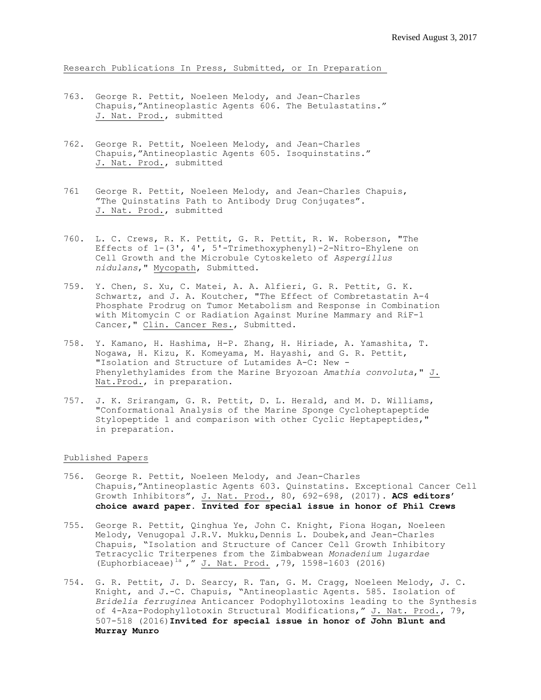Research Publications In Press, Submitted, or In Preparation

- 763. George R. Pettit, Noeleen Melody, and Jean-Charles Chapuis,"Antineoplastic Agents 606. The Betulastatins." J. Nat. Prod., submitted
- 762. George R. Pettit, Noeleen Melody, and Jean-Charles Chapuis,"Antineoplastic Agents 605. Isoquinstatins." J. Nat. Prod., submitted
- 761 George R. Pettit, Noeleen Melody, and Jean-Charles Chapuis, "The Quinstatins Path to Antibody Drug Conjugates". J. Nat. Prod., submitted
- 760. L. C. Crews, R. K. Pettit, G. R. Pettit, R. W. Roberson, "The Effects of 1-(3', 4', 5'-Trimethoxyphenyl)-2-Nitro-Ehylene on Cell Growth and the Microbule Cytoskeleto of *Aspergillus nidulans*," Mycopath, Submitted.
- 759. Y. Chen, S. Xu, C. Matei, A. A. Alfieri, G. R. Pettit, G. K. Schwartz, and J. A. Koutcher, "The Effect of Combretastatin A-4 Phosphate Prodrug on Tumor Metabolism and Response in Combination with Mitomycin C or Radiation Against Murine Mammary and RiF-1 Cancer," Clin. Cancer Res., Submitted.
- 758. Y. Kamano, H. Hashima, H-P. Zhang, H. Hiriade, A. Yamashita, T. Nogawa, H. Kizu, K. Komeyama, M. Hayashi, and G. R. Pettit, "Isolation and Structure of Lutamides A-C: New - Phenylethylamides from the Marine Bryozoan *Amathia convoluta*," J. Nat.Prod., in preparation.
- 757. J. K. Srirangam, G. R. Pettit, D. L. Herald, and M. D. Williams, "Conformational Analysis of the Marine Sponge Cycloheptapeptide Stylopeptide 1 and comparison with other Cyclic Heptapeptides," in preparation.

# Published Papers

- 756. George R. Pettit, Noeleen Melody, and Jean-Charles Chapuis,"Antineoplastic Agents 603. Quinstatins. Exceptional Cancer Cell Growth Inhibitors", J. Nat. Prod., 80, 692-698, (2017). **ACS editors' choice award paper. Invited for special issue in honor of Phil Crews**
- 755. George R. Pettit, Qinghua Ye, John C. Knight, Fiona Hogan, Noeleen Melody, Venugopal J.R.V. Mukku, Dennis L. Doubek, and Jean-Charles Chapuis, "Isolation and Structure of Cancer Cell Growth Inhibitory Tetracyclic Triterpenes from the Zimbabwean *Monadenium lugardae* (Euphorbiaceae)<sup>1a</sup>, " J. Nat. Prod. , 79, 1598-1603 (2016)
- 754. G. R. Pettit, J. D. Searcy, R. Tan, G. M. Cragg, Noeleen Melody, J. C. Knight, and J.-C. Chapuis, "Antineoplastic Agents. 585. Isolation of *Bridelia ferruginea* Anticancer Podophyllotoxins leading to the Synthesis of 4-Aza-Podophyllotoxin Structural Modifications," J. Nat. Prod., 79, 507-518 (2016)**Invited for special issue in honor of John Blunt and Murray Munro**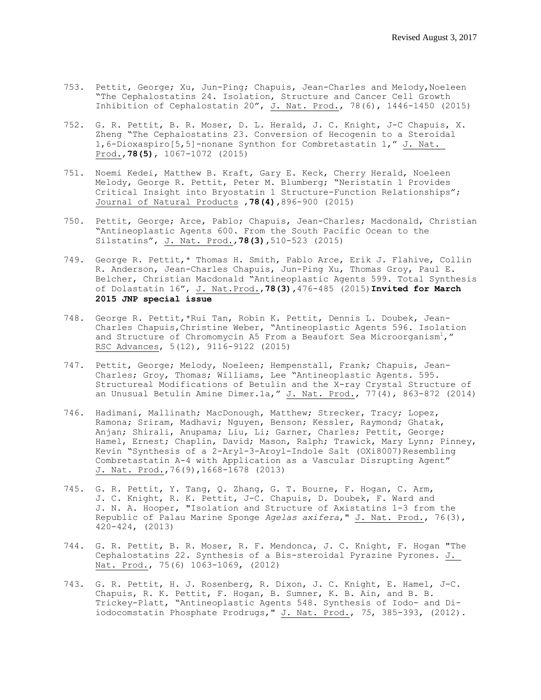- 753. Pettit, George; Xu, Jun-Ping; Chapuis, Jean-Charles and Melody, Noeleen "The Cephalostatins 24. Isolation, Structure and Cancer Cell Growth Inhibition of Cephalostatin 20", J. Nat. Prod., 78(6), 1446-1450 (2015)
- 752. G. R. Pettit, B. R. Moser, D. L. Herald, J. C. Knight, J-C Chapuis, X. Zheng "The Cephalostatins 23. Conversion of Hecogenin to a Steroidal 1,6-Dioxaspiro[5,5]-nonane Synthon for Combretastatin 1," J. Nat. Prod.,**78(5)**, 1067-1072 (2015)
- 751. Noemi Kedei, Matthew B. Kraft, Gary E. Keck, Cherry Herald, Noeleen Melody, George R. Pettit, Peter M. Blumberg; "Neristatin 1 Provides Critical Insight into Bryostatin 1 Structure-Function Relationships"; Journal of Natural Products ,**78(4),**896-900 (2015)
- 750. Pettit, George; Arce, Pablo; Chapuis, Jean-Charles; Macdonald, Christian "Antineoplastic Agents 600. From the South Pacific Ocean to the Silstatins", J. Nat. Prod.,**78(3),**510-523 (2015)
- 749. George R. Pettit,\* Thomas H. Smith, Pablo Arce, Erik J. Flahive, Collin R. Anderson, Jean-Charles Chapuis, Jun-Ping Xu, Thomas Groy, Paul E. Belcher, Christian Macdonald "Antineoplastic Agents 599. Total Synthesis of Dolastatin 16", J. Nat.Prod.,**78(3),**476-485 (2015)**Invited for March 2015 JNP special issue**
- 748. George R. Pettit,\*Rui Tan, Robin K. Pettit, Dennis L. Doubek, Jean-Charles Chapuis,Christine Weber, "Antineoplastic Agents 596. Isolation and Structure of Chromomycin A5 From a Beaufort Sea Microorganism<sup>1</sup>," RSC Advances, 5(12), 9116-9122 (2015)
- 747. Pettit, George; Melody, Noeleen; Hempenstall, Frank; Chapuis, Jean-Charles; Groy, Thomas; Williams, Lee "Antineoplastic Agents. 595. Structureal Modifications of Betulin and the X-ray Crystal Structure of an Unusual Betulin Amine Dimer.1a," J. Nat. Prod., 77(4), 863-872 (2014)
- 746. Hadimani, Mallinath; MacDonough, Matthew; Strecker, Tracy; Lopez, Ramona; Sriram, Madhavi; Nguyen, Benson; Kessler, Raymond; Ghatak, Anjan; Shirali, Anupama; Liu, Li; Garner, Charles; Pettit, George; Hamel, Ernest; Chaplin, David; Mason, Ralph; Trawick, Mary Lynn; Pinney, Kevin "Synthesis of a 2-Aryl-3-Aroyl-Indole Salt (OXi8007)Resembling Combretastatin A-4 with Application as a Vascular Disrupting Agent" J. Nat. Prod.,76(9),1668-1678 (2013)
- 745. G. R. Pettit, Y. Tang, Q. Zhang, G. T. Bourne, F. Hogan, C. Arm, J. C. Knight, R. K. Pettit, J-C. Chapuis, D. Doubek, F. Ward and J. N. A. Hooper, "Isolation and Structure of Axistatins 1-3 from the Republic of Palau Marine Sponge *Agelas axifera*," J. Nat. Prod., 76(3), 420-424, (2013)
- 744. G. R. Pettit, B. R. Moser, R. F. Mendonca, J. C. Knight, F. Hogan "The Cephalostatins 22. Synthesis of a Bis-steroidal Pyrazine Pyrones. J. Nat. Prod., 75(6) 1063-1069, (2012)
- 743. G. R. Pettit, H. J. Rosenberg, R. Dixon, J. C. Knight, E. Hamel, J-C. Chapuis, R. K. Pettit, F. Hogan, B. Sumner, K. B. Ain, and B. B. Trickey-Platt, "Antineoplastic Agents 548. Synthesis of Iodo- and Diiodocomstatin Phosphate Prodrugs," J. Nat. Prod., *75*, 385-393, (2012).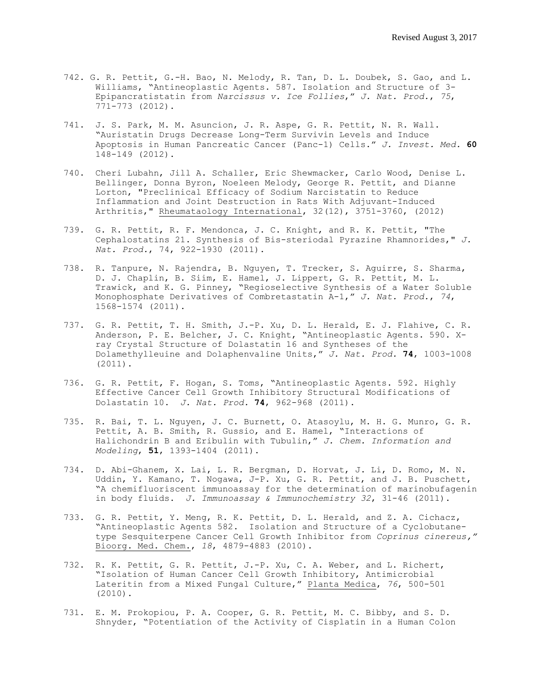- 742. G. R. Pettit, G.-H. Bao, N. Melody, R. Tan, D. L. Doubek, S. Gao, and L. Williams, "Antineoplastic Agents. 587. Isolation and Structure of 3- Epipancratistatin from *Narcissus v. Ice Follies*," *J. Nat. Prod.*, *75*, 771-773 (2012).
- 741. J. S. Park, M. M. Asuncion, J. R. Aspe, G. R. Pettit, N. R. Wall. "Auristatin Drugs Decrease Long-Term Survivin Levels and Induce Apoptosis in Human Pancreatic Cancer (Panc-1) Cells." *J. Invest. Med.* **60** 148-149 (2012).
- 740. Cheri Lubahn, Jill A. Schaller, Eric Shewmacker, Carlo Wood, Denise L. Bellinger, Donna Byron, Noeleen Melody, George R. Pettit, and Dianne Lorton, "Preclinical Efficacy of Sodium Narcistatin to Reduce Inflammation and Joint Destruction in Rats With Adjuvant-Induced Arthritis," Rheumataology International, 32(12), 3751-3760, (2012)
- 739. G. R. Pettit, R. F. Mendonca, J. C. Knight, and R. K. Pettit, "The Cephalostatins 21. Synthesis of Bis-steriodal Pyrazine Rhamnorides," *J. Nat. Prod.*, 74, 922-1930 (2011).
- 738. R. Tanpure, N. Rajendra, B. Nguyen, T. Trecker, S. Aguirre, S. Sharma, D. J. Chaplin, B. Siim, E. Hamel, J. Lippert, G. R. Pettit, M. L. Trawick, and K. G. Pinney, "Regioselective Synthesis of a Water Soluble Monophosphate Derivatives of Combretastatin A-1," *J. Nat. Prod.*, *74*, 1568-1574 (2011).
- 737. G. R. Pettit, T. H. Smith, J.-P. Xu, D. L. Herald, E. J. Flahive, C. R. Anderson, P. E. Belcher, J. C. Knight, "Antineoplastic Agents. 590. Xray Crystal Structure of Dolastatin 16 and Syntheses of the Dolamethylleuine and Dolaphenvaline Units," *J. Nat. Prod.* **74**, 1003-1008 (2011).
- 736. G. R. Pettit, F. Hogan, S. Toms, "Antineoplastic Agents. 592. Highly Effective Cancer Cell Growth Inhibitory Structural Modifications of Dolastatin 10. *J. Nat. Prod.* **74**, 962-968 (2011).
- 735. R. Bai, T. L. Nguyen, J. C. Burnett, O. Atasoylu, M. H. G. Munro, G. R. Pettit, A. B. Smith, R. Gussio, and E. Hamel, "Interactions of Halichondrin B and Eribulin with Tubulin," *J. Chem. Information and Modeling*, **51**, 1393-1404 (2011).
- 734. D. Abi-Ghanem, X. Lai, L. R. Bergman, D. Horvat, J. Li, D. Romo, M. N. Uddin, Y. Kamano, T. Nogawa, J-P. Xu, G. R. Pettit, and J. B. Puschett, "A chemifluoriscent immunoassay for the determination of marinobufagenin in body fluids. *J. Immunoassay & Immunochemistry 32*, 31-46 (2011).
- 733. G. R. Pettit, Y. Meng, R. K. Pettit, D. L. Herald, and Z. A. Cichacz, "Antineoplastic Agents 582. Isolation and Structure of a Cyclobutanetype Sesquiterpene Cancer Cell Growth Inhibitor from *Coprinus cinereus,"* Bioorg. Med. Chem., *18*, 4879-4883 (2010).
- 732. R. K. Pettit, G. R. Pettit, J.-P. Xu, C. A. Weber, and L. Richert, "Isolation of Human Cancer Cell Growth Inhibitory, Antimicrobial Lateritin from a Mixed Fungal Culture," Planta Medica, *76*, 500-501 (2010).
- 731. E. M. Prokopiou, P. A. Cooper, G. R. Pettit, M. C. Bibby, and S. D. Shnyder, "Potentiation of the Activity of Cisplatin in a Human Colon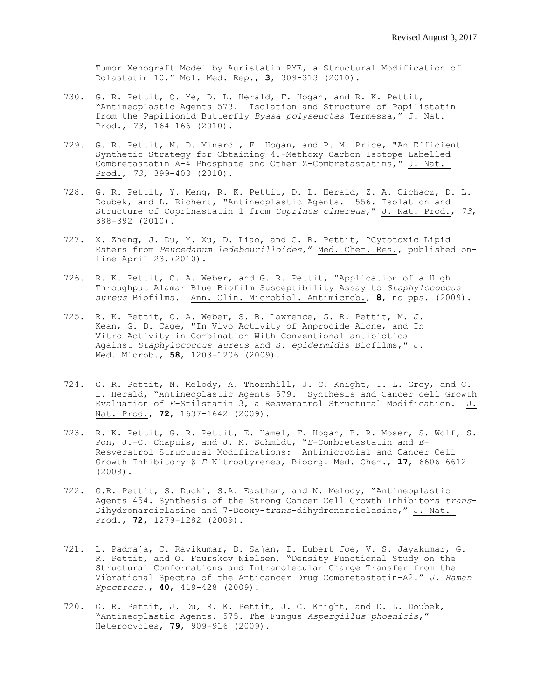Tumor Xenograft Model by Auristatin PYE, a Structural Modification of Dolastatin 10," Mol. Med. Rep., **3**, 309-313 (2010).

- 730. G. R. Pettit, Q. Ye, D. L. Herald, F. Hogan, and R. K. Pettit, "Antineoplastic Agents 573. Isolation and Structure of Papilistatin from the Papilionid Butterfly *Byasa polyseuctas* Termessa," J. Nat. Prod., *73*, 164-166 (2010).
- 729. G. R. Pettit, M. D. Minardi, F. Hogan, and P. M. Price, "An Efficient Synthetic Strategy for Obtaining 4.-Methoxy Carbon Isotope Labelled Combretastatin A-4 Phosphate and Other Z-Combretastatins," J. Nat. Prod., *73*, 399-403 (2010).
- 728. G. R. Pettit, Y. Meng, R. K. Pettit, D. L. Herald, Z. A. Cichacz, D. L. Doubek, and L. Richert, "Antineoplastic Agents. 556. Isolation and Structure of Coprinastatin 1 from *Coprinus cinereus*," J. Nat. Prod., *73*, 388-392 (2010).
- 727. X. Zheng, J. Du, Y. Xu, D. Liao, and G. R. Pettit, "Cytotoxic Lipid Esters from *Peucedanum ledebourilloides*," Med. Chem. Res., published online April 23,(2010).
- 726. R. K. Pettit, C. A. Weber, and G. R. Pettit, "Application of a High Throughput Alamar Blue Biofilm Susceptibility Assay to *Staphylococcus aureus* Biofilms. Ann. Clin. Microbiol. Antimicrob., **8**, no pps. (2009).
- 725. R. K. Pettit, C. A. Weber, S. B. Lawrence, G. R. Pettit, M. J. Kean, G. D. Cage, "In Vivo Activity of Anprocide Alone, and In Vitro Activity in Combination With Conventional antibiotics Against *Staphylococcus aureus* and S. *epidermidis* Biofilms," J. Med. Microb., **58**, 1203-1206 (2009).
- 724**.** G. R. Pettit, N. Melody, A. Thornhill, J. C. Knight, T. L. Groy, and C. L. Herald, "Antineoplastic Agents 579. Synthesis and Cancer cell Growth Evaluation of *E*-Stilstatin 3, a Resveratrol Structural Modification. J. Nat. Prod., **72**, 1637-1642 (2009).
- 723. R. K. Pettit, G. R. Pettit, E. Hamel, F. Hogan, B. R. Moser, S. Wolf, S. Pon, J.-C. Chapuis, and J. M. Schmidt, "*E*-Combretastatin and *E*-Resveratrol Structural Modifications: Antimicrobial and Cancer Cell Growth Inhibitory β-*E*-Nitrostyrenes, Bioorg. Med. Chem., **17**, 6606-6612 (2009).
- 722. G.R. Pettit, S. Ducki, S.A. Eastham, and N. Melody, **"**Antineoplastic Agents 454. Synthesis of the Strong Cancer Cell Growth Inhibitors *trans*-Dihydronarciclasine and 7-Deoxy-*trans*-dihydronarciclasine," J. Nat. Prod., **72**, 1279-1282 (2009).
- 721. L. Padmaja, C. Ravikumar, D. Sajan, I. Hubert Joe, V. S. Jayakumar, G. R. Pettit, and O. Faurskov Nielsen, "Density Functional Study on the Structural Conformations and Intramolecular Charge Transfer from the Vibrational Spectra of the Anticancer Drug Combretastatin-A2." *J. Raman Spectrosc.*, **40**, 419-428 (2009).
- 720. G. R. Pettit, J. Du, R. K. Pettit, J. C. Knight, and D. L. Doubek, "Antineoplastic Agents. 575. The Fungus *Aspergillus phoenicis*," Heterocycles, **79**, 909-916 (2009).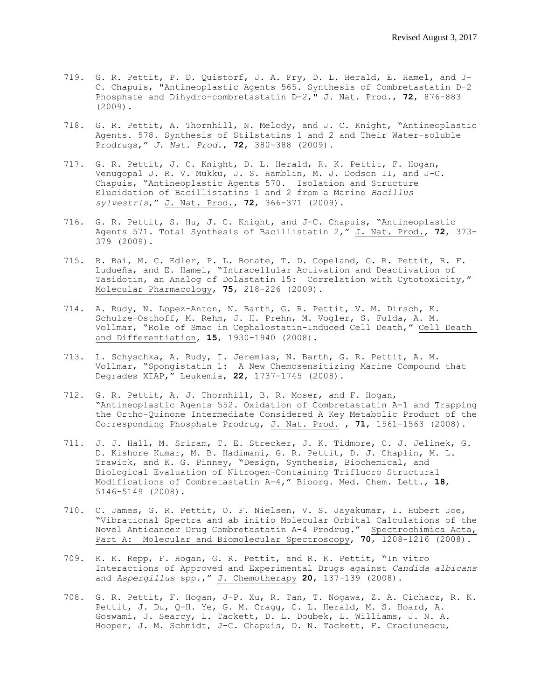- 719. G. R. Pettit, P. D. Quistorf, J. A. Fry, D. L. Herald, E. Hamel, and J-C. Chapuis, "Antineoplastic Agents 565. Synthesis of Combretastatin D-2 Phosphate and Dihydro-combretastatin D-2," J. Nat. Prod., **72**, 876-883 (2009).
- 718. G. R. Pettit, A. Thornhill, N. Melody, and J. C. Knight, "Antineoplastic Agents. 578. Synthesis of Stilstatins 1 and 2 and Their Water-soluble Prodrugs," *J. Nat. Prod.*, **72**, 380-388 (2009).
- 717. G. R. Pettit, J. C. Knight, D. L. Herald, R. K. Pettit, F. Hogan, Venugopal J. R. V. Mukku, J. S. Hamblin, M. J. Dodson II, and J-C. Chapuis, "Antineoplastic Agents 570. Isolation and Structure Elucidation of Bacillistatins 1 and 2 from a Marine *Bacillus sylvestris*," J. Nat. Prod., **72**, 366-371 (2009).
- 716. G. R. Pettit, S. Hu, J. C. Knight, and J-C. Chapuis, "Antineoplastic Agents 571. Total Synthesis of Bacillistatin 2," J. Nat. Prod., **72**, 373- 379 (2009).
- 715. R. Bai, M. C. Edler, P. L. Bonate, T. D. Copeland, G. R. Pettit, R. F. Ludueña, and E. Hamel, "Intracellular Activation and Deactivation of Tasidotin, an Analog of Dolastatin 15: Correlation with Cytotoxicity," Molecular Pharmacology, **75**, 218-226 (2009).
- 714. A. Rudy, N. Lopez-Anton, N. Barth, G. R. Pettit, V. M. Dirsch, K. Schulze-Osthoff, M. Rehm, J. H. Prehn, M. Vogler, S. Fulda, A. M. Vollmar, "Role of Smac in Cephalostatin-Induced Cell Death," Cell Death and Differentiation, **15**, 1930-1940 (2008).
- 713. L. Schyschka, A. Rudy, I. Jeremias, N. Barth, G. R. Pettit, A. M. Vollmar, "Spongistatin 1: A New Chemosensitizing Marine Compound that Degrades XIAP," Leukemia, **22**, 1737-1745 (2008).
- 712. G. R. Pettit, A. J. Thornhill, B. R. Moser, and F. Hogan, "Antineoplastic Agents 552. Oxidation of Combretastatin A-1 and Trapping the Ortho-Quinone Intermediate Considered A Key Metabolic Product of the Corresponding Phosphate Prodrug, J. Nat. Prod. , **71**, 1561-1563 (2008).
- 711. J. J. Hall, M. Sriram, T. E. Strecker, J. K. Tidmore, C. J. Jelinek, G. D. Kishore Kumar, M. B. Hadimani, G. R. Pettit, D. J. Chaplin, M. L. Trawick, and K. G. Pinney, "Design, Synthesis, Biochemical, and Biological Evaluation of Nitrogen-Containing Trifluoro Structural Modifications of Combretastatin A-4," Bioorg. Med. Chem. Lett., **18**, 5146-5149 (2008).
- 710. C. James, G. R. Pettit, O. F. Nielsen, V. S. Jayakumar, I. Hubert Joe, "Vibrational Spectra and ab initio Molecular Orbital Calculations of the Novel Anticancer Drug Combretastatin A-4 Prodrug." Spectrochimica Acta, Part A: Molecular and Biomolecular Spectroscopy, **70**, 1208-1216 (2008).
- 709. K. K. Repp, F. Hogan, G. R. Pettit, and R. K. Pettit, "In vitro Interactions of Approved and Experimental Drugs against *Candida albicans* and *Aspergillus* spp.," J. Chemotherapy **20**, 137-139 (2008).
- 708. G. R. Pettit, F. Hogan, J-P. Xu, R. Tan, T. Nogawa, Z. A. Cichacz, R. K. Pettit, J. Du, Q-H. Ye, G. M. Cragg, C. L. Herald, M. S. Hoard, A. Goswami, J. Searcy, L. Tackett, D. L. Doubek, L. Williams, J. N. A. Hooper, J. M. Schmidt, J-C. Chapuis, D. N. Tackett, F. Craciunescu,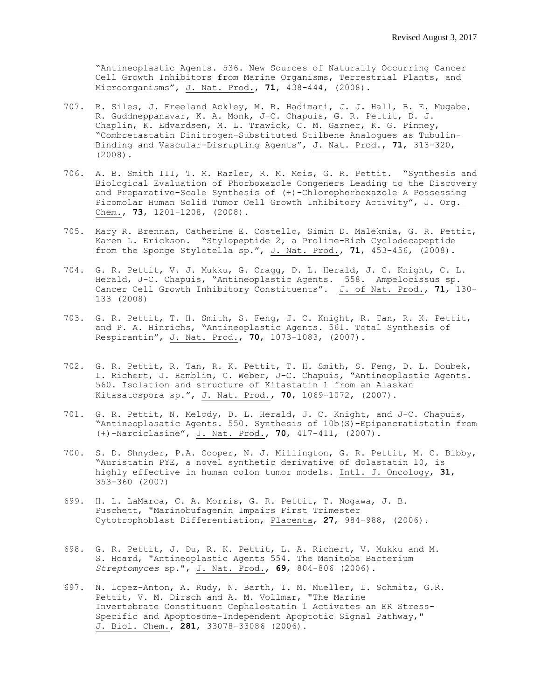"Antineoplastic Agents. 536. New Sources of Naturally Occurring Cancer Cell Growth Inhibitors from Marine Organisms, Terrestrial Plants, and Microorganisms", J. Nat. Prod., **71**, 438-444, (2008).

- 707. R. Siles, J. Freeland Ackley, M. B. Hadimani, J. J. Hall, B. E. Mugabe, R. Guddneppanavar, K. A. Monk, J-C. Chapuis, G. R. Pettit, D. J. Chaplin, K. Edvardsen, M. L. Trawick, C. M. Garner, K. G. Pinney, "Combretastatin Dinitrogen-Substituted Stilbene Analogues as Tubulin-Binding and Vascular-Disrupting Agents", J. Nat. Prod., **71**, 313-320, (2008).
- 706. A. B. Smith III, T. M. Razler, R. M. Meis, G. R. Pettit. "Synthesis and Biological Evaluation of Phorboxazole Congeners Leading to the Discovery and Preparative-Scale Synthesis of (+)-Chlorophorboxazole A Possessing Picomolar Human Solid Tumor Cell Growth Inhibitory Activity", J. Org. Chem., **73**, 1201-1208, (2008).
- 705. Mary R. Brennan, Catherine E. Costello, Simin D. Maleknia, G. R. Pettit, Karen L. Erickson. "Stylopeptide 2, a Proline-Rich Cyclodecapeptide from the Sponge Stylotella sp.", J. Nat. Prod., **71**, 453-456, (2008).
- 704. G. R. Pettit, V. J. Mukku, G. Cragg, D. L. Herald, J. C. Knight, C. L. Herald, J-C. Chapuis, "Antineoplastic Agents. 558. Ampelocissus sp. Cancer Cell Growth Inhibitory Constituents". J. of Nat. Prod., **71**, 130- 133 (2008)
- 703. G. R. Pettit, T. H. Smith, S. Feng, J. C. Knight, R. Tan, R. K. Pettit, and P. A. Hinrichs, "Antineoplastic Agents. 561. Total Synthesis of Respirantin", J. Nat. Prod., **70**, 1073-1083, (2007).
- 702. G. R. Pettit, R. Tan, R. K. Pettit, T. H. Smith, S. Feng, D. L. Doubek, L. Richert, J. Hamblin, C. Weber, J-C. Chapuis, "Antineoplastic Agents. 560. Isolation and structure of Kitastatin 1 from an Alaskan Kitasatospora sp.", J. Nat. Prod., **70**, 1069-1072, (2007).
- 701. G. R. Pettit, N. Melody, D. L. Herald, J. C. Knight, and J-C. Chapuis, "Antineoplasatic Agents. 550. Synthesis of 10b(S)-Epipancratistatin from (+)-Narciclasine", J. Nat. Prod., **70**, 417-411, (2007).
- 700. S. D. Shnyder, P.A. Cooper, N. J. Millington, G. R. Pettit, M. C. Bibby, "Auristatin PYE, a novel synthetic derivative of dolastatin 10, is highly effective in human colon tumor models. Intl. J. Oncology, **31**, 353-360 (2007)
- 699. H. L. LaMarca, C. A. Morris, G. R. Pettit, T. Nogawa, J. B. Puschett, "Marinobufagenin Impairs First Trimester Cytotrophoblast Differentiation, Placenta, **27**, 984-988, (2006).
- 698. G. R. Pettit, J. Du, R. K. Pettit, L. A. Richert, V. Mukku and M. S. Hoard, "Antineoplastic Agents 554. The Manitoba Bacterium *Streptomyces* sp.", J. Nat. Prod., **69**, 804-806 (2006).
- 697. N. Lopez-Anton, A. Rudy, N. Barth, I. M. Mueller, L. Schmitz, G.R. Pettit, V. M. Dirsch and A. M. Vollmar, "The Marine Invertebrate Constituent Cephalostatin 1 Activates an ER Stress-Specific and Apoptosome-Independent Apoptotic Signal Pathway," J. Biol. Chem., **281**, 33078-33086 (2006).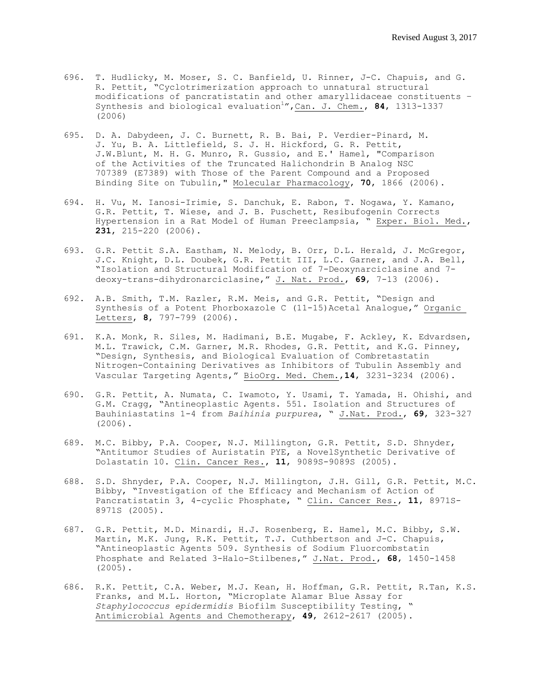- 696. T. Hudlicky, M. Moser, S. C. Banfield, U. Rinner, J-C. Chapuis, and G. R. Pettit, "Cyclotrimerization approach to unnatural structural modifications of pancratistatin and other amaryllidaceae constituents – Synthesis and biological evaluation<sup>1</sup>", Can. J. Chem., 84, 1313-1337 (2006)
- 695. D. A. Dabydeen, J. C. Burnett, R. B. Bai, P. Verdier-Pinard, M. J. Yu, B. A. Littlefield, S. J. H. Hickford, G. R. Pettit, J.W.Blunt, M. H. G. Munro, R. Gussio, and E.' Hamel, "Comparison of the Activities of the Truncated Halichondrin B Analog NSC 707389 (E7389) with Those of the Parent Compound and a Proposed Binding Site on Tubulin," Molecular Pharmacology, **70**, 1866 (2006).
- 694. H. Vu, M. Ianosi-Irimie, S. Danchuk, E. Rabon, T. Nogawa, Y. Kamano, G.R. Pettit, T. Wiese, and J. B. Puschett, Resibufogenin Corrects Hypertension in a Rat Model of Human Preeclampsia, " Exper. Biol. Med., **231**, 215-220 (2006).
- 693. G.R. Pettit S.A. Eastham, N. Melody, B. Orr, D.L. Herald, J. McGregor, J.C. Knight, D.L. Doubek, G.R. Pettit III, L.C. Garner, and J.A. Bell, "Isolation and Structural Modification of 7-Deoxynarciclasine and 7 deoxy-trans-dihydronarciclasine," J. Nat. Prod., **69**, 7-13 (2006).
- 692. A.B. Smith, T.M. Razler, R.M. Meis, and G.R. Pettit, "Design and Synthesis of a Potent Phorboxazole C (11-15)Acetal Analogue," Organic Letters, **8**, 797-799 (2006).
- 691. K.A. Monk, R. Siles, M. Hadimani, B.E. Mugabe, F. Ackley, K. Edvardsen, M.L. Trawick, C.M. Garner, M.R. Rhodes, G.R. Pettit, and K.G. Pinney, "Design, Synthesis, and Biological Evaluation of Combretastatin Nitrogen-Containing Derivatives as Inhibitors of Tubulin Assembly and Vascular Targeting Agents," BioOrg. Med. Chem.,**14**, 3231-3234 (2006).
- 690. G.R. Pettit, A. Numata, C. Iwamoto, Y. Usami, T. Yamada, H. Ohishi, and G.M. Cragg, "Antineoplastic Agents. 551. Isolation and Structures of Bauhiniastatins 1-4 from *Baihinia purpurea*, " J.Nat. Prod., **69**, 323-327 (2006).
- 689. M.C. Bibby, P.A. Cooper, N.J. Millington, G.R. Pettit, S.D. Shnyder, "Antitumor Studies of Auristatin PYE, a NovelSynthetic Derivative of Dolastatin 10. Clin. Cancer Res., **11**, 9089S-9089S (2005).
- 688. S.D. Shnyder, P.A. Cooper, N.J. Millington, J.H. Gill, G.R. Pettit, M.C. Bibby, "Investigation of the Efficacy and Mechanism of Action of Pancratistatin 3, 4-cyclic Phosphate, " Clin. Cancer Res., **11**, 8971S-8971S (2005).
- 687. G.R. Pettit, M.D. Minardi, H.J. Rosenberg, E. Hamel, M.C. Bibby, S.W. Martin, M.K. Jung, R.K. Pettit, T.J. Cuthbertson and J-C. Chapuis, "Antineoplastic Agents 509. Synthesis of Sodium Fluorcombstatin Phosphate and Related 3-Halo-Stilbenes," J.Nat. Prod., **68**, 1450-1458 (2005).
- 686. R.K. Pettit, C.A. Weber, M.J. Kean, H. Hoffman, G.R. Pettit, R.Tan, K.S. Franks, and M.L. Horton, "Microplate Alamar Blue Assay for *Staphylococcus epidermidis* Biofilm Susceptibility Testing, " Antimicrobial Agents and Chemotherapy, **49**, 2612-2617 (2005).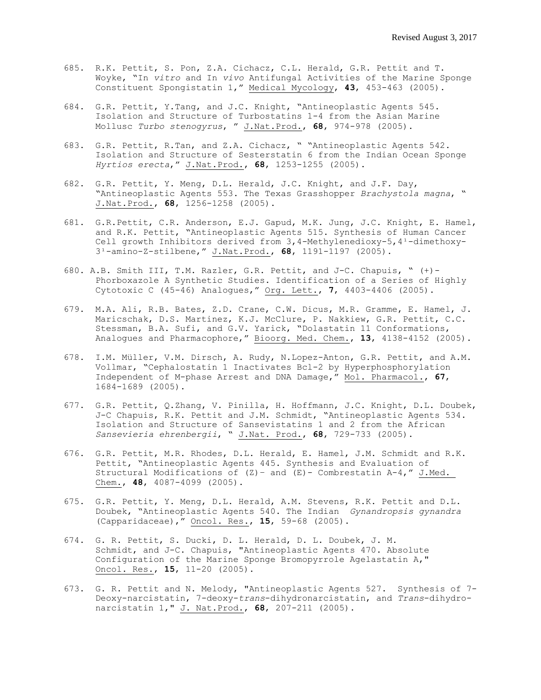- 685. R.K. Pettit, S. Pon, Z.A. Cichacz, C.L. Herald, G.R. Pettit and T. Woyke, "In *vitro* and In *vivo* Antifungal Activities of the Marine Sponge Constituent Spongistatin 1," Medical Mycology, **43**, 453-463 (2005).
- 684. G.R. Pettit, Y.Tang, and J.C. Knight, "Antineoplastic Agents 545. Isolation and Structure of Turbostatins 1-4 from the Asian Marine Mollusc *Turbo stenogyrus*, " J.Nat.Prod., **68**, 974-978 (2005).
- 683. G.R. Pettit, R.Tan, and Z.A. Cichacz, " "Antineoplastic Agents 542. Isolation and Structure of Sesterstatin 6 from the Indian Ocean Sponge *Hyrtios erecta*," J.Nat.Prod., **68**, 1253-1255 (2005).
- 682. G.R. Pettit, Y. Meng, D.L. Herald, J.C. Knight, and J.F. Day, "Antineoplastic Agents 553. The Texas Grasshopper *Brachystola magna*, " J.Nat.Prod., **68**, 1256-1258 (2005).
- 681. G.R.Pettit, C.R. Anderson, E.J. Gapud, M.K. Jung, J.C. Knight, E. Hamel, and R.K. Pettit, "Antineoplastic Agents 515. Synthesis of Human Cancer Cell growth Inhibitors derived from  $3,4$ -Methylenedioxy-5,4<sup>1</sup>-dimethoxy-3¹-amino-Z-stilbene," J.Nat.Prod., **68**, 1191-1197 (2005).
- 680. A.B. Smith III, T.M. Razler, G.R. Pettit, and J-C. Chapuis, " (+)- Phorboxazole A Synthetic Studies. Identification of a Series of Highly Cytotoxic C (45-46) Analogues," Org. Lett., **7**, 4403-4406 (2005).
- 679. M.A. Ali, R.B. Bates, Z.D. Crane, C.W. Dicus, M.R. Gramme, E. Hamel, J. Maricschak, D.S. Martinez, K.J. McClure, P. Nakkiew, G.R. Pettit, C.C. Stessman, B.A. Sufi, and G.V. Yarick, "Dolastatin 11 Conformations, Analogues and Pharmacophore," Bioorg. Med. Chem., **13**, 4138-4152 (2005).
- 678. I.M. Müller, V.M. Dirsch, A. Rudy, N.Lopez-Anton, G.R. Pettit, and A.M. Vollmar, "Cephalostatin 1 Inactivates Bcl-2 by Hyperphosphorylation Independent of M-phase Arrest and DNA Damage," Mol. Pharmacol., **67**, 1684-1689 (2005).
- 677. G.R. Pettit, Q.Zhang, V. Pinilla, H. Hoffmann, J.C. Knight, D.L. Doubek, J-C Chapuis, R.K. Pettit and J.M. Schmidt, "Antineoplastic Agents 534. Isolation and Structure of Sansevistatins 1 and 2 from the African *Sansevieria ehrenbergii*, " J.Nat. Prod., **68**, 729-733 (2005).
- 676. G.R. Pettit, M.R. Rhodes, D.L. Herald, E. Hamel, J.M. Schmidt and R.K. Pettit, "Antineoplastic Agents 445. Synthesis and Evaluation of Structural Modifications of  $(Z)$  – and  $(E)$  – Combrestatin A-4," J.Med. Chem., **48**, 4087-4099 (2005).
- 675. G.R. Pettit, Y. Meng, D.L. Herald, A.M. Stevens, R.K. Pettit and D.L. Doubek, "Antineoplastic Agents 540. The Indian *Gynandropsis gynandra*  (Capparidaceae)," Oncol. Res., **15**, 59-68 (2005).
- 674. G. R. Pettit, S. Ducki, D. L. Herald, D. L. Doubek, J. M. Schmidt, and J-C. Chapuis, "Antineoplastic Agents 470. Absolute Configuration of the Marine Sponge Bromopyrrole Agelastatin A," Oncol. Res., **15**, 11-20 (2005).
- 673. G. R. Pettit and N. Melody, "Antineoplastic Agents 527. Synthesis of 7- Deoxy-narcistatin, 7-deoxy-*trans*-dihydronarcistatin, and *Trans*-dihydronarcistatin 1," J. Nat.Prod., **68**, 207-211 (2005).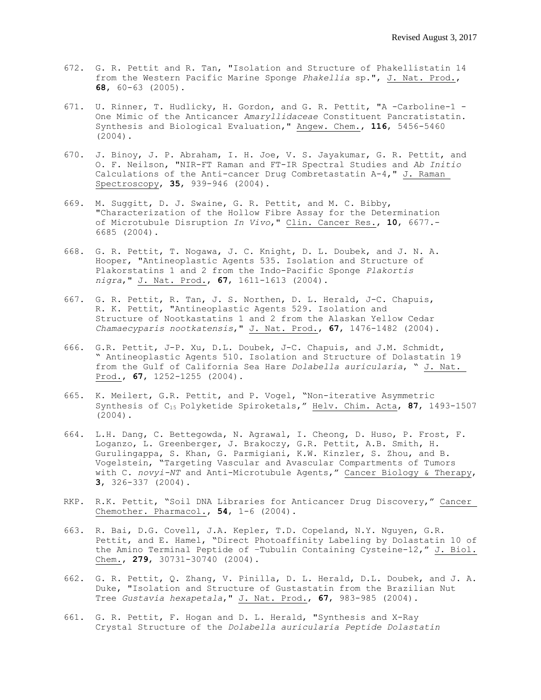- 672. G. R. Pettit and R. Tan, "Isolation and Structure of Phakellistatin 14 from the Western Pacific Marine Sponge *Phakellia* sp.", J. Nat. Prod., **68**, 60-63 (2005).
- 671. U. Rinner, T. Hudlicky, H. Gordon, and G. R. Pettit, "A -Carboline-1 One Mimic of the Anticancer *Amaryllidaceae* Constituent Pancratistatin. Synthesis and Biological Evaluation," Angew. Chem., **116**, 5456-5460 (2004).
- 670. J. Binoy, J. P. Abraham, I. H. Joe, V. S. Jayakumar, G. R. Pettit, and O. F. Neilson, "NIR-FT Raman and FT-IR Spectral Studies and *Ab Initio* Calculations of the Anti-cancer Drug Combretastatin A-4," J. Raman Spectroscopy, **35**, 939-946 (2004).
- 669. M. Suggitt, D. J. Swaine, G. R. Pettit, and M. C. Bibby, "Characterization of the Hollow Fibre Assay for the Determination of Microtubule Disruption *In Vivo*," Clin. Cancer Res., **10**, 6677.- 6685 (2004).
- 668. G. R. Pettit, T. Nogawa, J. C. Knight, D. L. Doubek, and J. N. A. Hooper, "Antineoplastic Agents 535. Isolation and Structure of Plakorstatins 1 and 2 from the Indo-Pacific Sponge *Plakortis nigra*," J. Nat. Prod., **67**, 1611-1613 (2004).
- 667. G. R. Pettit, R. Tan, J. S. Northen, D. L. Herald, J-C. Chapuis, R. K. Pettit, "Antineoplastic Agents 529. Isolation and Structure of Nootkastatins 1 and 2 from the Alaskan Yellow Cedar *Chamaecyparis nootkatensis*," J. Nat. Prod., **67**, 1476-1482 (2004).
- 666. G.R. Pettit, J-P. Xu, D.L. Doubek, J-C. Chapuis, and J.M. Schmidt, " Antineoplastic Agents 510. Isolation and Structure of Dolastatin 19 from the Gulf of California Sea Hare *Dolabella auricularia*, " J. Nat. Prod., **67**, 1252-1255 (2004).
- 665. K. Meilert, G.R. Pettit, and P. Vogel, "Non-iterative Asymmetric Synthesis of C<sup>15</sup> Polyketide Spiroketals," Helv. Chim. Acta, **87**, 1493-1507 (2004).
- 664. L.H. Dang, C. Bettegowda, N. Agrawal, I. Cheong, D. Huso, P. Frost, F. Loganzo, L. Greenberger, J. Brakoczy, G.R. Pettit, A.B. Smith, H. Gurulingappa, S. Khan, G. Parmigiani, K.W. Kinzler, S. Zhou, and B. Vogelstein, "Targeting Vascular and Avascular Compartments of Tumors with C. *novyi-NT* and Anti-Microtubule Agents," Cancer Biology & Therapy, **3**, 326-337 (2004).
- RKP. R.K. Pettit, "Soil DNA Libraries for Anticancer Drug Discovery," Cancer Chemother. Pharmacol., **54**, 1-6 (2004).
- 663. R. Bai, D.G. Covell, J.A. Kepler, T.D. Copeland, N.Y. Nguyen, G.R. Pettit, and E. Hamel, "Direct Photoaffinity Labeling by Dolastatin 10 of the Amino Terminal Peptide of –Tubulin Containing Cysteine-12," J. Biol. Chem., **279**, 30731-30740 (2004).
- 662. G. R. Pettit, Q. Zhang, V. Pinilla, D. L. Herald, D.L. Doubek, and J. A. Duke, "Isolation and Structure of Gustastatin from the Brazilian Nut Tree *Gustavia hexapetala*," J. Nat. Prod., **67**, 983-985 (2004).
- 661. G. R. Pettit, F. Hogan and D. L. Herald, "Synthesis and X-Ray Crystal Structure of the *Dolabella auricularia Peptide Dolastatin*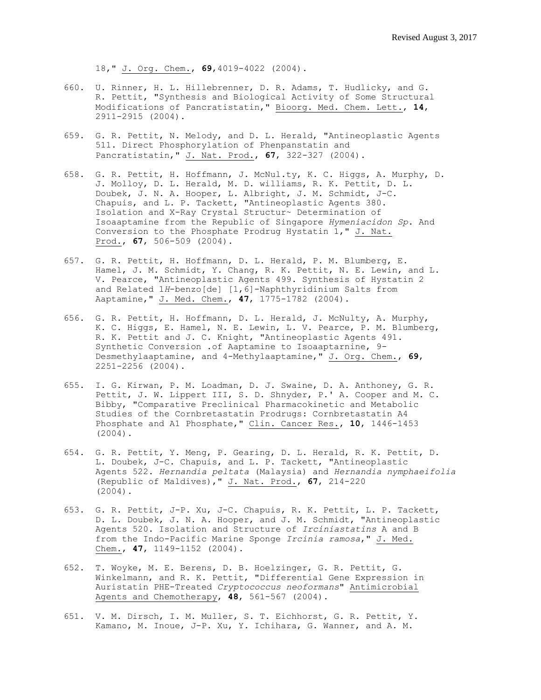18," J. Org. Chem., **69**,4019-4022 (2004).

- 660. U. Rinner, H. L. Hillebrenner, D. R. Adams, T. Hudlicky, and G. R. Pettit, "Synthesis and Biological Activity of Some Structural Modifications of Pancratistatin," Bioorg. Med. Chem. Lett., **14**, 2911-2915 (2004).
- 659. G. R. Pettit, N. Melody, and D. L. Herald, "Antineoplastic Agents 511. Direct Phosphorylation of Phenpanstatin and Pancratistatin," J. Nat. Prod., **67**, 322-327 (2004).
- 658. G. R. Pettit, H. Hoffmann, J. McNul.ty, K. C. Higgs, A. Murphy, D. J. Molloy, D. L. Herald, M. D. williams, R. K. Pettit, D. L. Doubek, J. N. A. Hooper, L. Albright, J. M. Schmidt, J-C. Chapuis, and L. P. Tackett, "Antineoplastic Agents 380. Isolation and X-Ray Crystal Structur~ Determination of Isoaaptamine from the Republic of Singapore *Hymeniacidon Sp*. And Conversion to the Phosphate Prodrug Hystatin 1," J. Nat. Prod., **67**, 506-509 (2004).
- 657. G. R. Pettit, H. Hoffmann, D. L. Herald, P. M. Blumberg, E. Hamel, J. M. Schmidt, Y. Chang, R. K. Pettit, N. E. Lewin, and L. V. Pearce, "Antineoplastic Agents 499. Synthesis of Hystatin 2 and Related 1*H*-benzo[de] [1,6]-Naphthyridinium Salts from Aaptamine," J. Med. Chem., **47**, 1775-1782 (2004).
- 656. G. R. Pettit, H. Hoffmann, D. L. Herald, J. McNulty, A. Murphy, K. C. Higgs, E. Hamel, N. E. Lewin, L. V. Pearce, P. M. Blumberg, R. K. Pettit and J. C. Knight, "Antineoplastic Agents 491. Synthetic Conversion .of Aaptamine to Isoaaptarnine, 9- Desmethylaaptamine, and 4-Methylaaptamine," J. Org. Chem., **69**, 2251-2256 (2004).
- 655. I. G. Kirwan, P. M. Loadman, D. J. Swaine, D. A. Anthoney, G. R. Pettit, J. W. Lippert III, S. D. Shnyder, P.' A. Cooper and M. C. Bibby, "Comparative Preclinical Pharmacokinetic and Metabolic Studies of the Cornbretastatin Prodrugs: Cornbretastatin A4 Phosphate and A1 Phosphate," Clin. Cancer Res., **10**, 1446-1453 (2004).
- 654. G. R. Pettit, Y. Meng, P. Gearing, D. L. Herald, R. K. Pettit, D. L. Doubek, J-C. Chapuis, and L. P. Tackett, "Antineoplastic Agents 522. *Hernandia peltata* (Malaysia) and *Hernandia nymphaeifolia* (Republic of Maldives)," J. Nat. Prod., **67**, 214-220 (2004).
- 653. G. R. Pettit, J-P. Xu, J-C. Chapuis, R. K. Pettit, L. P. Tackett, D. L. Doubek, J. N. A. Hooper, and J. M. Schmidt, "Antineoplastic Agents 520. Isolation and Structure of *Irciniastatins* A and B from the Indo-Pacific Marine Sponge *Ircinia ramosa*," J. Med. Chem., **47**, 1149-1152 (2004).
- 652. T. Woyke, M. E. Berens, D. B. Hoelzinger, G. R. Pettit, G. Winkelmann, and R. K. Pettit, "Differential Gene Expression in Auristatin PHE-Treated *Cryptococcus neoformans*" Antimicrobial Agents and Chemotherapy, **48**, 561-567 (2004).
- 651. V. M. Dirsch, I. M. Muller, S. T. Eichhorst, G. R. Pettit, Y. Kamano, M. Inoue, J-P. Xu, Y. Ichihara, G. Wanner, and A. M.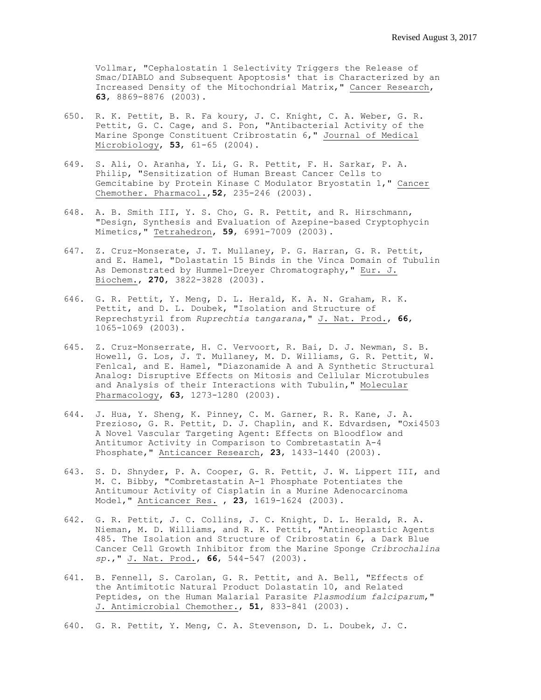Vollmar, "Cephalostatin 1 Selectivity Triggers the Release of Smac/DIABLO and Subsequent Apoptosis' that is Characterized by an Increased Density of the Mitochondrial Matrix," Cancer Research, **63**, 8869-8876 (2003).

- 650. R. K. Pettit, B. R. Fa koury, J. C. Knight, C. A. Weber, G. R. Pettit, G. C. Cage, and S. Pon, "Antibacterial Activity of the Marine Sponge Constituent Cribrostatin 6," Journal of Medical Microbiology, **53**, 61-65 (2004).
- 649. S. Ali, O. Aranha, Y. Li, G. R. Pettit, F. H. Sarkar, P. A. Philip, "Sensitization of Human Breast Cancer Cells to Gemcitabine by Protein Kinase C Modulator Bryostatin 1," Cancer Chemother. Pharmacol.,**52**, 235-246 (2003).
- 648. A. B. Smith III, Y. S. Cho, G. R. Pettit, and R. Hirschmann, "Design, Synthesis and Evaluation of Azepine-based Cryptophycin Mimetics," Tetrahedron, **59**, 6991-7009 (2003).
- 647. Z. Cruz-Monserate, J. T. Mullaney, P. G. Harran, G. R. Pettit, and E. Hamel, "Dolastatin 15 Binds in the Vinca Domain of Tubulin As Demonstrated by Hummel-Dreyer Chromatography," Eur. J. Biochem., **270**, 3822-3828 (2003).
- 646. G. R. Pettit, Y. Meng, D. L. Herald, K. A. N. Graham, R. K. Pettit, and D. L. Doubek, "Isolation and Structure of Reprechstyril from *Ruprechtia tangarana*," J. Nat. Prod., **66**, 1065-1069 (2003).
- 645. Z. Cruz-Monserrate, H. C. Vervoort, R. Bai, D. J. Newman, S. B. Howell, G. Los, J. T. Mullaney, M. D. Williams, G. R. Pettit, W. Fenlcal, and E. Hamel, "Diazonamide A and A Synthetic Structural Analog: Disruptive Effects on Mitosis and Cellular Microtubules and Analysis of their Interactions with Tubulin," Molecular Pharmacology, **63**, 1273-1280 (2003).
- 644. J. Hua, Y. Sheng, K. Pinney, C. M. Garner, R. R. Kane, J. A. Prezioso, G. R. Pettit, D. J. Chaplin, and K. Edvardsen, "Oxi4503 A Novel Vascular Targeting Agent: Effects on Bloodflow and Antitumor Activity in Comparison to Combretastatin A-4 Phosphate," Anticancer Research, **23**, 1433-1440 (2003).
- 643. S. D. Shnyder, P. A. Cooper, G. R. Pettit, J. W. Lippert III, and M. C. Bibby, "Combretastatin A-1 Phosphate Potentiates the Antitumour Activity of Cisp1atin in a Murine Adenocarcinoma Model," Anticancer Res. , **23**, 1619-1624 (2003).
- 642. G. R. Pettit, J. C. Collins, J. C. Knight, D. L. Herald, R. A. Nieman, M. D. Williams, and R. K. Pettit, "Antineoplastic Agents 485. The Isolation and Structure of Cribrostatin 6, a Dark Blue Cancer Cell Growth Inhibitor from the Marine Sponge *Cribrochalina sp.*," J. Nat. Prod., **66**, 544-547 (2003).
- 641. B. Fennell, S. Carolan, G. R. Pettit, and A. Bell, "Effects of the Antimitotic Natural Product Dolastatin 10, and Related Peptides, on the Human Malarial Parasite *Plasmodium falciparum*," J. Antimicrobial Chemother., **51**, 833-841 (2003).
- 640. G. R. Pettit, Y. Meng, C. A. Stevenson, D. L. Doubek, J. C.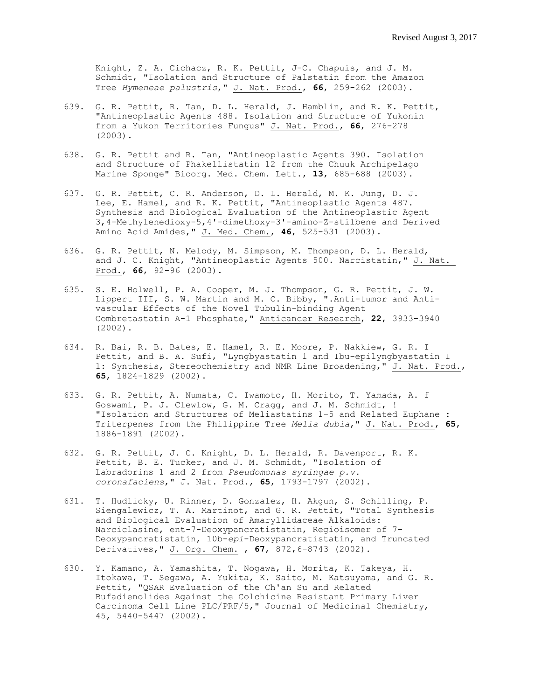Knight, Z. A. Cichacz, R. K. Pettit, J-C. Chapuis, and J. M. Schmidt, "Isolation and Structure of Palstatin from the Amazon Tree *Hymeneae palustris*," J. Nat. Prod., **66**, 259-262 (2003).

- 639. G. R. Pettit, R. Tan, D. L. Herald, J. Hamblin, and R. K. Pettit, "Antineoplastic Agents 488. Isolation and Structure of Yukonin from a Yukon Territories Fungus" J. Nat. Prod., **66**, 276-278 (2003).
- 638. G. R. Pettit and R. Tan, "Antineoplastic Agents 390. Isolation and Structure of Phakellistatin 12 from the Chuuk Archipelago Marine Sponge" Bioorg. Med. Chem. Lett., **13**, 685-688 (2003).
- 637. G. R. Pettit, C. R. Anderson, D. L. Herald, M. K. Jung, D. J. Lee, E. Hamel, and R. K. Pettit, "Antineoplastic Agents 487. Synthesis and Biological Evaluation of the Antineoplastic Agent 3,4-Methylenedioxy-5,4'-dimethoxy-3'-amino-Z-stilbene and Derived Amino Acid Amides," J. Med. Chem., **46**, 525-531 (2003).
- 636. G. R. Pettit, N. Melody, M. Simpson, M. Thompson, D. L. Herald, and J. C. Knight, "Antineoplastic Agents 500. Narcistatin," J. Nat. Prod., **66**, 92-96 (2003).
- 635. S. E. Holwell, P. A. Cooper, M. J. Thompson, G. R. Pettit, J. W. Lippert III, S. W. Martin and M. C. Bibby, ".Anti-tumor and Antivascular Effects of the Novel Tubulin-binding Agent Combretastatin A-1 Phosphate," Anticancer Research, **22**, 3933-3940 (2002).
- 634. R. Bai, R. B. Bates, E. Hamel, R. E. Moore, P. Nakkiew, G. R. I Pettit, and B. A. Sufi, "Lyngbyastatin 1 and Ibu-epilyngbyastatin I 1: Synthesis, Stereochemistry and NMR Line Broadening," J. Nat. Prod., **65**, 1824-1829 (2002).
- 633. G. R. Pettit, A. Numata, C. Iwamoto, H. Morito, T. Yamada, A. f Goswami, P. J. Clewlow, G. M. Cragg, and J. M. Schmidt, ! "Isolation and Structures of Meliastatins 1-5 and Related Euphane : Triterpenes from the Philippine Tree *Melia dubia*," J. Nat. Prod., **65**, 1886-1891 (2002).
- 632. G. R. Pettit, J. C. Knight, D. L. Herald, R. Davenport, R. K. Pettit, B. E. Tucker, and J. M. Schmidt, "Isolation of Labradorins 1 and 2 from *Pseudomonas syringae p.v. coronafaciens*," J. Nat. Prod., **65**, 1793-1797 (2002).
- 631. T. Hudlicky, U. Rinner, D. Gonzalez, H. Akgun, S. Schilling, P. Siengalewicz, T. A. Martinot, and G. R. Pettit, "Total Synthesis and Biological Evaluation of Amaryllidaceae Alkaloids: Narciclasine, ent-7-Deoxypancratistatin, Regioisomer of 7- Deoxypancratistatin, 10b-*epi*-Deoxypancratistatin, and Truncated Derivatives," J. Org. Chem. , **67**, 872,6-8743 (2002).
- 630. Y. Kamano, A. Yamashita, T. Nogawa, H. Morita, K. Takeya, H. Itokawa, T. Segawa, A. Yukita, K. Saito, M. Katsuyama, and G. R. Pettit, "QSAR Evaluation of the Ch'an Su and Related Bufadienolides Against the Colchicine Resistant Primary Liver Carcinoma Cell Line PLC/PRF/5," Journal of Medicinal Chemistry, 45, 5440-5447 (2002).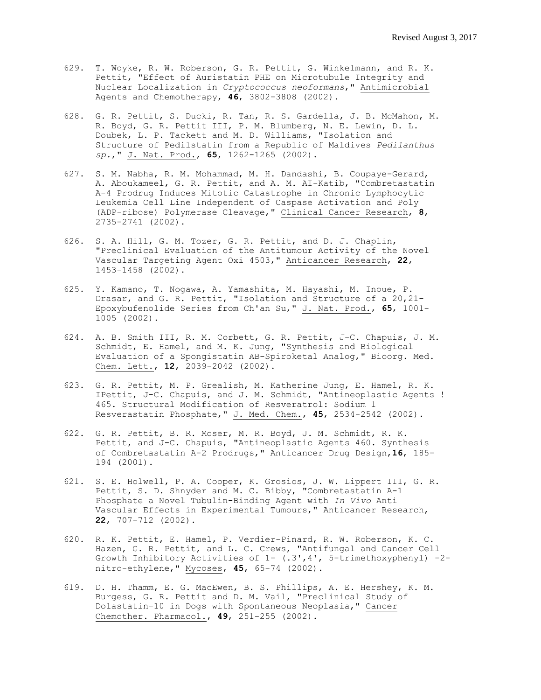- 629. T. Woyke, R. W. Roberson, G. R. Pettit, G. Winkelmann, and R. K. Pettit, "Effect of Auristatin PHE on Microtubule Integrity and Nuclear Localization in *Cryptococcus neoformans*," Antimicrobial Agents and Chemotherapy, **46**, 3802-3808 (2002).
- 628. G. R. Pettit, S. Ducki, R. Tan, R. S. Gardella, J. B. McMahon, M. R. Boyd, G. R. Pettit III, P. M. Blumberg, N. E. Lewin, D. L. Doubek, L. P. Tackett and M. D. Williams, "Isolation and Structure of Pedilstatin from a Republic of Maldives *Pedilanthus sp.*," J. Nat. Prod., **65**, 1262-1265 (2002).
- 627. S. M. Nabha, R. M. Mohammad, M. H. Dandashi, B. Coupaye-Gerard, A. Aboukameel, G. R. Pettit, and A. M. AI-Katib, "Combretastatin A-4 Prodrug Induces Mitotic Catastrophe in Chronic Lymphocytic Leukemia Cell Line Independent of Caspase Activation and Poly (ADP-ribose) Polymerase Cleavage," Clinical Cancer Research, **8**, 2735-2741 (2002).
- 626. S. A. Hill, G. M. Tozer, G. R. Pettit, and D. J. Chaplin, "Preclinical Evaluation of the Antitumour Activity of the Novel Vascular Targeting Agent Oxi 4503," Anticancer Research, **22**, 1453-1458 (2002).
- 625. Y. Kamano, T. Nogawa, A. Yamashita, M. Hayashi, M. Inoue, P. Drasar, and G. R. Pettit, "Isolation and Structure of a 20,21- Epoxybufenolide Series from Ch'an Su," J. Nat. Prod., **65**, 1001- 1005 (2002).
- 624. A. B. Smith III, R. M. Corbett, G. R. Pettit, J-C. Chapuis, J. M. Schmidt, E. Hamel, and M. K. Jung, "Synthesis and Biological Evaluation of a Spongistatin AB-Spiroketal Analog," Bioorg. Med. Chem. Lett., **12**, 2039-2042 (2002).
- 623. G. R. Pettit, M. P. Grealish, M. Katherine Jung, E. Hamel, R. K. IPettit, J-C. Chapuis, and J. M. Schmidt, "Antineoplastic Agents ! 465. Structural Modification of Resveratrol: Sodium 1 Resverastatin Phosphate," J. Med. Chem., **45**, 2534-2542 (2002).
- 622. G. R. Pettit, B. R. Moser, M. R. Boyd, J. M. Schmidt, R. K. Pettit, and J-C. Chapuis, "Antineoplastic Agents 460. Synthesis of Combretastatin A-2 Prodrugs," Anticancer Drug Design,**16**, 185- 194 (2001).
- 621. S. E. Holwell, P. A. Cooper, K. Grosios, J. W. Lippert III, G. R. Pettit, S. D. Shnyder and M. C. Bibby, "Combretastatin A-1 Phosphate a Novel Tubulin-Binding Agent with *In Vivo* Anti Vascular Effects in Experimental Tumours," Anticancer Research, **22**, 707-712 (2002).
- 620. R. K. Pettit, E. Hamel, P. Verdier-Pinard, R. W. Roberson, K. C. Hazen, G. R. Pettit, and L. C. Crews, "Antifungal and Cancer Cell Growth Inhibitory Activities of  $1 (.3', 4', 5-$ trimethoxyphenyl) -2nitro-ethylene," Mycoses, **45**, 65-74 (2002).
- 619. D. H. Thamm, E. G. MacEwen, B. S. Phillips, A. E. Hershey, K. M. Burgess, G. R. Pettit and D. M. Vail, "Preclinical Study of Dolastatin-10 in Dogs with Spontaneous Neoplasia," Cancer Chemother. Pharmacol., **49**, 251-255 (2002).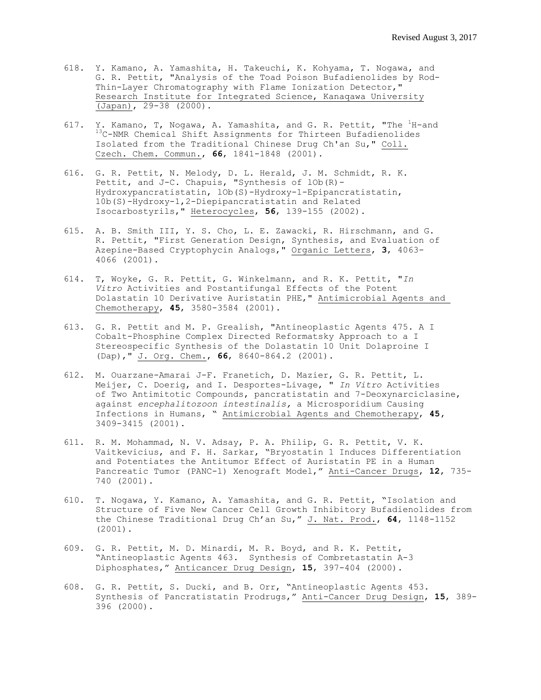- 618. Y. Kamano, A. Yamashita, H. Takeuchi, K. Kohyama, T. Nogawa, and G. R. Pettit, "Analysis of the Toad Poison Bufadienolides by Rod-Thin-Layer Chromatography with Flame Ionization Detector," Research Institute for Integrated Science, Kanaqawa University (Japan), 29-38 (2000).
- 617. Y. Kamano, T, Nogawa, A. Yamashita, and G. R. Pettit, "The  ${}^{1}$ H-and 13C-NMR Chemical Shift Assignments for Thirteen Bufadienolides Isolated from the Traditional Chinese Drug Ch'an Su," Coll. Czech. Chem. Commun., **66**, 1841-1848 (2001).
- 616. G. R. Pettit, N. Melody, D. L. Herald, J. M. Schmidt, R. K. Pettit, and J-C. Chapuis, "Synthesis of lOb(R)-Hydroxypancratistatin, lOb(S)-Hydroxy-1-Epipancratistatin, 10b(S)-Hydroxy-1,2-Diepipancratistatin and Related Isocarbostyrils," Heterocycles, **56**, 139-155 (2002).
- 615. A. B. Smith III, Y. S. Cho, L. E. Zawacki, R. Hirschmann, and G. R. Pettit, "First Generation Design, Synthesis, and Evaluation of Azepine-Based Cryptophycin Analogs," Organic Letters, **3**, 4063- 4066 (2001).
- 614. T, Woyke, G. R. Pettit, G. Winkelmann, and R. K. Pettit, "*In Vitro* Activities and Postantifungal Effects of the Potent Dolastatin 10 Derivative Auristatin PHE," Antimicrobial Agents and Chemotherapy, **45**, 3580-3584 (2001).
- 613. G. R. Pettit and M. P. Grealish, "Antineoplastic Agents 475. A I Cobalt-Phosphine Complex Directed Reformatsky Approach to a I Stereospecific Synthesis of the Dolastatin 10 Unit Dolaproine I (Dap)," J. Org. Chem., **66**, 8640-864.2 (2001).
- 612. M. Ouarzane-Amarai J-F. Franetich, D. Mazier, G. R. Pettit, L. Meijer, C. Doerig, and I. Desportes-Livage, " *In Vitro* Activities of Two Antimitotic Compounds, pancratistatin and 7-Deoxynarciclasine, against *encephalitozoon intestinalis,* a Microsporidium Causing Infections in Humans, " Antimicrobial Agents and Chemotherapy, **45,** 3409-3415 (2001).
- 611. R. M. Mohammad, N. V. Adsay, P. A. Philip, G. R. Pettit, V. K. Vaitkevicius, and F. H. Sarkar, "Bryostatin 1 Induces Differentiation and Potentiates the Antitumor Effect of Auristatin PE in a Human Pancreatic Tumor (PANC-1) Xenograft Model," Anti-Cancer Drugs, **12**, 735- 740 (2001).
- 610. T. Nogawa, Y. Kamano, A. Yamashita, and G. R. Pettit, "Isolation and Structure of Five New Cancer Cell Growth Inhibitory Bufadienolides from the Chinese Traditional Drug Ch'an Su," J. Nat. Prod., **64**, 1148-1152 (2001).
- 609. G. R. Pettit, M. D. Minardi, M. R. Boyd, and R. K. Pettit, "Antineoplastic Agents 463. Synthesis of Combretastatin A-3 Diphosphates," Anticancer Drug Design, **15**, 397-404 (2000).
- 608. G. R. Pettit, S. Ducki, and B. Orr, "Antineoplastic Agents 453. Synthesis of Pancratistatin Prodrugs," Anti-Cancer Drug Design, **15**, 389- 396 (2000).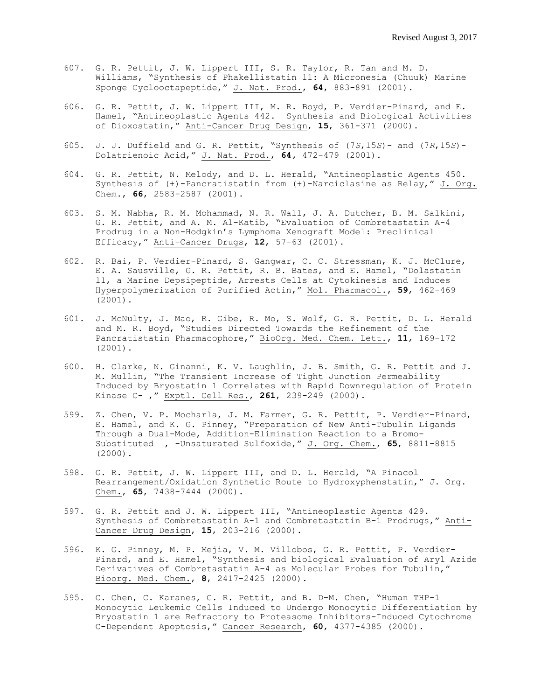- 607. G. R. Pettit, J. W. Lippert III, S. R. Taylor, R. Tan and M. D. Williams, "Synthesis of Phakellistatin 11: A Micronesia (Chuuk) Marine Sponge Cyclooctapeptide," J. Nat. Prod., **64**, 883-891 (2001).
- 606. G. R. Pettit, J. W. Lippert III, M. R. Boyd, P. Verdier-Pinard, and E. Hamel, "Antineoplastic Agents 442. Synthesis and Biological Activities of Dioxostatin," Anti-Cancer Drug Design, **15**, 361-371 (2000).
- 605. J. J. Duffield and G. R. Pettit, "Synthesis of (7*S*,15*S*)- and (7*R*,15*S*)- Dolatrienoic Acid," J. Nat. Prod., **64,** 472-479 (2001).
- 604. G. R. Pettit, N. Melody, and D. L. Herald, "Antineoplastic Agents 450. Synthesis of (+)-Pancratistatin from (+)-Narciclasine as Relay," J. Org. Chem., **66**, 2583-2587 (2001).
- 603. S. M. Nabha, R. M. Mohammad, N. R. Wall, J. A. Dutcher, B. M. Salkini, G. R. Pettit, and A. M. Al-Katib, "Evaluation of Combretastatin A-4 Prodrug in a Non-Hodgkin's Lymphoma Xenograft Model: Preclinical Efficacy," Anti-Cancer Drugs, **12**, 57-63 (2001).
- 602. R. Bai, P. Verdier-Pinard, S. Gangwar, C. C. Stressman, K. J. McClure, E. A. Sausville, G. R. Pettit, R. B. Bates, and E. Hamel, "Dolastatin 11, a Marine Depsipeptide, Arrests Cells at Cytokinesis and Induces Hyperpolymerization of Purified Actin," Mol. Pharmacol., **59**, 462-469 (2001).
- 601. J. McNulty, J. Mao, R. Gibe, R. Mo, S. Wolf, G. R. Pettit, D. L. Herald and M. R. Boyd, "Studies Directed Towards the Refinement of the Pancratistatin Pharmacophore," BioOrg. Med. Chem. Lett., **11**, 169-172 (2001).
- 600. H. Clarke, N. Ginanni, K. V. Laughlin, J. B. Smith, G. R. Pettit and J. M. Mullin, "The Transient Increase of Tight Junction Permeability Induced by Bryostatin 1 Correlates with Rapid Downregulation of Protein Kinase C- ," Exptl. Cell Res., **261**, 239-249 (2000).
- 599. Z. Chen, V. P. Mocharla, J. M. Farmer, G. R. Pettit, P. Verdier-Pinard, E. Hamel, and K. G. Pinney, "Preparation of New Anti-Tubulin Ligands Through a Dual-Mode, Addition-Elimination Reaction to a Bromo-Substituted , -Unsaturated Sulfoxide," J. Org. Chem., **65**, 8811-8815 (2000).
- 598. G. R. Pettit, J. W. Lippert III, and D. L. Herald, "A Pinacol Rearrangement/Oxidation Synthetic Route to Hydroxyphenstatin," J. Org. Chem., **65**, 7438-7444 (2000).
- 597. G. R. Pettit and J. W. Lippert III, "Antineoplastic Agents 429. Synthesis of Combretastatin A-1 and Combretastatin B-1 Prodrugs," Anti-Cancer Drug Design, **15**, 203-216 (2000).
- 596. K. G. Pinney, M. P. Mejia, V. M. Villobos, G. R. Pettit, P. Verdier-Pinard, and E. Hamel, "Synthesis and biological Evaluation of Aryl Azide Derivatives of Combretastatin A-4 as Molecular Probes for Tubulin," Bioorg. Med. Chem., **8**, 2417-2425 (2000).
- 595. C. Chen, C. Karanes, G. R. Pettit, and B. D-M. Chen, "Human THP-1 Monocytic Leukemic Cells Induced to Undergo Monocytic Differentiation by Bryostatin 1 are Refractory to Proteasome Inhibitors-Induced Cytochrome C-Dependent Apoptosis," Cancer Research, **60**, 4377-4385 (2000).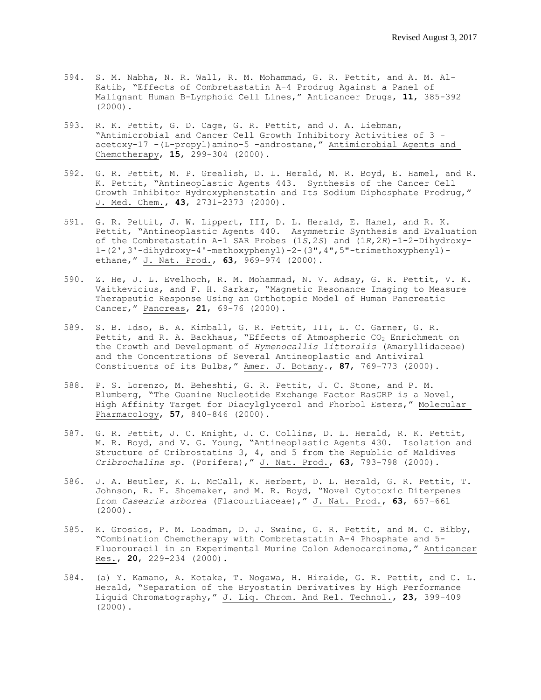- 594. S. M. Nabha, N. R. Wall, R. M. Mohammad, G. R. Pettit, and A. M. Al-Katib, "Effects of Combretastatin A-4 Prodrug Against a Panel of Malignant Human B-Lymphoid Cell Lines," Anticancer Drugs, **11**, 385-392 (2000).
- 593. R. K. Pettit, G. D. Cage, G. R. Pettit, and J. A. Liebman, "Antimicrobial and Cancer Cell Growth Inhibitory Activities of 3 acetoxy-17 -(L-propyl)amino-5 -androstane," Antimicrobial Agents and Chemotherapy, **15**, 299-304 (2000).
- 592. G. R. Pettit, M. P. Grealish, D. L. Herald, M. R. Boyd, E. Hamel, and R. K. Pettit, "Antineoplastic Agents 443. Synthesis of the Cancer Cell Growth Inhibitor Hydroxyphenstatin and Its Sodium Diphosphate Prodrug," J. Med. Chem., **43**, 2731-2373 (2000).
- 591. G. R. Pettit, J. W. Lippert, III, D. L. Herald, E. Hamel, and R. K. Pettit, "Antineoplastic Agents 440. Asymmetric Synthesis and Evaluation of the Combretastatin A-1 SAR Probes (1*S*,2*S*) and (1*R*,2*R*)-1-2-Dihydroxy- $1-(2',3'-dihydroxy-4'-methoxyphenyl)-2-(3'',4'',5''-trimethoxyphenyl)$ ethane," J. Nat. Prod., **63**, 969-974 (2000).
- 590. Z. He, J. L. Evelhoch, R. M. Mohammad, N. V. Adsay, G. R. Pettit, V. K. Vaitkevicius, and F. H. Sarkar, "Magnetic Resonance Imaging to Measure Therapeutic Response Using an Orthotopic Model of Human Pancreatic Cancer," Pancreas, **21**, 69-76 (2000).
- 589. S. B. Idso, B. A. Kimball, G. R. Pettit, III, L. C. Garner, G. R. Pettit, and R. A. Backhaus, "Effects of Atmospheric CO<sub>2</sub> Enrichment on the Growth and Development of *Hymenocallis littoralis* (Amaryllidaceae) and the Concentrations of Several Antineoplastic and Antiviral Constituents of its Bulbs," Amer. J. Botany., **87**, 769-773 (2000).
- 588. P. S. Lorenzo, M. Beheshti, G. R. Pettit, J. C. Stone, and P. M. Blumberg, "The Guanine Nucleotide Exchange Factor RasGRP is a Novel, High Affinity Target for Diacylglycerol and Phorbol Esters," Molecular Pharmacology, **57**, 840-846 (2000).
- 587. G. R. Pettit, J. C. Knight, J. C. Collins, D. L. Herald, R. K. Pettit, M. R. Boyd, and V. G. Young, "Antineoplastic Agents 430. Isolation and Structure of Cribrostatins 3, 4, and 5 from the Republic of Maldives *Cribrochalina sp.* (Porifera)," J. Nat. Prod., **63**, 793-798 (2000).
- 586. J. A. Beutler, K. L. McCall, K. Herbert, D. L. Herald, G. R. Pettit, T. Johnson, R. H. Shoemaker, and M. R. Boyd, "Novel Cytotoxic Diterpenes from *Casearia arborea* (Flacourtiaceae)," J. Nat. Prod., **63**, 657-661 (2000).
- 585. K. Grosios, P. M. Loadman, D. J. Swaine, G. R. Pettit, and M. C. Bibby, "Combination Chemotherapy with Combretastatin A-4 Phosphate and 5- Fluorouracil in an Experimental Murine Colon Adenocarcinoma," Anticancer Res., **20**, 229-234 (2000).
- 584. (a) Y. Kamano, A. Kotake, T. Nogawa, H. Hiraide, G. R. Pettit, and C. L. Herald, "Separation of the Bryostatin Derivatives by High Performance Liquid Chromatography," J. Liq. Chrom. And Rel. Technol., **23**, 399-409 (2000).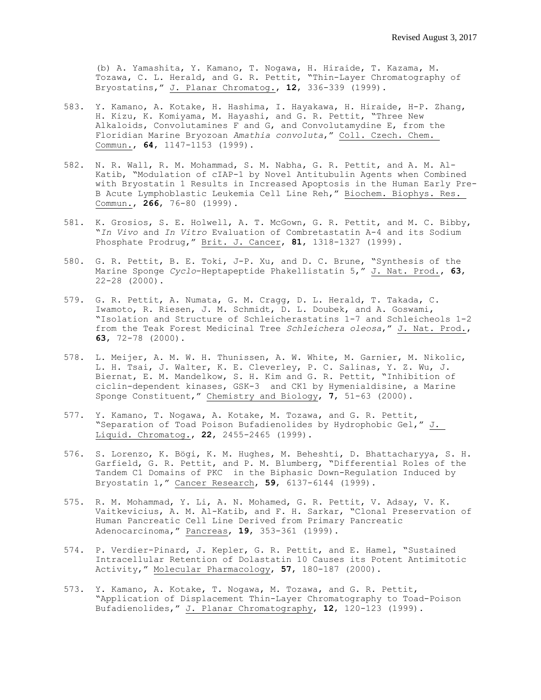(b) A. Yamashita, Y. Kamano, T. Nogawa, H. Hiraide, T. Kazama, M. Tozawa, C. L. Herald, and G. R. Pettit, "Thin-Layer Chromatography of Bryostatins," J. Planar Chromatog., **12**, 336-339 (1999).

- 583. Y. Kamano, A. Kotake, H. Hashima, I. Hayakawa, H. Hiraide, H-P. Zhang, H. Kizu, K. Komiyama, M. Hayashi, and G. R. Pettit, "Three New Alkaloids, Convolutamines F and G, and Convolutamydine E, from the Floridian Marine Bryozoan *Amathia convoluta*," Coll. Czech. Chem. Commun., **64**, 1147-1153 (1999).
- 582. N. R. Wall, R. M. Mohammad, S. M. Nabha, G. R. Pettit, and A. M. Al-Katib, "Modulation of cIAP-1 by Novel Antitubulin Agents when Combined with Bryostatin 1 Results in Increased Apoptosis in the Human Early Pre-B Acute Lymphoblastic Leukemia Cell Line Reh," Biochem. Biophys. Res. Commun., **266**, 76-80 (1999).
- 581. K. Grosios, S. E. Holwell, A. T. McGown, G. R. Pettit, and M. C. Bibby, "*In Vivo* and *In Vitro* Evaluation of Combretastatin A-4 and its Sodium Phosphate Prodrug," Brit. J. Cancer, **81**, 1318-1327 (1999).
- 580. G. R. Pettit, B. E. Toki, J-P. Xu, and D. C. Brune, "Synthesis of the Marine Sponge *Cyclo*-Heptapeptide Phakellistatin 5," J. Nat. Prod., **63**, 22-28 (2000).
- 579. G. R. Pettit, A. Numata, G. M. Cragg, D. L. Herald, T. Takada, C. Iwamoto, R. Riesen, J. M. Schmidt, D. L. Doubek, and A. Goswami, "Isolation and Structure of Schleicherastatins 1-7 and Schleicheols 1-2 from the Teak Forest Medicinal Tree *Schleichera oleosa*," J. Nat. Prod., **63**, 72-78 (2000).
- 578. L. Meijer, A. M. W. H. Thunissen, A. W. White, M. Garnier, M. Nikolic, L. H. Tsai, J. Walter, K. E. Cleverley, P. C. Salinas, Y. Z. Wu, J. Biernat, E. M. Mandelkow, S. H. Kim and G. R. Pettit, "Inhibition of ciclin-dependent kinases, GSK-3 and CK1 by Hymenialdisine, a Marine Sponge Constituent," Chemistry and Biology, **7**, 51-63 (2000).
- 577. Y. Kamano, T. Nogawa, A. Kotake, M. Tozawa, and G. R. Pettit, "Separation of Toad Poison Bufadienolides by Hydrophobic Gel," J. Liquid. Chromatog., **22**, 2455-2465 (1999).
- 576. S. Lorenzo, K. Bögi, K. M. Hughes, M. Beheshti, D. Bhattacharyya, S. H. Garfield, G. R. Pettit, and P. M. Blumberg, "Differential Roles of the Tandem C1 Domains of PKC in the Biphasic Down-Regulation Induced by Bryostatin 1," Cancer Research, **59**, 6137-6144 (1999).
- 575. R. M. Mohammad, Y. Li, A. N. Mohamed, G. R. Pettit, V. Adsay, V. K. Vaitkevicius, A. M. Al-Katib, and F. H. Sarkar, "Clonal Preservation of Human Pancreatic Cell Line Derived from Primary Pancreatic Adenocarcinoma," Pancreas, **19**, 353-361 (1999).
- 574. P. Verdier-Pinard, J. Kepler, G. R. Pettit, and E. Hamel, "Sustained Intracellular Retention of Dolastatin 10 Causes its Potent Antimitotic Activity," Molecular Pharmacology, **57**, 180-187 (2000).
- 573. Y. Kamano, A. Kotake, T. Nogawa, M. Tozawa, and G. R. Pettit, "Application of Displacement Thin-Layer Chromatography to Toad-Poison Bufadienolides," J. Planar Chromatography, **12**, 120-123 (1999).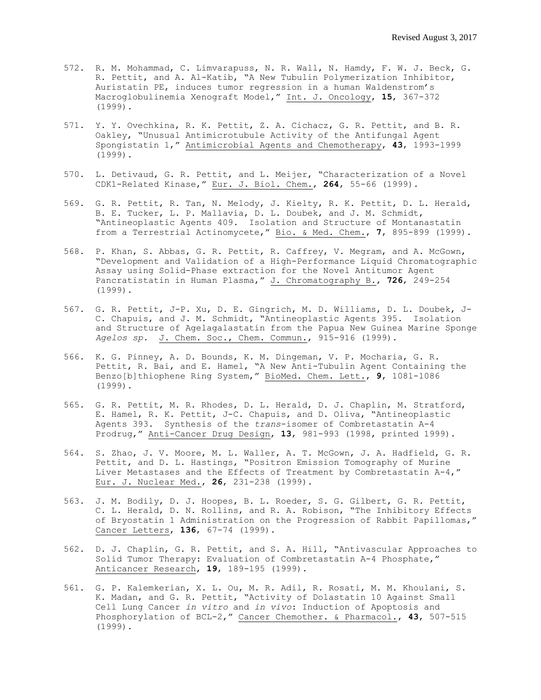- 572. R. M. Mohammad, C. Limvarapuss, N. R. Wall, N. Hamdy, F. W. J. Beck, G. R. Pettit, and A. Al-Katib, "A New Tubulin Polymerization Inhibitor, Auristatin PE, induces tumor regression in a human Waldenstrom's Macroglobulinemia Xenograft Model," Int. J. Oncology, **15**, 367-372 (1999).
- 571. Y. Y. Ovechkina, R. K. Pettit, Z. A. Cichacz, G. R. Pettit, and B. R. Oakley, "Unusual Antimicrotubule Activity of the Antifungal Agent Spongistatin 1," Antimicrobial Agents and Chemotherapy, **43**, 1993-1999 (1999).
- 570. L. Detivaud, G. R. Pettit, and L. Meijer, "Characterization of a Novel CDK1-Related Kinase," Eur. J. Biol. Chem., **264**, 55-66 (1999).
- 569. G. R. Pettit, R. Tan, N. Melody, J. Kielty, R. K. Pettit, D. L. Herald, B. E. Tucker, L. P. Mallavia, D. L. Doubek, and J. M. Schmidt, "Antineoplastic Agents 409. Isolation and Structure of Montanastatin from a Terrestrial Actinomycete," Bio. & Med. Chem., **7**, 895-899 (1999).
- 568. P. Khan, S. Abbas, G. R. Pettit, R. Caffrey, V. Megram, and A. McGown, "Development and Validation of a High-Performance Liquid Chromatographic Assay using Solid-Phase extraction for the Novel Antitumor Agent Pancratistatin in Human Plasma," J. Chromatography B., **726**, 249-254 (1999).
- 567. G. R. Pettit, J-P. Xu, D. E. Gingrich, M. D. Williams, D. L. Doubek, J-C. Chapuis, and J. M. Schmidt, "Antineoplastic Agents 395. Isolation and Structure of Agelagalastatin from the Papua New Guinea Marine Sponge *Agelos sp.* J. Chem. Soc., Chem. Commun., 915-916 (1999).
- 566. K. G. Pinney, A. D. Bounds, K. M. Dingeman, V. P. Mocharia, G. R. Pettit, R. Bai, and E. Hamel, "A New Anti-Tubulin Agent Containing the Benzo[b]thiophene Ring System," BioMed. Chem. Lett., **9**, 1081-1086 (1999).
- 565. G. R. Pettit, M. R. Rhodes, D. L. Herald, D. J. Chaplin, M. Stratford, E. Hamel, R. K. Pettit, J-C. Chapuis, and D. Oliva, "Antineoplastic Agents 393. Synthesis of the *trans*-isomer of Combretastatin A-4 Prodrug," Anti-Cancer Drug Design, **13**, 981-993 (1998, printed 1999).
- 564. S. Zhao, J. V. Moore, M. L. Waller, A. T. McGown, J. A. Hadfield, G. R. Pettit, and D. L. Hastings, "Positron Emission Tomography of Murine Liver Metastases and the Effects of Treatment by Combretastatin A-4," Eur. J. Nuclear Med., **26**, 231-238 (1999).
- 563. J. M. Bodily, D. J. Hoopes, B. L. Roeder, S. G. Gilbert, G. R. Pettit, C. L. Herald, D. N. Rollins, and R. A. Robison, "The Inhibitory Effects of Bryostatin 1 Administration on the Progression of Rabbit Papillomas," Cancer Letters, **136**, 67-74 (1999).
- 562. D. J. Chaplin, G. R. Pettit, and S. A. Hill, "Antivascular Approaches to Solid Tumor Therapy: Evaluation of Combretastatin A-4 Phosphate," Anticancer Research, **19**, 189-195 (1999).
- 561. G. P. Kalemkerian, X. L. Ou, M. R. Adil, R. Rosati, M. M. Khoulani, S. K. Madan, and G. R. Pettit, "Activity of Dolastatin 10 Against Small Cell Lung Cancer *in vitro* and *in vivo*: Induction of Apoptosis and Phosphorylation of BCL-2," Cancer Chemother. & Pharmacol., **43**, 507-515 (1999).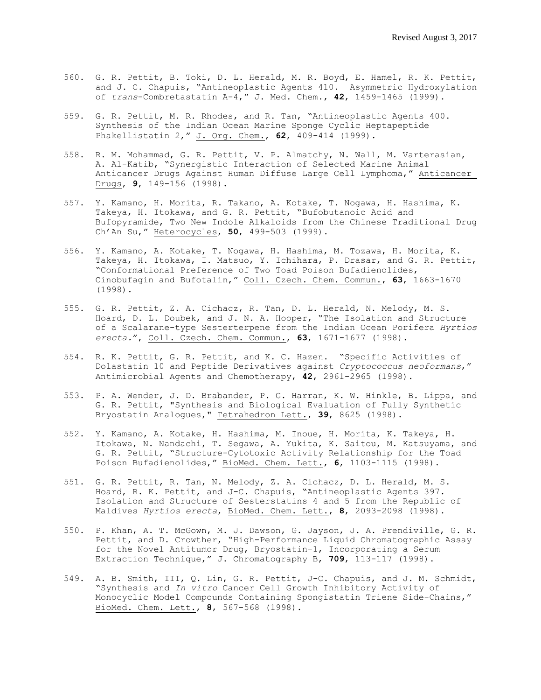- 560. G. R. Pettit, B. Toki, D. L. Herald, M. R. Boyd, E. Hamel, R. K. Pettit, and J. C. Chapuis, "Antineoplastic Agents 410. Asymmetric Hydroxylation of *trans*-Combretastatin A-4," J. Med. Chem., **42**, 1459-1465 (1999).
- 559. G. R. Pettit, M. R. Rhodes, and R. Tan, "Antineoplastic Agents 400. Synthesis of the Indian Ocean Marine Sponge Cyclic Heptapeptide Phakellistatin 2," J. Org. Chem., **62**, 409-414 (1999).
- 558. R. M. Mohammad, G. R. Pettit, V. P. Almatchy, N. Wall, M. Varterasian, A. Al-Katib, "Synergistic Interaction of Selected Marine Animal Anticancer Drugs Against Human Diffuse Large Cell Lymphoma," Anticancer Drugs, **9**, 149-156 (1998).
- 557. Y. Kamano, H. Morita, R. Takano, A. Kotake, T. Nogawa, H. Hashima, K. Takeya, H. Itokawa, and G. R. Pettit, "Bufobutanoic Acid and Bufopyramide, Two New Indole Alkaloids from the Chinese Traditional Drug Ch'An Su," Heterocycles, **50**, 499-503 (1999).
- 556. Y. Kamano, A. Kotake, T. Nogawa, H. Hashima, M. Tozawa, H. Morita, K. Takeya, H. Itokawa, I. Matsuo, Y. Ichihara, P. Drasar, and G. R. Pettit, "Conformational Preference of Two Toad Poison Bufadienolides, Cinobufagin and Bufotalin," Coll. Czech. Chem. Commun., **63**, 1663-1670 (1998).
- 555. G. R. Pettit, Z. A. Cichacz, R. Tan, D. L. Herald, N. Melody, M. S. Hoard, D. L. Doubek, and J. N. A. Hooper, "The Isolation and Structure of a Scalarane-type Sesterterpene from the Indian Ocean Porifera *Hyrtios erecta.*", Coll. Czech. Chem. Commun., **63**, 1671-1677 (1998).
- 554. R. K. Pettit, G. R. Pettit, and K. C. Hazen. "Specific Activities of Dolastatin 10 and Peptide Derivatives against *Cryptococcus neoformans*," Antimicrobial Agents and Chemotherapy, **42**, 2961-2965 (1998).
- 553. P. A. Wender, J. D. Brabander, P. G. Harran, K. W. Hinkle, B. Lippa, and G. R. Pettit, "Synthesis and Biological Evaluation of Fully Synthetic Bryostatin Analogues," Tetrahedron Lett., **39**, 8625 (1998).
- 552. Y. Kamano, A. Kotake, H. Hashima, M. Inoue, H. Morita, K. Takeya, H. I. Kamano, A. Kotake, H. Hashima, H. Induc, H. Holley, H. Innoya, H.<br>Itokawa, N. Nandachi, T. Segawa, A. Yukita, K. Saitou, M. Katsuyama, and G. R. Pettit, "Structure-Cytotoxic Activity Relationship for the Toad Poison Bufadienolides," BioMed. Chem. Lett., **6**, 1103-1115 (1998).
- 551. G. R. Pettit, R. Tan, N. Melody, Z. A. Cichacz, D. L. Herald, M. S. Hoard, R. K. Pettit, and J-C. Chapuis, "Antineoplastic Agents 397. Isolation and Structure of Sesterstatins 4 and 5 from the Republic of Maldives *Hyrtios erecta*, BioMed. Chem. Lett., **8**, 2093-2098 (1998).
- 550. P. Khan, A. T. McGown, M. J. Dawson, G. Jayson, J. A. Prendiville, G. R. Pettit, and D. Crowther, "High-Performance Liquid Chromatographic Assay for the Novel Antitumor Drug, Bryostatin-1, Incorporating a Serum Extraction Technique," J. Chromatography B, **709**, 113-117 (1998).
- 549. A. B. Smith, III, Q. Lin, G. R. Pettit, J-C. Chapuis, and J. M. Schmidt, "Synthesis and *In vitro* Cancer Cell Growth Inhibitory Activity of Monocyclic Model Compounds Containing Spongistatin Triene Side-Chains," BioMed. Chem. Lett., **8**, 567-568 (1998).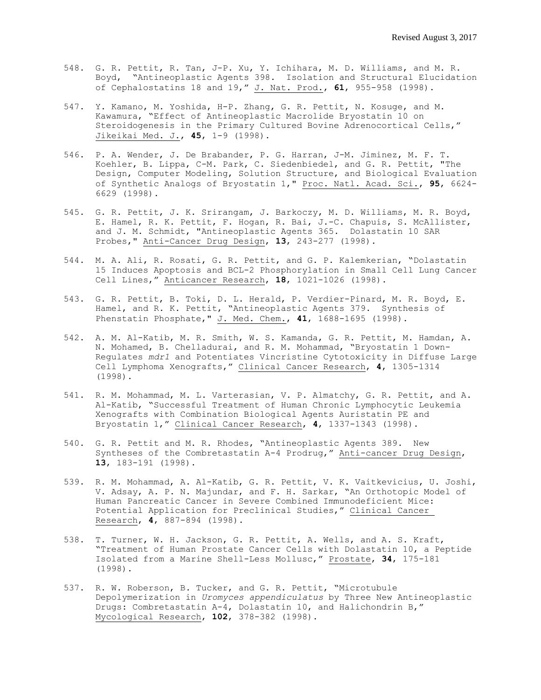- 548. G. R. Pettit, R. Tan, J-P. Xu, Y. Ichihara, M. D. Williams, and M. R. Boyd, "Antineoplastic Agents 398. Isolation and Structural Elucidation of Cephalostatins 18 and 19," J. Nat. Prod., **61**, 955-958 (1998).
- 547. Y. Kamano, M. Yoshida, H-P. Zhang, G. R. Pettit, N. Kosuge, and M. Kawamura, "Effect of Antineoplastic Macrolide Bryostatin 10 on Steroidogenesis in the Primary Cultured Bovine Adrenocortical Cells," Jikeikai Med. J., **45**, 1-9 (1998).
- 546. P. A. Wender, J. De Brabander, P. G. Harran, J-M. Jiminez, M. F. T. Koehler, B. Lippa, C-M. Park, C. Siedenbiedel, and G. R. Pettit, "The Design, Computer Modeling, Solution Structure, and Biological Evaluation of Synthetic Analogs of Bryostatin 1," Proc. Natl. Acad. Sci., **95**, 6624- 6629 (1998).
- 545. G. R. Pettit, J. K. Srirangam, J. Barkoczy, M. D. Williams, M. R. Boyd, E. Hamel, R. K. Pettit, F. Hogan, R. Bai, J.-C. Chapuis, S. McAllister, and J. M. Schmidt, "Antineoplastic Agents 365. Dolastatin 10 SAR Probes," Anti-Cancer Drug Design, **13**, 243-277 (1998).
- 544. M. A. Ali, R. Rosati, G. R. Pettit, and G. P. Kalemkerian, "Dolastatin 15 Induces Apoptosis and BCL-2 Phosphorylation in Small Cell Lung Cancer Cell Lines," Anticancer Research, **18**, 1021-1026 (1998).
- 543. G. R. Pettit, B. Toki, D. L. Herald, P. Verdier-Pinard, M. R. Boyd, E. Hamel, and R. K. Pettit, "Antineoplastic Agents 379. Synthesis of Phenstatin Phosphate," J. Med. Chem., **41**, 1688-1695 (1998).
- 542. A. M. Al-Katib, M. R. Smith, W. S. Kamanda, G. R. Pettit, M. Hamdan, A. N. Mohamed, B. Chelladurai, and R. M. Mohammad, "Bryostatin 1 Down-Regulates *mdr1* and Potentiates Vincristine Cytotoxicity in Diffuse Large Cell Lymphoma Xenografts," Clinical Cancer Research, **4**, 1305-1314 (1998).
- 541. R. M. Mohammad, M. L. Varterasian, V. P. Almatchy, G. R. Pettit, and A. Al-Katib, "Successful Treatment of Human Chronic Lymphocytic Leukemia Xenografts with Combination Biological Agents Auristatin PE and Bryostatin 1," Clinical Cancer Research, **4**, 1337-1343 (1998).
- 540. G. R. Pettit and M. R. Rhodes, "Antineoplastic Agents 389. New Syntheses of the Combretastatin A-4 Prodrug," Anti-cancer Drug Design, **13**, 183-191 (1998).
- 539. R. M. Mohammad, A. Al-Katib, G. R. Pettit, V. K. Vaitkevicius, U. Joshi, V. Adsay, A. P. N. Majundar, and F. H. Sarkar, "An Orthotopic Model of Human Pancreatic Cancer in Severe Combined Immunodeficient Mice: Potential Application for Preclinical Studies," Clinical Cancer Research, **4**, 887-894 (1998).
- 538. T. Turner, W. H. Jackson, G. R. Pettit, A. Wells, and A. S. Kraft, "Treatment of Human Prostate Cancer Cells with Dolastatin 10, a Peptide Isolated from a Marine Shell-Less Mollusc," Prostate, **34**, 175-181 (1998).
- 537. R. W. Roberson, B. Tucker, and G. R. Pettit, "Microtubule Depolymerization in *Uromyces appendiculatus* by Three New Antineoplastic Drugs: Combretastatin A-4, Dolastatin 10, and Halichondrin B," Mycological Research, **102**, 378-382 (1998).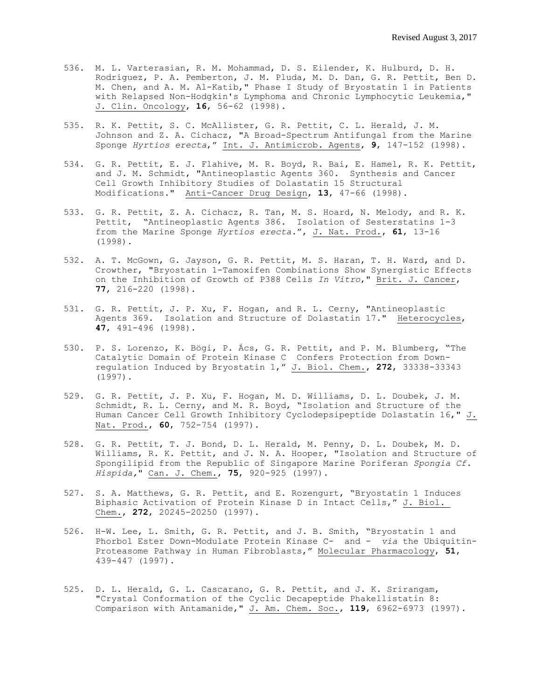- 536. M. L. Varterasian, R. M. Mohammad, D. S. Eilender, K. Hulburd, D. H. Rodriguez, P. A. Pemberton, J. M. Pluda, M. D. Dan, G. R. Pettit, Ben D. M. Chen, and A. M. Al-Katib," Phase I Study of Bryostatin 1 in Patients with Relapsed Non-Hodgkin's Lymphoma and Chronic Lymphocytic Leukemia," J. Clin. Oncology, **16**, 56-62 (1998).
- 535. R. K. Pettit, S. C. McAllister, G. R. Pettit, C. L. Herald, J. M. Johnson and Z. A. Cichacz, "A Broad-Spectrum Antifungal from the Marine Sponge *Hyrtios erecta*," Int. J. Antimicrob. Agents, **9**, 147-152 (1998).
- 534. G. R. Pettit, E. J. Flahive, M. R. Boyd, R. Bai, E. Hamel, R. K. Pettit, and J. M. Schmidt, "Antineoplastic Agents 360. Synthesis and Cancer Cell Growth Inhibitory Studies of Dolastatin 15 Structural Modifications." Anti-Cancer Drug Design, **13**, 47-66 (1998).
- 533. G. R. Pettit, Z. A. Cichacz, R. Tan, M. S. Hoard, N. Melody, and R. K. Pettit, "Antineoplastic Agents 386. Isolation of Sesterstatins 1-3 from the Marine Sponge *Hyrtios erecta.*", J. Nat. Prod., **61**, 13-16 (1998).
- 532. A. T. McGown, G. Jayson, G. R. Pettit, M. S. Haran, T. H. Ward, and D. Crowther, "Bryostatin 1-Tamoxifen Combinations Show Synergistic Effects on the Inhibition of Growth of P388 Cells *In Vitro*," Brit. J. Cancer, **77**, 216-220 (1998).
- 531. G. R. Pettit, J. P. Xu, F. Hogan, and R. L. Cerny, "Antineoplastic Agents 369. Isolation and Structure of Dolastatin 17." Heterocycles, **47**, 491-496 (1998).
- 530. P. S. Lorenzo, K. Bögi, P. Ács, G. R. Pettit, and P. M. Blumberg, "The Catalytic Domain of Protein Kinase C Confers Protection from Downregulation Induced by Bryostatin 1," J. Biol. Chem., **272**, 33338-33343 (1997).
- 529. G. R. Pettit, J. P. Xu, F. Hogan, M. D. Williams, D. L. Doubek, J. M. Schmidt, R. L. Cerny, and M. R. Boyd, "Isolation and Structure of the Human Cancer Cell Growth Inhibitory Cyclodepsipeptide Dolastatin 16," J. Nat. Prod., **60**, 752-754 (1997).
- 528. G. R. Pettit, T. J. Bond, D. L. Herald, M. Penny, D. L. Doubek, M. D. Williams, R. K. Pettit, and J. N. A. Hooper, "Isolation and Structure of Spongilipid from the Republic of Singapore Marine Poriferan *Spongia Cf. Hispida,*" Can. J. Chem., **75**, 920-925 (1997).
- 527. S. A. Matthews, G. R. Pettit, and E. Rozengurt, "Bryostatin 1 Induces Biphasic Activation of Protein Kinase D in Intact Cells," J. Biol. Chem., **272**, 20245-20250 (1997).
- 526. H-W. Lee, L. Smith, G. R. Pettit, and J. B. Smith, "Bryostatin 1 and Phorbol Ester Down-Modulate Protein Kinase C- and - *via* the Ubiquitin-Proteasome Pathway in Human Fibroblasts," Molecular Pharmacology, **51**, 439-447 (1997).
- 525. D. L. Herald, G. L. Cascarano, G. R. Pettit, and J. K. Srirangam, "Crystal Conformation of the Cyclic Decapeptide Phakellistatin 8: Comparison with Antamanide," J. Am. Chem. Soc., **119**, 6962-6973 (1997).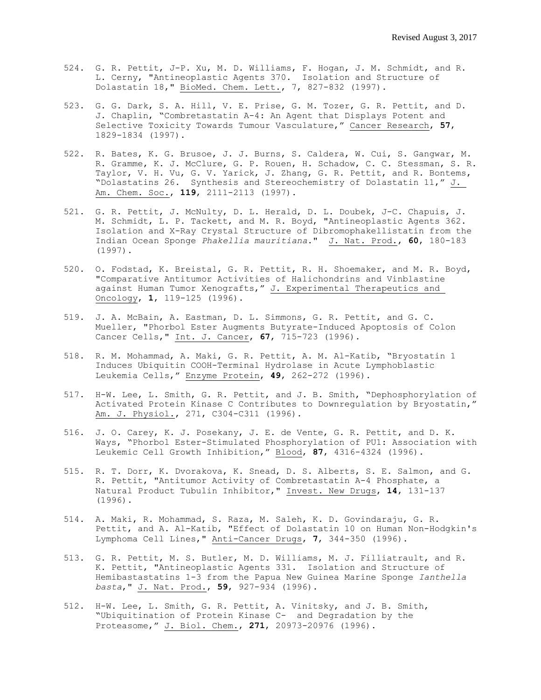- 524. G. R. Pettit, J-P. Xu, M. D. Williams, F. Hogan, J. M. Schmidt, and R. L. Cerny, "Antineoplastic Agents 370. Isolation and Structure of Dolastatin 18," BioMed. Chem. Lett., 7, 827-832 (1997).
- 523. G. G. Dark, S. A. Hill, V. E. Prise, G. M. Tozer, G. R. Pettit, and D. J. Chaplin, "Combretastatin A-4: An Agent that Displays Potent and Selective Toxicity Towards Tumour Vasculature," Cancer Research, **57**, 1829-1834 (1997).
- 522. R. Bates, K. G. Brusoe, J. J. Burns, S. Caldera, W. Cui, S. Gangwar, M. R. Gramme, K. J. McClure, G. P. Rouen, H. Schadow, C. C. Stessman, S. R. Taylor, V. H. Vu, G. V. Yarick, J. Zhang, G. R. Pettit, and R. Bontems, "Dolastatins 26. Synthesis and Stereochemistry of Dolastatin 11," J. Am. Chem. Soc., **119**, 2111-2113 (1997).
- 521. G. R. Pettit, J. McNulty, D. L. Herald, D. L. Doubek, J-C. Chapuis, J. M. Schmidt, L. P. Tackett, and M. R. Boyd, "Antineoplastic Agents 362. Isolation and X-Ray Crystal Structure of Dibromophakellistatin from the Indian Ocean Sponge *Phakellia mauritiana*." J. Nat. Prod., **60**, 180-183 (1997).
- 520. O. Fodstad, K. Breistal, G. R. Pettit, R. H. Shoemaker, and M. R. Boyd, "Comparative Antitumor Activities of Halichondrins and Vinblastine against Human Tumor Xenografts," J. Experimental Therapeutics and Oncology, **1**, 119-125 (1996).
- 519. J. A. McBain, A. Eastman, D. L. Simmons, G. R. Pettit, and G. C. Mueller, "Phorbol Ester Augments Butyrate-Induced Apoptosis of Colon Cancer Cells," Int. J. Cancer, **67**, 715-723 (1996).
- 518. R. M. Mohammad, A. Maki, G. R. Pettit, A. M. Al-Katib, "Bryostatin 1 Induces Ubiquitin COOH-Terminal Hydrolase in Acute Lymphoblastic Leukemia Cells," Enzyme Protein, **49**, 262-272 (1996).
- 517. H-W. Lee, L. Smith, G. R. Pettit, and J. B. Smith, "Dephosphorylation of Activated Protein Kinase C Contributes to Downregulation by Bryostatin," Am. J. Physiol., 271, C304-C311 (1996).
- 516. J. O. Carey, K. J. Posekany, J. E. de Vente, G. R. Pettit, and D. K. Ways, "Phorbol Ester-Stimulated Phosphorylation of PU1: Association with Leukemic Cell Growth Inhibition," Blood, **87**, 4316-4324 (1996).
- 515. R. T. Dorr, K. Dvorakova, K. Snead, D. S. Alberts, S. E. Salmon, and G. R. Pettit, "Antitumor Activity of Combretastatin A-4 Phosphate, a Natural Product Tubulin Inhibitor," Invest. New Drugs, **14**, 131-137 (1996).
- 514. A. Maki, R. Mohammad, S. Raza, M. Saleh, K. D. Govindaraju, G. R. Pettit, and A. Al-Katib, "Effect of Dolastatin 10 on Human Non-Hodgkin's Lymphoma Cell Lines," Anti-Cancer Drugs, **7**, 344-350 (1996).
- 513. G. R. Pettit, M. S. Butler, M. D. Williams, M. J. Filliatrault, and R. K. Pettit, "Antineoplastic Agents 331. Isolation and Structure of Hemibastastatins 1-3 from the Papua New Guinea Marine Sponge *Ianthella basta*," J. Nat. Prod., **59**, 927-934 (1996).
- 512. H-W. Lee, L. Smith, G. R. Pettit, A. Vinitsky, and J. B. Smith, "Ubiquitination of Protein Kinase C- and Degradation by the Proteasome," J. Biol. Chem., **271**, 20973-20976 (1996).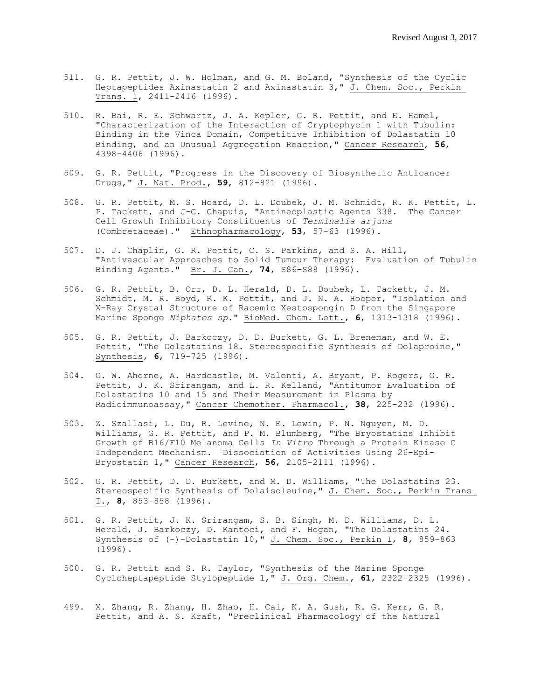- 511. G. R. Pettit, J. W. Holman, and G. M. Boland, "Synthesis of the Cyclic Heptapeptides Axinastatin 2 and Axinastatin 3," J. Chem. Soc., Perkin Trans. 1, 2411-2416 (1996).
- 510. R. Bai, R. E. Schwartz, J. A. Kepler, G. R. Pettit, and E. Hamel, "Characterization of the Interaction of Cryptophycin 1 with Tubulin: Binding in the Vinca Domain, Competitive Inhibition of Dolastatin 10 Binding, and an Unusual Aggregation Reaction," Cancer Research, **56**, 4398-4406 (1996).
- 509. G. R. Pettit, "Progress in the Discovery of Biosynthetic Anticancer Drugs," J. Nat. Prod., **59**, 812-821 (1996).
- 508. G. R. Pettit, M. S. Hoard, D. L. Doubek, J. M. Schmidt, R. K. Pettit, L. P. Tackett, and J-C. Chapuis, "Antineoplastic Agents 338. The Cancer Cell Growth Inhibitory Constituents of *Terminalia arjuna* (Combretaceae)." Ethnopharmacology, **53**, 57-63 (1996).
- 507. D. J. Chaplin, G. R. Pettit, C. S. Parkins, and S. A. Hill, "Antivascular Approaches to Solid Tumour Therapy: Evaluation of Tubulin Binding Agents." Br. J. Can., **74**, S86-S88 (1996).
- 506. G. R. Pettit, B. Orr, D. L. Herald, D. L. Doubek, L. Tackett, J. M. Schmidt, M. R. Boyd, R. K. Pettit, and J. N. A. Hooper, "Isolation and X-Ray Crystal Structure of Racemic Xestospongin D from the Singapore Marine Sponge *Niphates sp.*" BioMed. Chem. Lett., **6**, 1313-1318 (1996).
- 505. G. R. Pettit, J. Barkoczy, D. D. Burkett, G. L. Breneman, and W. E. Pettit, "The Dolastatins 18. Stereospecific Synthesis of Dolaproine," Synthesis, **6**, 719-725 (1996).
- 504. G. W. Aherne, A. Hardcastle, M. Valenti, A. Bryant, P. Rogers, G. R. Pettit, J. K. Srirangam, and L. R. Kelland, "Antitumor Evaluation of Dolastatins 10 and 15 and Their Measurement in Plasma by Radioimmunoassay," Cancer Chemother. Pharmacol., **38**, 225-232 (1996).
- 503. Z. Szallasi, L. Du, R. Levine, N. E. Lewin, P. N. Nguyen, M. D. Williams, G. R. Pettit, and P. M. Blumberg, "The Bryostatins Inhibit Growth of B16/F10 Melanoma Cells *In Vitro* Through a Protein Kinase C Independent Mechanism. Dissociation of Activities Using 26-Epi-Bryostatin 1," Cancer Research, **56**, 2105-2111 (1996).
- 502. G. R. Pettit, D. D. Burkett, and M. D. Williams, "The Dolastatins 23. Stereospecific Synthesis of Dolaisoleuine," J. Chem. Soc., Perkin Trans I., **8**, 853-858 (1996).
- 501. G. R. Pettit, J. K. Srirangam, S. B. Singh, M. D. Williams, D. L. Herald, J. Barkoczy, D. Kantoci, and F. Hogan, "The Dolastatins 24. Synthesis of (-)-Dolastatin 10," J. Chem. Soc., Perkin I, **8**, 859-863 (1996).
- 500. G. R. Pettit and S. R. Taylor, "Synthesis of the Marine Sponge Cycloheptapeptide Stylopeptide 1," J. Org. Chem., **61**, 2322-2325 (1996).
- 499. X. Zhang, R. Zhang, H. Zhao, H. Cai, K. A. Gush, R. G. Kerr, G. R. Pettit, and A. S. Kraft, "Preclinical Pharmacology of the Natural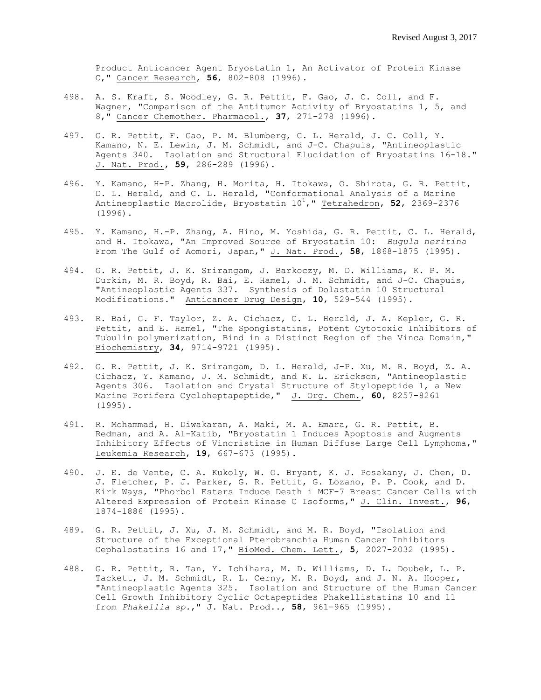Product Anticancer Agent Bryostatin 1, An Activator of Protein Kinase C," Cancer Research, **56**, 802-808 (1996).

- 498. A. S. Kraft, S. Woodley, G. R. Pettit, F. Gao, J. C. Coll, and F. Wagner, "Comparison of the Antitumor Activity of Bryostatins 1, 5, and 8," Cancer Chemother. Pharmacol., **37**, 271-278 (1996).
- 497. G. R. Pettit, F. Gao, P. M. Blumberg, C. L. Herald, J. C. Coll, Y. Kamano, N. E. Lewin, J. M. Schmidt, and J-C. Chapuis, "Antineoplastic Agents 340. Isolation and Structural Elucidation of Bryostatins 16-18." J. Nat. Prod., **59**, 286-289 (1996).
- 496. Y. Kamano, H-P. Zhang, H. Morita, H. Itokawa, O. Shirota, G. R. Pettit, D. L. Herald, and C. L. Herald, "Conformational Analysis of a Marine Antineoplastic Macrolide, Bryostatin 10<sup>1</sup>," Tetrahedron, 52, 2369-2376 (1996).
- 495. Y. Kamano, H.-P. Zhang, A. Hino, M. Yoshida, G. R. Pettit, C. L. Herald, and H. Itokawa, "An Improved Source of Bryostatin 10: *Bugula neritina* From The Gulf of Aomori, Japan," J. Nat. Prod., **58**, 1868-1875 (1995).
- 494. G. R. Pettit, J. K. Srirangam, J. Barkoczy, M. D. Williams, K. P. M. Durkin, M. R. Boyd, R. Bai, E. Hamel, J. M. Schmidt, and J-C. Chapuis, "Antineoplastic Agents 337. Synthesis of Dolastatin 10 Structural Modifications." Anticancer Drug Design, **10**, 529-544 (1995).
- 493. R. Bai, G. F. Taylor, Z. A. Cichacz, C. L. Herald, J. A. Kepler, G. R. Pettit, and E. Hamel, "The Spongistatins, Potent Cytotoxic Inhibitors of Tubulin polymerization, Bind in a Distinct Region of the Vinca Domain," Biochemistry, **34**, 9714-9721 (1995).
- 492. G. R. Pettit, J. K. Srirangam, D. L. Herald, J-P. Xu, M. R. Boyd, Z. A. Cichacz, Y. Kamano, J. M. Schmidt, and K. L. Erickson, "Antineoplastic Agents 306. Isolation and Crystal Structure of Stylopeptide 1, a New Marine Porifera Cycloheptapeptide," J. Org. Chem., **60**, 8257-8261 (1995).
- 491. R. Mohammad, H. Diwakaran, A. Maki, M. A. Emara, G. R. Pettit, B. Redman, and A. Al-Katib, "Bryostatin 1 Induces Apoptosis and Augments Inhibitory Effects of Vincristine in Human Diffuse Large Cell Lymphoma," Leukemia Research, **19**, 667-673 (1995).
- 490. J. E. de Vente, C. A. Kukoly, W. O. Bryant, K. J. Posekany, J. Chen, D. J. Fletcher, P. J. Parker, G. R. Pettit, G. Lozano, P. P. Cook, and D. Kirk Ways, "Phorbol Esters Induce Death i MCF-7 Breast Cancer Cells with Altered Expression of Protein Kinase C Isoforms," J. Clin. Invest., **96**, 1874-1886 (1995).
- 489. G. R. Pettit, J. Xu, J. M. Schmidt, and M. R. Boyd, "Isolation and Structure of the Exceptional Pterobranchia Human Cancer Inhibitors Cephalostatins 16 and 17," BioMed. Chem. Lett., **5**, 2027-2032 (1995).
- 488. G. R. Pettit, R. Tan, Y. Ichihara, M. D. Williams, D. L. Doubek, L. P. Tackett, J. M. Schmidt, R. L. Cerny, M. R. Boyd, and J. N. A. Hooper, "Antineoplastic Agents 325. Isolation and Structure of the Human Cancer Cell Growth Inhibitory Cyclic Octapeptides Phakellistatins 10 and 11 from *Phakellia sp.*," J. Nat. Prod.., **58**, 961-965 (1995).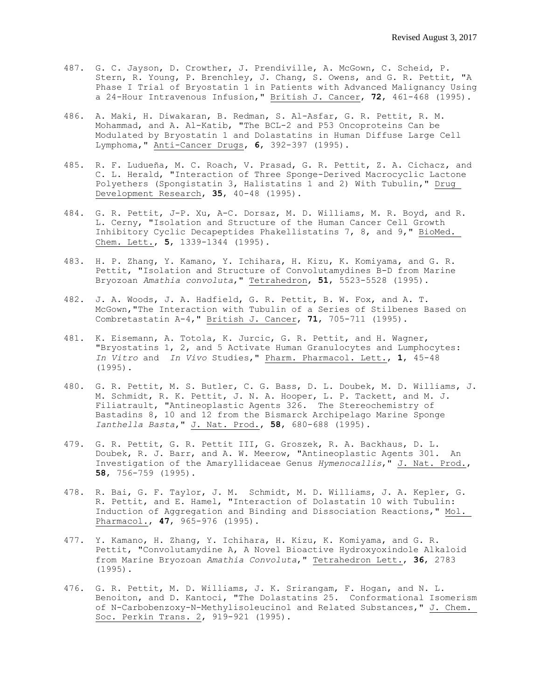- 487. G. C. Jayson, D. Crowther, J. Prendiville, A. McGown, C. Scheid, P. Stern, R. Young, P. Brenchley, J. Chang, S. Owens, and G. R. Pettit, "A Phase I Trial of Bryostatin 1 in Patients with Advanced Malignancy Using a 24-Hour Intravenous Infusion," British J. Cancer, **72**, 461-468 (1995).
- 486. A. Maki, H. Diwakaran, B. Redman, S. Al-Asfar, G. R. Pettit, R. M. Mohammad, and A. Al-Katib, "The BCL-2 and P53 Oncoproteins Can be Modulated by Bryostatin 1 and Dolastatins in Human Diffuse Large Cell Lymphoma," Anti-Cancer Drugs, **6**, 392-397 (1995).
- 485. R. F. Ludueña, M. C. Roach, V. Prasad, G. R. Pettit, Z. A. Cichacz, and C. L. Herald, "Interaction of Three Sponge-Derived Macrocyclic Lactone Polyethers (Spongistatin 3, Halistatins 1 and 2) With Tubulin," Drug Development Research, **35**, 40-48 (1995).
- 484. G. R. Pettit, J-P. Xu, A-C. Dorsaz, M. D. Williams, M. R. Boyd, and R. L. Cerny, "Isolation and Structure of the Human Cancer Cell Growth Inhibitory Cyclic Decapeptides Phakellistatins 7, 8, and 9," BioMed. Chem. Lett., **5**, 1339-1344 (1995).
- 483. H. P. Zhang, Y. Kamano, Y. Ichihara, H. Kizu, K. Komiyama, and G. R. Pettit, "Isolation and Structure of Convolutamydines B-D from Marine Bryozoan *Amathia convoluta*," Tetrahedron, **51**, 5523-5528 (1995).
- 482. J. A. Woods, J. A. Hadfield, G. R. Pettit, B. W. Fox, and A. T. McGown,"The Interaction with Tubulin of a Series of Stilbenes Based on Combretastatin A-4," British J. Cancer, **71**, 705-711 (1995).
- 481. K. Eisemann, A. Totola, K. Jurcic, G. R. Pettit, and H. Wagner, "Bryostatins 1, 2, and 5 Activate Human Granulocytes and Lumphocytes: *In Vitro* and *In Vivo* Studies," Pharm. Pharmacol. Lett., **1**, 45-48 (1995).
- 480. G. R. Pettit, M. S. Butler, C. G. Bass, D. L. Doubek, M. D. Williams, J. M. Schmidt, R. K. Pettit, J. N. A. Hooper, L. P. Tackett, and M. J. Filiatrault, "Antineoplastic Agents 326. The Stereochemistry of Bastadins 8, 10 and 12 from the Bismarck Archipelago Marine Sponge *Ianthella Basta*," J. Nat. Prod., **58**, 680-688 (1995).
- 479. G. R. Pettit, G. R. Pettit III, G. Groszek, R. A. Backhaus, D. L. Doubek, R. J. Barr, and A. W. Meerow, "Antineoplastic Agents 301. An Investigation of the Amaryllidaceae Genus *Hymenocallis*," J. Nat. Prod., **58**, 756-759 (1995).
- 478. R. Bai, G. F. Taylor, J. M. Schmidt, M. D. Williams, J. A. Kepler, G. R. Pettit, and E. Hamel, "Interaction of Dolastatin 10 with Tubulin: Induction of Aggregation and Binding and Dissociation Reactions," Mol. Pharmacol., **47**, 965-976 (1995).
- 477. Y. Kamano, H. Zhang, Y. Ichihara, H. Kizu, K. Komiyama, and G. R. Pettit, "Convolutamydine A, A Novel Bioactive Hydroxyoxindole Alkaloid from Marine Bryozoan *Amathia Convoluta*," Tetrahedron Lett., **36**, 2783 (1995).
- 476. G. R. Pettit, M. D. Williams, J. K. Srirangam, F. Hogan, and N. L. Benoiton, and D. Kantoci, "The Dolastatins 25. Conformational Isomerism of N-Carbobenzoxy-N-Methylisoleucinol and Related Substances," J. Chem. Soc. Perkin Trans. 2, 919-921 (1995).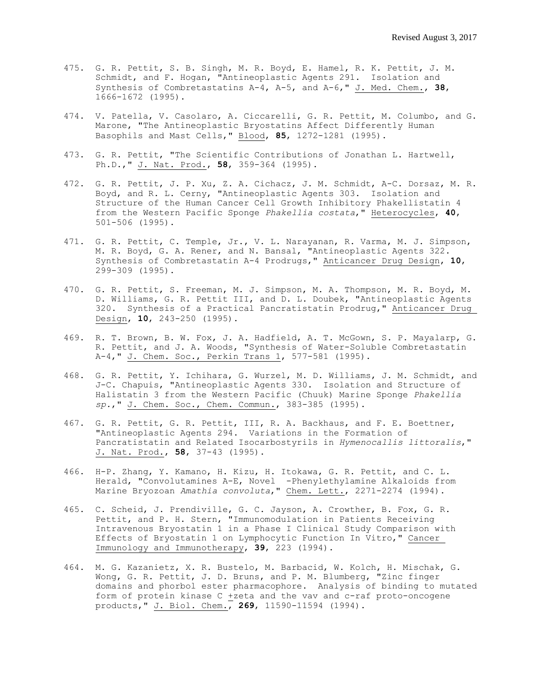- 475. G. R. Pettit, S. B. Singh, M. R. Boyd, E. Hamel, R. K. Pettit, J. M. Schmidt, and F. Hogan, "Antineoplastic Agents 291. Isolation and Synthesis of Combretastatins A-4, A-5, and A-6," J. Med. Chem., **38**, 1666-1672 (1995).
- 474. V. Patella, V. Casolaro, A. Ciccarelli, G. R. Pettit, M. Columbo, and G. Marone, "The Antineoplastic Bryostatins Affect Differently Human Basophils and Mast Cells," Blood, **85**, 1272-1281 (1995).
- 473. G. R. Pettit, "The Scientific Contributions of Jonathan L. Hartwell, Ph.D.," J. Nat. Prod., **58**, 359-364 (1995).
- 472. G. R. Pettit, J. P. Xu, Z. A. Cichacz, J. M. Schmidt, A-C. Dorsaz, M. R. Boyd, and R. L. Cerny, "Antineoplastic Agents 303. Isolation and Structure of the Human Cancer Cell Growth Inhibitory Phakellistatin 4 from the Western Pacific Sponge *Phakellia costata*," Heterocycles, **40**, 501-506 (1995).
- 471. G. R. Pettit, C. Temple, Jr., V. L. Narayanan, R. Varma, M. J. Simpson, M. R. Boyd, G. A. Rener, and N. Bansal, "Antineoplastic Agents 322. Synthesis of Combretastatin A-4 Prodrugs," Anticancer Drug Design, **10**, 299-309 (1995).
- 470. G. R. Pettit, S. Freeman, M. J. Simpson, M. A. Thompson, M. R. Boyd, M. D. Williams, G. R. Pettit III, and D. L. Doubek, "Antineoplastic Agents 320. Synthesis of a Practical Pancratistatin Prodrug," Anticancer Drug Design, **10**, 243-250 (1995).
- 469. R. T. Brown, B. W. Fox, J. A. Hadfield, A. T. McGown, S. P. Mayalarp, G. R. Pettit, and J. A. Woods, "Synthesis of Water-Soluble Combretastatin A-4," J. Chem. Soc., Perkin Trans 1, 577-581 (1995).
- 468. G. R. Pettit, Y. Ichihara, G. Wurzel, M. D. Williams, J. M. Schmidt, and J-C. Chapuis, "Antineoplastic Agents 330. Isolation and Structure of Halistatin 3 from the Western Pacific (Chuuk) Marine Sponge *Phakellia sp.*," J. Chem. Soc., Chem. Commun., 383-385 (1995).
- 467. G. R. Pettit, G. R. Pettit, III, R. A. Backhaus, and F. E. Boettner, "Antineoplastic Agents 294. Variations in the Formation of Pancratistatin and Related Isocarbostyrils in *Hymenocallis littoralis*," J. Nat. Prod., **58**, 37-43 (1995).
- 466. H-P. Zhang, Y. Kamano, H. Kizu, H. Itokawa, G. R. Pettit, and C. L. Herald, "Convolutamines A-E, Novel -Phenylethylamine Alkaloids from Marine Bryozoan *Amathia convoluta*," Chem. Lett., 2271-2274 (1994).
- 465. C. Scheid, J. Prendiville, G. C. Jayson, A. Crowther, B. Fox, G. R. Pettit, and P. H. Stern, "Immunomodulation in Patients Receiving Intravenous Bryostatin 1 in a Phase I Clinical Study Comparison with Effects of Bryostatin 1 on Lymphocytic Function In Vitro," Cancer Immunology and Immunotherapy, **39**, 223 (1994).
- 464. M. G. Kazanietz, X. R. Bustelo, M. Barbacid, W. Kolch, H. Mischak, G. Wong, G. R. Pettit, J. D. Bruns, and P. M. Blumberg, "Zinc finger domains and phorbol ester pharmacophore. Analysis of binding to mutated form of protein kinase C +zeta and the vav and c-raf proto-oncogene products," J. Biol. Chem., **269**, 11590-11594 (1994).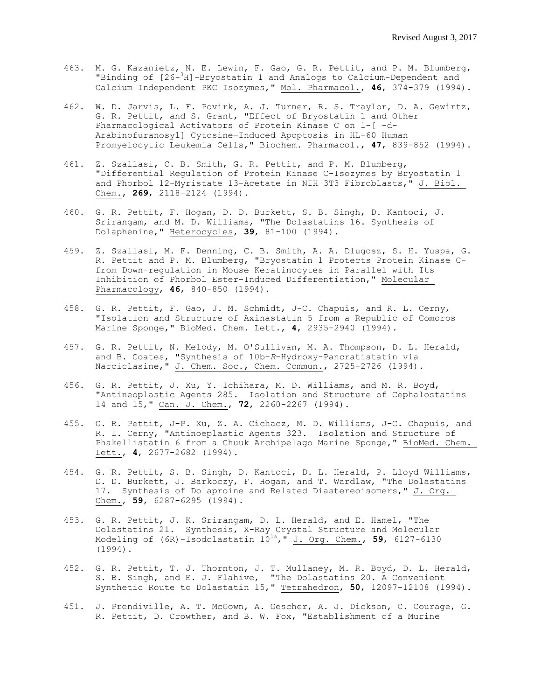- 463. M. G. Kazanietz, N. E. Lewin, F. Gao, G. R. Pettit, and P. M. Blumberg, "Binding of [26- <sup>3</sup>H]-Bryostatin 1 and Analogs to Calcium-Dependent and Calcium Independent PKC Isozymes," Mol. Pharmacol., **46**, 374-379 (1994).
- 462. W. D. Jarvis, L. F. Povirk, A. J. Turner, R. S. Traylor, D. A. Gewirtz, G. R. Pettit, and S. Grant, "Effect of Bryostatin 1 and Other Pharmacological Activators of Protein Kinase C on 1-[ -d-Arabinofuranosyl] Cytosine-Induced Apoptosis in HL-60 Human Promyelocytic Leukemia Cells," Biochem. Pharmacol., **47**, 839-852 (1994).
- 461. Z. Szallasi, C. B. Smith, G. R. Pettit, and P. M. Blumberg, "Differential Regulation of Protein Kinase C-Isozymes by Bryostatin 1 and Phorbol 12-Myristate 13-Acetate in NIH 3T3 Fibroblasts," J. Biol. Chem., **269**, 2118-2124 (1994).
- 460. G. R. Pettit, F. Hogan, D. D. Burkett, S. B. Singh, D. Kantoci, J. Srirangam, and M. D. Williams, "The Dolastatins 16. Synthesis of Dolaphenine," Heterocycles, **39**, 81-100 (1994).
- 459. Z. Szallasi, M. F. Denning, C. B. Smith, A. A. Dlugosz, S. H. Yuspa, G. R. Pettit and P. M. Blumberg, "Bryostatin 1 Protects Protein Kinase Cfrom Down-regulation in Mouse Keratinocytes in Parallel with Its Inhibition of Phorbol Ester-Induced Differentiation," Molecular Pharmacology, **46**, 840-850 (1994).
- 458. G. R. Pettit, F. Gao, J. M. Schmidt, J-C. Chapuis, and R. L. Cerny, "Isolation and Structure of Axinastatin 5 from a Republic of Comoros Marine Sponge," BioMed. Chem. Lett., **4**, 2935-2940 (1994).
- 457. G. R. Pettit, N. Melody, M. O'Sullivan, M. A. Thompson, D. L. Herald, and B. Coates, "Synthesis of 10b-*R*-Hydroxy-Pancratistatin via Narciclasine," J. Chem. Soc., Chem. Commun., 2725-2726 (1994).
- 456. G. R. Pettit, J. Xu, Y. Ichihara, M. D. Williams, and M. R. Boyd, "Antineoplastic Agents 285. Isolation and Structure of Cephalostatins 14 and 15," Can. J. Chem., **72**, 2260-2267 (1994).
- 455. G. R. Pettit, J-P. Xu, Z. A. Cichacz, M. D. Williams, J-C. Chapuis, and R. L. Cerny, "Antinoeplastic Agents 323. Isolation and Structure of Phakellistatin 6 from a Chuuk Archipelago Marine Sponge," BioMed. Chem. Lett., **4**, 2677-2682 (1994).
- 454. G. R. Pettit, S. B. Singh, D. Kantoci, D. L. Herald, P. Lloyd Williams, D. D. Burkett, J. Barkoczy, F. Hogan, and T. Wardlaw, "The Dolastatins 17. Synthesis of Dolaproine and Related Diastereoisomers," J. Org. Chem., **59**, 6287-6295 (1994).
- 453. G. R. Pettit, J. K. Srirangam, D. L. Herald, and E. Hamel, "The Dolastatins 21. Synthesis, X-Ray Crystal Structure and Molecular Modeling of (6R)-Isodolastatin 101a," J. Org. Chem., **59**, 6127-6130 (1994).
- 452. G. R. Pettit, T. J. Thornton, J. T. Mullaney, M. R. Boyd, D. L. Herald, S. B. Singh, and E. J. Flahive, "The Dolastatins 20. A Convenient Synthetic Route to Dolastatin 15," Tetrahedron, **50**, 12097-12108 (1994).
- 451. J. Prendiville, A. T. McGown, A. Gescher, A. J. Dickson, C. Courage, G. R. Pettit, D. Crowther, and B. W. Fox, "Establishment of a Murine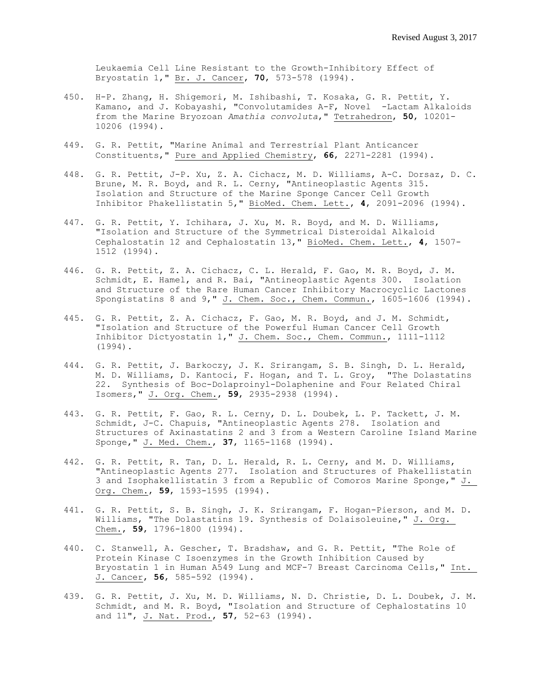Leukaemia Cell Line Resistant to the Growth-Inhibitory Effect of Bryostatin 1," Br. J. Cancer, **70**, 573-578 (1994).

- 450. H-P. Zhang, H. Shigemori, M. Ishibashi, T. Kosaka, G. R. Pettit, Y. Kamano, and J. Kobayashi, "Convolutamides A-F, Novel -Lactam Alkaloids from the Marine Bryozoan *Amathia convoluta*," Tetrahedron, **50**, 10201- 10206 (1994).
- 449. G. R. Pettit, "Marine Animal and Terrestrial Plant Anticancer Constituents," Pure and Applied Chemistry, **66**, 2271-2281 (1994).
- 448. G. R. Pettit, J-P. Xu, Z. A. Cichacz, M. D. Williams, A-C. Dorsaz, D. C. Brune, M. R. Boyd, and R. L. Cerny, "Antineoplastic Agents 315. Isolation and Structure of the Marine Sponge Cancer Cell Growth Inhibitor Phakellistatin 5," BioMed. Chem. Lett., **4**, 2091-2096 (1994).
- 447. G. R. Pettit, Y. Ichihara, J. Xu, M. R. Boyd, and M. D. Williams, "Isolation and Structure of the Symmetrical Disteroidal Alkaloid Cephalostatin 12 and Cephalostatin 13," BioMed. Chem. Lett., **4**, 1507- 1512 (1994).
- 446. G. R. Pettit, Z. A. Cichacz, C. L. Herald, F. Gao, M. R. Boyd, J. M. Schmidt, E. Hamel, and R. Bai, "Antineoplastic Agents 300. Isolation and Structure of the Rare Human Cancer Inhibitory Macrocyclic Lactones Spongistatins 8 and 9," J. Chem. Soc., Chem. Commun., 1605-1606 (1994).
- 445. G. R. Pettit, Z. A. Cichacz, F. Gao, M. R. Boyd, and J. M. Schmidt, "Isolation and Structure of the Powerful Human Cancer Cell Growth Inhibitor Dictyostatin 1," J. Chem. Soc., Chem. Commun., 1111-1112 (1994).
- 444. G. R. Pettit, J. Barkoczy, J. K. Srirangam, S. B. Singh, D. L. Herald, M. D. Williams, D. Kantoci, F. Hogan, and T. L. Groy, "The Dolastatins 22. Synthesis of Boc-Dolaproinyl-Dolaphenine and Four Related Chiral Isomers," J. Org. Chem., **59**, 2935-2938 (1994).
- 443. G. R. Pettit, F. Gao, R. L. Cerny, D. L. Doubek, L. P. Tackett, J. M. Schmidt, J-C. Chapuis, "Antineoplastic Agents 278. Isolation and Structures of Axinastatins 2 and 3 from a Western Caroline Island Marine Sponge," J. Med. Chem., **37**, 1165-1168 (1994).
- 442. G. R. Pettit, R. Tan, D. L. Herald, R. L. Cerny, and M. D. Williams, "Antineoplastic Agents 277. Isolation and Structures of Phakellistatin 3 and Isophakellistatin 3 from a Republic of Comoros Marine Sponge," J. Org. Chem., **59**, 1593-1595 (1994).
- 441. G. R. Pettit, S. B. Singh, J. K. Srirangam, F. Hogan-Pierson, and M. D. Williams, "The Dolastatins 19. Synthesis of Dolaisoleuine," J. Org. Chem., **59**, 1796-1800 (1994).
- 440. C. Stanwell, A. Gescher, T. Bradshaw, and G. R. Pettit, "The Role of Protein Kinase C Isoenzymes in the Growth Inhibition Caused by Bryostatin 1 in Human A549 Lung and MCF-7 Breast Carcinoma Cells," Int. J. Cancer, **56**, 585-592 (1994).
- 439. G. R. Pettit, J. Xu, M. D. Williams, N. D. Christie, D. L. Doubek, J. M. Schmidt, and M. R. Boyd, "Isolation and Structure of Cephalostatins 10 and 11", J. Nat. Prod., **57**, 52-63 (1994).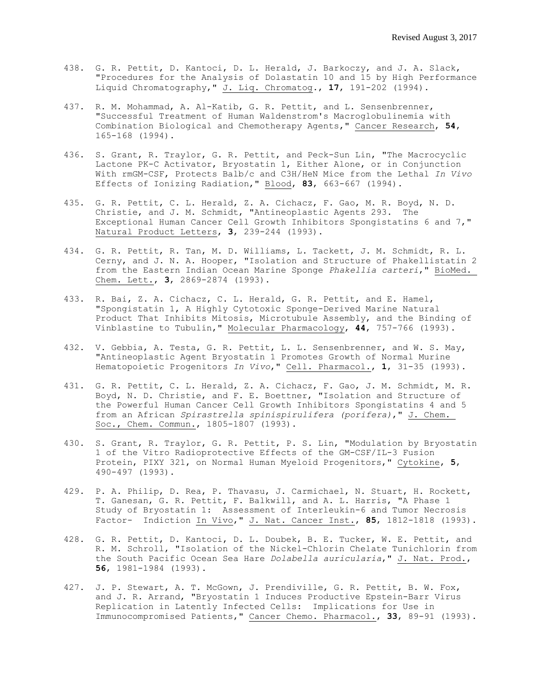- 438. G. R. Pettit, D. Kantoci, D. L. Herald, J. Barkoczy, and J. A. Slack, "Procedures for the Analysis of Dolastatin 10 and 15 by High Performance Liquid Chromatography," J. Liq. Chromatog., **17**, 191-202 (1994).
- 437. R. M. Mohammad, A. Al-Katib, G. R. Pettit, and L. Sensenbrenner, "Successful Treatment of Human Waldenstrom's Macroglobulinemia with Combination Biological and Chemotherapy Agents," Cancer Research, **54**, 165-168 (1994).
- 436. S. Grant, R. Traylor, G. R. Pettit, and Peck-Sun Lin, "The Macrocyclic Lactone PK-C Activator, Bryostatin 1, Either Alone, or in Conjunction With rmGM-CSF, Protects Balb/c and C3H/HeN Mice from the Lethal *In Vivo* Effects of Ionizing Radiation," Blood, **83**, 663-667 (1994).
- 435. G. R. Pettit, C. L. Herald, Z. A. Cichacz, F. Gao, M. R. Boyd, N. D. Christie, and J. M. Schmidt, "Antineoplastic Agents 293. The Exceptional Human Cancer Cell Growth Inhibitors Spongistatins 6 and 7," Natural Product Letters, **3**, 239-244 (1993).
- 434. G. R. Pettit, R. Tan, M. D. Williams, L. Tackett, J. M. Schmidt, R. L. Cerny, and J. N. A. Hooper, "Isolation and Structure of Phakellistatin 2 from the Eastern Indian Ocean Marine Sponge *Phakellia carteri*," BioMed. Chem. Lett., **3**, 2869-2874 (1993).
- 433. R. Bai, Z. A. Cichacz, C. L. Herald, G. R. Pettit, and E. Hamel, "Spongistatin 1, A Highly Cytotoxic Sponge-Derived Marine Natural Product That Inhibits Mitosis, Microtubule Assembly, and the Binding of Vinblastine to Tubulin," Molecular Pharmacology, **44**, 757-766 (1993).
- 432. V. Gebbia, A. Testa, G. R. Pettit, L. L. Sensenbrenner, and W. S. May, "Antineoplastic Agent Bryostatin 1 Promotes Growth of Normal Murine Hematopoietic Progenitors *In Vivo*," Cell. Pharmacol., **1**, 31-35 (1993).
- 431. G. R. Pettit, C. L. Herald, Z. A. Cichacz, F. Gao, J. M. Schmidt, M. R. Boyd, N. D. Christie, and F. E. Boettner, "Isolation and Structure of the Powerful Human Cancer Cell Growth Inhibitors Spongistatins 4 and 5 from an African *Spirastrella spinispirulifera (porifera)*," J. Chem. Soc., Chem. Commun., 1805-1807 (1993).
- 430. S. Grant, R. Traylor, G. R. Pettit, P. S. Lin, "Modulation by Bryostatin 1 of the Vitro Radioprotective Effects of the GM-CSF/IL-3 Fusion Protein, PIXY 321, on Normal Human Myeloid Progenitors," Cytokine, **5**, 490-497 (1993).
- 429. P. A. Philip, D. Rea, P. Thavasu, J. Carmichael, N. Stuart, H. Rockett, T. Ganesan, G. R. Pettit, F. Balkwill, and A. L. Harris, "A Phase 1 Study of Bryostatin 1: Assessment of Interleukin-6 and Tumor Necrosis Factor- Indiction In Vivo," J. Nat. Cancer Inst., **85**, 1812-1818 (1993).
- 428. G. R. Pettit, D. Kantoci, D. L. Doubek, B. E. Tucker, W. E. Pettit, and R. M. Schroll, "Isolation of the Nickel-Chlorin Chelate Tunichlorin from the South Pacific Ocean Sea Hare *Dolabella auricularia*," J. Nat. Prod., **56**, 1981-1984 (1993).
- 427. J. P. Stewart, A. T. McGown, J. Prendiville, G. R. Pettit, B. W. Fox, and J. R. Arrand, "Bryostatin 1 Induces Productive Epstein-Barr Virus Replication in Latently Infected Cells: Implications for Use in Immunocompromised Patients," Cancer Chemo. Pharmacol., **33**, 89-91 (1993).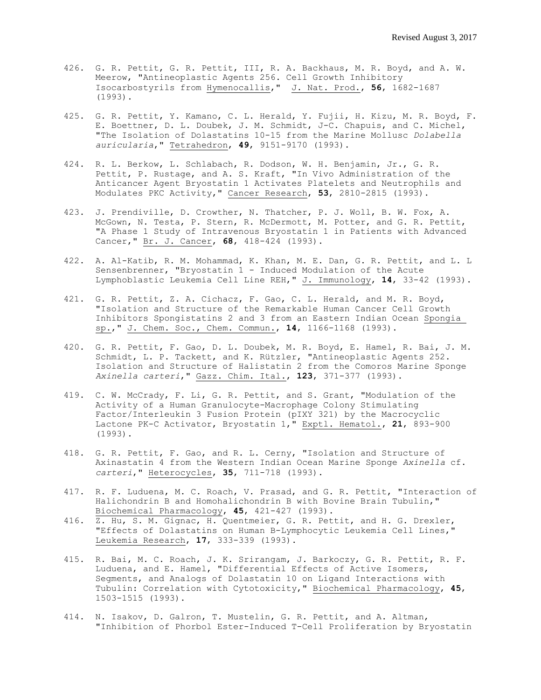- 426. G. R. Pettit, G. R. Pettit, III, R. A. Backhaus, M. R. Boyd, and A. W. Meerow, "Antineoplastic Agents 256. Cell Growth Inhibitory Isocarbostyrils from Hymenocallis," J. Nat. Prod., **56**, 1682-1687 (1993).
- 425. G. R. Pettit, Y. Kamano, C. L. Herald, Y. Fujii, H. Kizu, M. R. Boyd, F. E. Boettner, D. L. Doubek, J. M. Schmidt, J-C. Chapuis, and C. Michel, "The Isolation of Dolastatins 10-15 from the Marine Mollusc *Dolabella auricularia*," Tetrahedron, **49**, 9151-9170 (1993).
- 424. R. L. Berkow, L. Schlabach, R. Dodson, W. H. Benjamin, Jr., G. R. Pettit, P. Rustage, and A. S. Kraft, "In Vivo Administration of the Anticancer Agent Bryostatin 1 Activates Platelets and Neutrophils and Modulates PKC Activity," Cancer Research, **53**, 2810-2815 (1993).
- 423. J. Prendiville, D. Crowther, N. Thatcher, P. J. Woll, B. W. Fox, A. McGown, N. Testa, P. Stern, R. McDermott, M. Potter, and G. R. Pettit, "A Phase 1 Study of Intravenous Bryostatin 1 in Patients with Advanced Cancer," Br. J. Cancer, **68**, 418-424 (1993).
- 422. A. Al-Katib, R. M. Mohammad, K. Khan, M. E. Dan, G. R. Pettit, and L. L Sensenbrenner, "Bryostatin 1 - Induced Modulation of the Acute Lymphoblastic Leukemia Cell Line REH," J. Immunology, **14**, 33-42 (1993).
- 421. G. R. Pettit, Z. A. Cichacz, F. Gao, C. L. Herald, and M. R. Boyd, "Isolation and Structure of the Remarkable Human Cancer Cell Growth Inhibitors Spongistatins 2 and 3 from an Eastern Indian Ocean Spongia sp.," J. Chem. Soc., Chem. Commun., **14**, 1166-1168 (1993).
- 420. G. R. Pettit, F. Gao, D. L. Doubek, M. R. Boyd, E. Hamel, R. Bai, J. M. Schmidt, L. P. Tackett, and K. Rützler, "Antineoplastic Agents 252. Isolation and Structure of Halistatin 2 from the Comoros Marine Sponge *Axinella carteri*," Gazz. Chim. Ital., **123**, 371-377 (1993).
- 419. C. W. McCrady, F. Li, G. R. Pettit, and S. Grant, "Modulation of the Activity of a Human Granulocyte-Macrophage Colony Stimulating Factor/Interleukin 3 Fusion Protein (pIXY 321) by the Macrocyclic Lactone PK-C Activator, Bryostatin 1," Exptl. Hematol., **21**, 893-900 (1993).
- 418. G. R. Pettit, F. Gao, and R. L. Cerny, "Isolation and Structure of Axinastatin 4 from the Western Indian Ocean Marine Sponge *Axinella* cf. *carteri*," Heterocycles, **35**, 711-718 (1993).
- 417. R. F. Luduena, M. C. Roach, V. Prasad, and G. R. Pettit, "Interaction of Halichondrin B and Homohalichondrin B with Bovine Brain Tubulin," Biochemical Pharmacology, **45**, 421-427 (1993).
- 416.  $\overline{z}$ . Hu, S. M. Gignac, H. Quentmeier, G. R. Pettit, and H. G. Drexler, "Effects of Dolastatins on Human B-Lymphocytic Leukemia Cell Lines," Leukemia Research, **17**, 333-339 (1993).
- 415. R. Bai, M. C. Roach, J. K. Srirangam, J. Barkoczy, G. R. Pettit, R. F. Luduena, and E. Hamel, "Differential Effects of Active Isomers, Segments, and Analogs of Dolastatin 10 on Ligand Interactions with Tubulin: Correlation with Cytotoxicity," Biochemical Pharmacology, **45**, 1503-1515 (1993).
- 414. N. Isakov, D. Galron, T. Mustelin, G. R. Pettit, and A. Altman, "Inhibition of Phorbol Ester-Induced T-Cell Proliferation by Bryostatin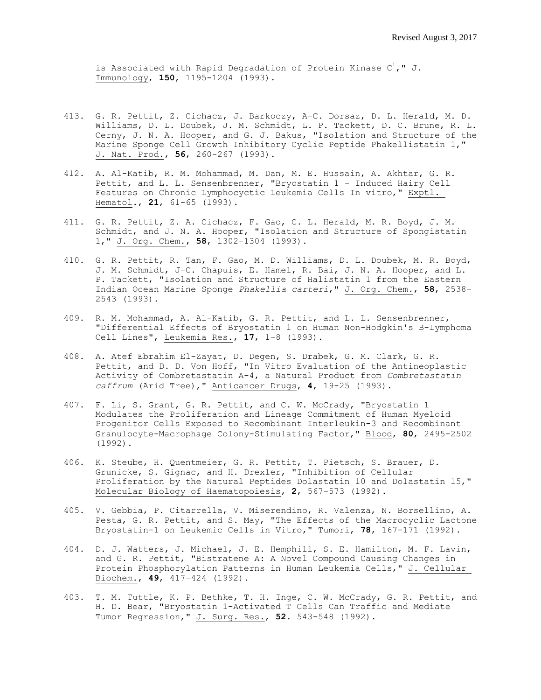is Associated with Rapid Degradation of Protein Kinase  $C^1$ ," J. Immunology, **150**, 1195-1204 (1993).

- 413. G. R. Pettit, Z. Cichacz, J. Barkoczy, A-C. Dorsaz, D. L. Herald, M. D. Williams, D. L. Doubek, J. M. Schmidt, L. P. Tackett, D. C. Brune, R. L. Cerny, J. N. A. Hooper, and G. J. Bakus, "Isolation and Structure of the Marine Sponge Cell Growth Inhibitory Cyclic Peptide Phakellistatin 1," J. Nat. Prod., **56**, 260-267 (1993).
- 412. A. Al-Katib, R. M. Mohammad, M. Dan, M. E. Hussain, A. Akhtar, G. R. Pettit, and L. L. Sensenbrenner, "Bryostatin 1 - Induced Hairy Cell Features on Chronic Lymphocyctic Leukemia Cells In vitro," Exptl. Hematol., **21**, 61-65 (1993).
- 411. G. R. Pettit, Z. A. Cichacz, F. Gao, C. L. Herald, M. R. Boyd, J. M. Schmidt, and J. N. A. Hooper, "Isolation and Structure of Spongistatin 1," J. Org. Chem., **58**, 1302-1304 (1993).
- 410. G. R. Pettit, R. Tan, F. Gao, M. D. Williams, D. L. Doubek, M. R. Boyd, J. M. Schmidt, J-C. Chapuis, E. Hamel, R. Bai, J. N. A. Hooper, and L. P. Tackett, "Isolation and Structure of Halistatin 1 from the Eastern Indian Ocean Marine Sponge *Phakellia carteri*," J. Org. Chem., **58**, 2538- 2543 (1993).
- 409. R. M. Mohammad, A. Al-Katib, G. R. Pettit, and L. L. Sensenbrenner, "Differential Effects of Bryostatin 1 on Human Non-Hodgkin's B-Lymphoma Cell Lines", Leukemia Res., **17**, 1-8 (1993).
- 408. A. Atef Ebrahim El-Zayat, D. Degen, S. Drabek, G. M. Clark, G. R. Pettit, and D. D. Von Hoff, "In Vitro Evaluation of the Antineoplastic Activity of Combretastatin A-4, a Natural Product from *Combretastatin caffrum* (Arid Tree)," Anticancer Drugs, **4**, 19-25 (1993).
- 407. F. Li, S. Grant, G. R. Pettit, and C. W. McCrady, "Bryostatin 1 Modulates the Proliferation and Lineage Commitment of Human Myeloid Progenitor Cells Exposed to Recombinant Interleukin-3 and Recombinant Granulocyte-Macrophage Colony-Stimulating Factor," Blood, **80**, 2495-2502 (1992).
- 406. K. Steube, H. Quentmeier, G. R. Pettit, T. Pietsch, S. Brauer, D. Grunicke, S. Gignac, and H. Drexler, "Inhibition of Cellular Proliferation by the Natural Peptides Dolastatin 10 and Dolastatin 15," Molecular Biology of Haematopoiesis, **2**, 567-573 (1992).
- 405. V. Gebbia, P. Citarrella, V. Miserendino, R. Valenza, N. Borsellino, A. Pesta, G. R. Pettit, and S. May, "The Effects of the Macrocyclic Lactone Bryostatin-1 on Leukemic Cells in Vitro," Tumori, **78**, 167-171 (1992).
- 404. D. J. Watters, J. Michael, J. E. Hemphill, S. E. Hamilton, M. F. Lavin, and G. R. Pettit, "Bistratene A: A Novel Compound Causing Changes in Protein Phosphorylation Patterns in Human Leukemia Cells," J. Cellular Biochem., **49**, 417-424 (1992).
- 403. T. M. Tuttle, K. P. Bethke, T. H. Inge, C. W. McCrady, G. R. Pettit, and H. D. Bear, "Bryostatin 1-Activated T Cells Can Traffic and Mediate Tumor Regression," J. Surg. Res., **52**. 543-548 (1992).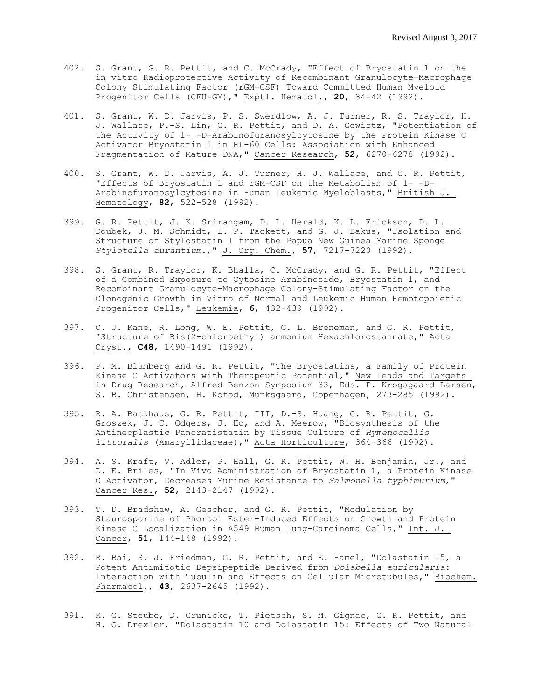- 402. S. Grant, G. R. Pettit, and C. McCrady, "Effect of Bryostatin 1 on the in vitro Radioprotective Activity of Recombinant Granulocyte-Macrophage Colony Stimulating Factor (rGM-CSF) Toward Committed Human Myeloid Progenitor Cells (CFU-GM)," Exptl. Hematol., **20**, 34-42 (1992).
- 401. S. Grant, W. D. Jarvis, P. S. Swerdlow, A. J. Turner, R. S. Traylor, H. J. Wallace, P.-S. Lin, G. R. Pettit, and D. A. Gewirtz, "Potentiation of the Activity of 1- -D-Arabinofuranosylcytosine by the Protein Kinase C Activator Bryostatin 1 in HL-60 Cells: Association with Enhanced Fragmentation of Mature DNA," Cancer Research, **52**, 6270-6278 (1992).
- 400. S. Grant, W. D. Jarvis, A. J. Turner, H. J. Wallace, and G. R. Pettit, "Effects of Bryostatin 1 and rGM-CSF on the Metabolism of 1- -D-Arabinofuranosylcytosine in Human Leukemic Myeloblasts," British J. Hematology, **82**, 522-528 (1992).
- 399. G. R. Pettit, J. K. Srirangam, D. L. Herald, K. L. Erickson, D. L. Doubek, J. M. Schmidt, L. P. Tackett, and G. J. Bakus, "Isolation and Structure of Stylostatin 1 from the Papua New Guinea Marine Sponge *Stylotella aurantium*.," J. Org. Chem., **57**, 7217-7220 (1992).
- 398. S. Grant, R. Traylor, K. Bhalla, C. McCrady, and G. R. Pettit, "Effect of a Combined Exposure to Cytosine Arabinoside, Bryostatin 1, and Recombinant Granulocyte-Macrophage Colony-Stimulating Factor on the Clonogenic Growth in Vitro of Normal and Leukemic Human Hemotopoietic Progenitor Cells," Leukemia, **6**, 432-439 (1992).
- 397. C. J. Kane, R. Long, W. E. Pettit, G. L. Breneman, and G. R. Pettit, "Structure of Bis(2-chloroethyl) ammonium Hexachlorostannate," Acta Cryst., **C48**, 1490-1491 (1992).
- 396. P. M. Blumberg and G. R. Pettit, "The Bryostatins, a Family of Protein Kinase C Activators with Therapeutic Potential," New Leads and Targets in Drug Research, Alfred Benzon Symposium 33, Eds. P. Krogsgaard-Larsen, S. B. Christensen, H. Kofod, Munksgaard, Copenhagen, 273-285 (1992).
- 395. R. A. Backhaus, G. R. Pettit, III, D.-S. Huang, G. R. Pettit, G. Groszek, J. C. Odgers, J. Ho, and A. Meerow, "Biosynthesis of the Antineoplastic Pancratistatin by Tissue Culture of *Hymenocallis littoralis* (Amaryllidaceae)," Acta Horticulture, 364-366 (1992).
- 394. A. S. Kraft, V. Adler, P. Hall, G. R. Pettit, W. H. Benjamin, Jr., and D. E. Briles, "In Vivo Administration of Bryostatin 1, a Protein Kinase C Activator, Decreases Murine Resistance to *Salmonella typhimurium*," Cancer Res., **52**, 2143-2147 (1992).
- 393. T. D. Bradshaw, A. Gescher, and G. R. Pettit, "Modulation by Staurosporine of Phorbol Ester-Induced Effects on Growth and Protein Kinase C Localization in A549 Human Lung-Carcinoma Cells," Int. J. Cancer, **51**, 144-148 (1992).
- 392. R. Bai, S. J. Friedman, G. R. Pettit, and E. Hamel, "Dolastatin 15, a Potent Antimitotic Depsipeptide Derived from *Dolabella auricularia*: Interaction with Tubulin and Effects on Cellular Microtubules," Biochem. Pharmacol., **43**, 2637-2645 (1992).
- 391. K. G. Steube, D. Grunicke, T. Pietsch, S. M. Gignac, G. R. Pettit, and H. G. Drexler, "Dolastatin 10 and Dolastatin 15: Effects of Two Natural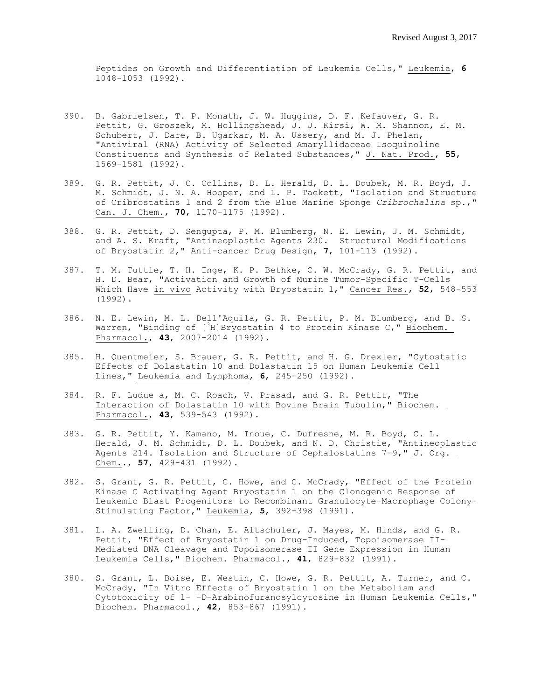Peptides on Growth and Differentiation of Leukemia Cells," Leukemia, **6** 1048-1053 (1992).

- 390. B. Gabrielsen, T. P. Monath, J. W. Huggins, D. F. Kefauver, G. R. Pettit, G. Groszek, M. Hollingshead, J. J. Kirsi, W. M. Shannon, E. M. Schubert, J. Dare, B. Ugarkar, M. A. Ussery, and M. J. Phelan, "Antiviral (RNA) Activity of Selected Amaryllidaceae Isoquinoline Constituents and Synthesis of Related Substances," J. Nat. Prod., **55**, 1569-1581 (1992).
- 389. G. R. Pettit, J. C. Collins, D. L. Herald, D. L. Doubek, M. R. Boyd, J. M. Schmidt, J. N. A. Hooper, and L. P. Tackett, "Isolation and Structure of Cribrostatins 1 and 2 from the Blue Marine Sponge *Cribrochalina* sp.," Can. J. Chem., **70**, 1170-1175 (1992).
- 388. G. R. Pettit, D. Sengupta, P. M. Blumberg, N. E. Lewin, J. M. Schmidt, and A. S. Kraft, "Antineoplastic Agents 230. Structural Modifications of Bryostatin 2," Anti-cancer Drug Design, **7**, 101-113 (1992).
- 387. T. M. Tuttle, T. H. Inge, K. P. Bethke, C. W. McCrady, G. R. Pettit, and H. D. Bear, "Activation and Growth of Murine Tumor-Specific T-Cells Which Have in vivo Activity with Bryostatin 1," Cancer Res., **52**, 548-553 (1992).
- 386. N. E. Lewin, M. L. Dell'Aquila, G. R. Pettit, P. M. Blumberg, and B. S. Warren, "Binding of  $[3H]$ Bryostatin 4 to Protein Kinase C," Biochem. Pharmacol., **43**, 2007-2014 (1992).
- 385. H. Quentmeier, S. Brauer, G. R. Pettit, and H. G. Drexler, "Cytostatic Effects of Dolastatin 10 and Dolastatin 15 on Human Leukemia Cell Lines," Leukemia and Lymphoma, **6**, 245-250 (1992).
- 384. R. F. Ludue a, M. C. Roach, V. Prasad, and G. R. Pettit, "The Interaction of Dolastatin 10 with Bovine Brain Tubulin," Biochem. Pharmacol., **43**, 539-543 (1992).
- 383. G. R. Pettit, Y. Kamano, M. Inoue, C. Dufresne, M. R. Boyd, C. L. Herald, J. M. Schmidt, D. L. Doubek, and N. D. Christie, "Antineoplastic Agents 214. Isolation and Structure of Cephalostatins 7-9," J. Org. Chem.., **57**, 429-431 (1992).
- 382. S. Grant, G. R. Pettit, C. Howe, and C. McCrady, "Effect of the Protein Kinase C Activating Agent Bryostatin 1 on the Clonogenic Response of Leukemic Blast Progenitors to Recombinant Granulocyte-Macrophage Colony-Stimulating Factor," Leukemia, **5**, 392-398 (1991).
- 381. L. A. Zwelling, D. Chan, E. Altschuler, J. Mayes, M. Hinds, and G. R. Pettit, "Effect of Bryostatin 1 on Drug-Induced, Topoisomerase II-Mediated DNA Cleavage and Topoisomerase II Gene Expression in Human Leukemia Cells," Biochem. Pharmacol., **41**, 829-832 (1991).
- 380. S. Grant, L. Boise, E. Westin, C. Howe, G. R. Pettit, A. Turner, and C. McCrady, "In Vitro Effects of Bryostatin 1 on the Metabolism and Cytotoxicity of 1- -D-Arabinofuranosylcytosine in Human Leukemia Cells," Biochem. Pharmacol., **42**, 853-867 (1991).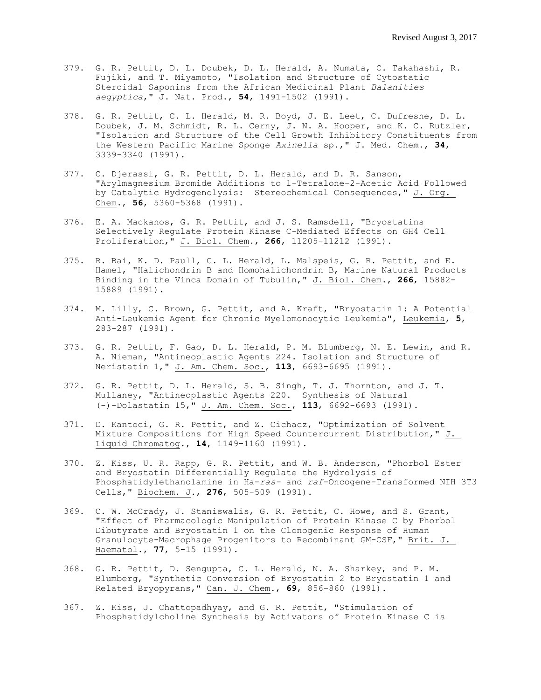- 379. G. R. Pettit, D. L. Doubek, D. L. Herald, A. Numata, C. Takahashi, R. Fujiki, and T. Miyamoto, "Isolation and Structure of Cytostatic Steroidal Saponins from the African Medicinal Plant *Balanities aegyptica*," J. Nat. Prod., **54**, 1491-1502 (1991).
- 378. G. R. Pettit, C. L. Herald, M. R. Boyd, J. E. Leet, C. Dufresne, D. L. Doubek, J. M. Schmidt, R. L. Cerny, J. N. A. Hooper, and K. C. Rutzler, "Isolation and Structure of the Cell Growth Inhibitory Constituents from the Western Pacific Marine Sponge *Axinella* sp.," J. Med. Chem., **34**, 3339-3340 (1991).
- 377. C. Djerassi, G. R. Pettit, D. L. Herald, and D. R. Sanson, "Arylmagnesium Bromide Additions to 1-Tetralone-2-Acetic Acid Followed by Catalytic Hydrogenolysis: Stereochemical Consequences," J. Org. Chem., **56**, 5360-5368 (1991).
- 376. E. A. Mackanos, G. R. Pettit, and J. S. Ramsdell, "Bryostatins Selectively Regulate Protein Kinase C-Mediated Effects on GH4 Cell Proliferation," J. Biol. Chem., **266**, 11205-11212 (1991).
- 375. R. Bai, K. D. Paull, C. L. Herald, L. Malspeis, G. R. Pettit, and E. Hamel, "Halichondrin B and Homohalichondrin B, Marine Natural Products Binding in the Vinca Domain of Tubulin," J. Biol. Chem., **266**, 15882- 15889 (1991).
- 374. M. Lilly, C. Brown, G. Pettit, and A. Kraft, "Bryostatin 1: A Potential Anti-Leukemic Agent for Chronic Myelomonocytic Leukemia", Leukemia, **5**, 283-287 (1991).
- 373. G. R. Pettit, F. Gao, D. L. Herald, P. M. Blumberg, N. E. Lewin, and R. A. Nieman, "Antineoplastic Agents 224. Isolation and Structure of Neristatin 1," J. Am. Chem. Soc., **113**, 6693-6695 (1991).
- 372. G. R. Pettit, D. L. Herald, S. B. Singh, T. J. Thornton, and J. T. Mullaney, "Antineoplastic Agents 220. Synthesis of Natural (-)-Dolastatin 15," J. Am. Chem. Soc., **113**, 6692-6693 (1991).
- 371. D. Kantoci, G. R. Pettit, and Z. Cichacz, "Optimization of Solvent Mixture Compositions for High Speed Countercurrent Distribution," J. Liquid Chromatog., **14**, 1149-1160 (1991).
- 370. Z. Kiss, U. R. Rapp, G. R. Pettit, and W. B. Anderson, "Phorbol Ester and Bryostatin Differentially Regulate the Hydrolysis of Phosphatidylethanolamine in Ha-*ras-* and *raf*-Oncogene-Transformed NIH 3T3 Cells," Biochem. J., **276**, 505-509 (1991).
- 369. C. W. McCrady, J. Staniswalis, G. R. Pettit, C. Howe, and S. Grant, "Effect of Pharmacologic Manipulation of Protein Kinase C by Phorbol Dibutyrate and Bryostatin 1 on the Clonogenic Response of Human Granulocyte-Macrophage Progenitors to Recombinant GM-CSF," Brit. J. Haematol., **77**, 5-15 (1991).
- 368. G. R. Pettit, D. Sengupta, C. L. Herald, N. A. Sharkey, and P. M. Blumberg, "Synthetic Conversion of Bryostatin 2 to Bryostatin 1 and Related Bryopyrans," Can. J. Chem., **69**, 856-860 (1991).
- 367. Z. Kiss, J. Chattopadhyay, and G. R. Pettit, "Stimulation of Phosphatidylcholine Synthesis by Activators of Protein Kinase C is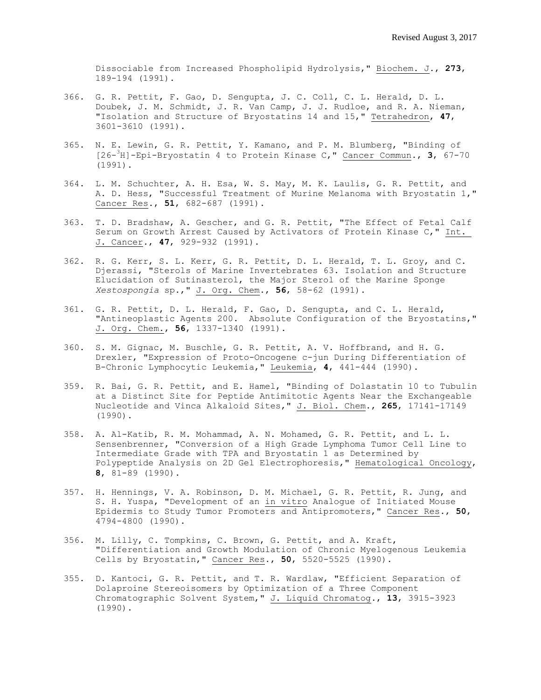Dissociable from Increased Phospholipid Hydrolysis," Biochem. J., **273**, 189-194 (1991).

- 366. G. R. Pettit, F. Gao, D. Sengupta, J. C. Coll, C. L. Herald, D. L. Doubek, J. M. Schmidt, J. R. Van Camp, J. J. Rudloe, and R. A. Nieman, "Isolation and Structure of Bryostatins 14 and 15," Tetrahedron, **47**, 3601-3610 (1991).
- 365. N. E. Lewin, G. R. Pettit, Y. Kamano, and P. M. Blumberg, "Binding of [26- <sup>3</sup>H]-Epi-Bryostatin 4 to Protein Kinase C," Cancer Commun., **3**, 67-70 (1991).
- 364. L. M. Schuchter, A. H. Esa, W. S. May, M. K. Laulis, G. R. Pettit, and A. D. Hess, "Successful Treatment of Murine Melanoma with Bryostatin 1," Cancer Res., **51**, 682-687 (1991).
- 363. T. D. Bradshaw, A. Gescher, and G. R. Pettit, "The Effect of Fetal Calf Serum on Growth Arrest Caused by Activators of Protein Kinase C," Int. J. Cancer., **47**, 929-932 (1991).
- 362. R. G. Kerr, S. L. Kerr, G. R. Pettit, D. L. Herald, T. L. Groy, and C. Djerassi, "Sterols of Marine Invertebrates 63. Isolation and Structure Elucidation of Sutinasterol, the Major Sterol of the Marine Sponge *Xestospongia* sp.," J. Org. Chem., **56**, 58-62 (1991).
- 361. G. R. Pettit, D. L. Herald, F. Gao, D. Sengupta, and C. L. Herald, "Antineoplastic Agents 200. Absolute Configuration of the Bryostatins," J. Org. Chem., **56**, 1337-1340 (1991).
- 360. S. M. Gignac, M. Buschle, G. R. Pettit, A. V. Hoffbrand, and H. G. Drexler, "Expression of Proto-Oncogene c-jun During Differentiation of B-Chronic Lymphocytic Leukemia," Leukemia, **4**, 441-444 (1990).
- 359. R. Bai, G. R. Pettit, and E. Hamel, "Binding of Dolastatin 10 to Tubulin at a Distinct Site for Peptide Antimitotic Agents Near the Exchangeable Nucleotide and Vinca Alkaloid Sites," J. Biol. Chem., **265**, 17141-17149 (1990).
- 358. A. Al-Katib, R. M. Mohammad, A. N. Mohamed, G. R. Pettit, and L. L. Sensenbrenner, "Conversion of a High Grade Lymphoma Tumor Cell Line to Intermediate Grade with TPA and Bryostatin 1 as Determined by Polypeptide Analysis on 2D Gel Electrophoresis," Hematological Oncology, **8**, 81-89 (1990).
- 357. H. Hennings, V. A. Robinson, D. M. Michael, G. R. Pettit, R. Jung, and S. H. Yuspa, "Development of an in vitro Analogue of Initiated Mouse Epidermis to Study Tumor Promoters and Antipromoters," Cancer Res., **50**, 4794-4800 (1990).
- 356. M. Lilly, C. Tompkins, C. Brown, G. Pettit, and A. Kraft, "Differentiation and Growth Modulation of Chronic Myelogenous Leukemia Cells by Bryostatin," Cancer Res., **50**, 5520-5525 (1990).
- 355. D. Kantoci, G. R. Pettit, and T. R. Wardlaw, "Efficient Separation of Dolaproine Stereoisomers by Optimization of a Three Component Chromatographic Solvent System," J. Liquid Chromatog., **13**, 3915-3923 (1990).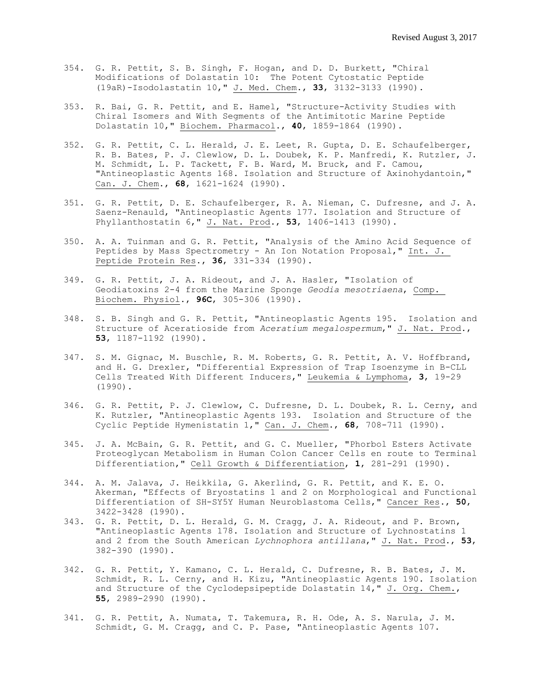- 354. G. R. Pettit, S. B. Singh, F. Hogan, and D. D. Burkett, "Chiral Modifications of Dolastatin 10: The Potent Cytostatic Peptide (19aR)-Isodolastatin 10," J. Med. Chem., **33**, 3132-3133 (1990).
- 353. R. Bai, G. R. Pettit, and E. Hamel, "Structure-Activity Studies with Chiral Isomers and With Segments of the Antimitotic Marine Peptide Dolastatin 10," Biochem. Pharmacol., **40**, 1859-1864 (1990).
- 352. G. R. Pettit, C. L. Herald, J. E. Leet, R. Gupta, D. E. Schaufelberger, R. B. Bates, P. J. Clewlow, D. L. Doubek, K. P. Manfredi, K. Rutzler, J. M. Schmidt, L. P. Tackett, F. B. Ward, M. Bruck, and F. Camou, "Antineoplastic Agents 168. Isolation and Structure of Axinohydantoin," Can. J. Chem., **68**, 1621-1624 (1990).
- 351. G. R. Pettit, D. E. Schaufelberger, R. A. Nieman, C. Dufresne, and J. A. Saenz-Renauld, "Antineoplastic Agents 177. Isolation and Structure of Phyllanthostatin 6," J. Nat. Prod., **53**, 1406-1413 (1990).
- 350. A. A. Tuinman and G. R. Pettit, "Analysis of the Amino Acid Sequence of Peptides by Mass Spectrometry - An Ion Notation Proposal," Int. J. Peptide Protein Res., **36**, 331-334 (1990).
- 349. G. R. Pettit, J. A. Rideout, and J. A. Hasler, "Isolation of Geodiatoxins 2-4 from the Marine Sponge *Geodia mesotriaena*, Comp. Biochem. Physiol., **96C**, 305-306 (1990).
- 348. S. B. Singh and G. R. Pettit, "Antineoplastic Agents 195. Isolation and Structure of Aceratioside from *Aceratium megalospermum*," J. Nat. Prod., **53**, 1187-1192 (1990).
- 347. S. M. Gignac, M. Buschle, R. M. Roberts, G. R. Pettit, A. V. Hoffbrand, and H. G. Drexler, "Differential Expression of Trap Isoenzyme in B-CLL Cells Treated With Different Inducers," Leukemia & Lymphoma, **3**, 19-29 (1990).
- 346. G. R. Pettit, P. J. Clewlow, C. Dufresne, D. L. Doubek, R. L. Cerny, and K. Rutzler, "Antineoplastic Agents 193. Isolation and Structure of the Cyclic Peptide Hymenistatin 1," Can. J. Chem., **68**, 708-711 (1990).
- 345. J. A. McBain, G. R. Pettit, and G. C. Mueller, "Phorbol Esters Activate Proteoglycan Metabolism in Human Colon Cancer Cells en route to Terminal Differentiation," Cell Growth & Differentiation, **1**, 281-291 (1990).
- 344. A. M. Jalava, J. Heikkila, G. Akerlind, G. R. Pettit, and K. E. O. Akerman, "Effects of Bryostatins 1 and 2 on Morphological and Functional Differentiation of SH-SY5Y Human Neuroblastoma Cells," Cancer Res., **50**, 3422-3428 (1990).
- 343. G. R. Pettit, D. L. Herald, G. M. Cragg, J. A. Rideout, and P. Brown, "Antineoplastic Agents 178. Isolation and Structure of Lychnostatins 1 and 2 from the South American *Lychnophora antillana*," J. Nat. Prod., **53**, 382-390 (1990).
- 342. G. R. Pettit, Y. Kamano, C. L. Herald, C. Dufresne, R. B. Bates, J. M. Schmidt, R. L. Cerny, and H. Kizu, "Antineoplastic Agents 190. Isolation and Structure of the Cyclodepsipeptide Dolastatin 14," J. Org. Chem., **55**, 2989-2990 (1990).
- 341. G. R. Pettit, A. Numata, T. Takemura, R. H. Ode, A. S. Narula, J. M. Schmidt, G. M. Cragg, and C. P. Pase, "Antineoplastic Agents 107.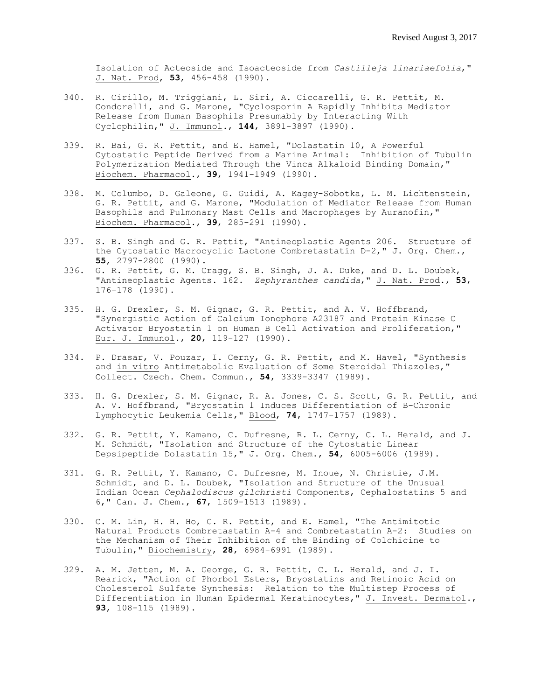Isolation of Acteoside and Isoacteoside from *Castilleja linariaefolia*," J. Nat. Prod, **53**, 456-458 (1990).

- 340. R. Cirillo, M. Triggiani, L. Siri, A. Ciccarelli, G. R. Pettit, M. Condorelli, and G. Marone, "Cyclosporin A Rapidly Inhibits Mediator Release from Human Basophils Presumably by Interacting With Cyclophilin," J. Immunol., **144**, 3891-3897 (1990).
- 339. R. Bai, G. R. Pettit, and E. Hamel, "Dolastatin 10, A Powerful Cytostatic Peptide Derived from a Marine Animal: Inhibition of Tubulin Polymerization Mediated Through the Vinca Alkaloid Binding Domain," Biochem. Pharmacol., **39**, 1941-1949 (1990).
- 338. M. Columbo, D. Galeone, G. Guidi, A. Kagey-Sobotka, L. M. Lichtenstein, G. R. Pettit, and G. Marone, "Modulation of Mediator Release from Human Basophils and Pulmonary Mast Cells and Macrophages by Auranofin," Biochem. Pharmacol., **39**, 285-291 (1990).
- 337. S. B. Singh and G. R. Pettit, "Antineoplastic Agents 206. Structure of the Cytostatic Macrocyclic Lactone Combretastatin D-2," J. Org. Chem., **55**, 2797-2800 (1990).
- 336. G. R. Pettit, G. M. Cragg, S. B. Singh, J. A. Duke, and D. L. Doubek, "Antineoplastic Agents. 162. *Zephyranthes candida*," J. Nat. Prod., **53**, 176-178 (1990).
- 335. H. G. Drexler, S. M. Gignac, G. R. Pettit, and A. V. Hoffbrand, "Synergistic Action of Calcium Ionophore A23187 and Protein Kinase C Activator Bryostatin 1 on Human B Cell Activation and Proliferation," Eur. J. Immunol., **20**, 119-127 (1990).
- 334. P. Drasar, V. Pouzar, I. Cerny, G. R. Pettit, and M. Havel, "Synthesis and in vitro Antimetabolic Evaluation of Some Steroidal Thiazoles," Collect. Czech. Chem. Commun., **54**, 3339-3347 (1989).
- 333. H. G. Drexler, S. M. Gignac, R. A. Jones, C. S. Scott, G. R. Pettit, and A. V. Hoffbrand, "Bryostatin 1 Induces Differentiation of B-Chronic Lymphocytic Leukemia Cells," Blood, **74**, 1747-1757 (1989).
- 332. G. R. Pettit, Y. Kamano, C. Dufresne, R. L. Cerny, C. L. Herald, and J. M. Schmidt, "Isolation and Structure of the Cytostatic Linear Depsipeptide Dolastatin 15," J. Org. Chem., **54**, 6005-6006 (1989).
- 331. G. R. Pettit, Y. Kamano, C. Dufresne, M. Inoue, N. Christie, J.M. Schmidt, and D. L. Doubek, "Isolation and Structure of the Unusual Indian Ocean *Cephalodiscus gilchristi* Components, Cephalostatins 5 and 6," Can. J. Chem., **67**, 1509-1513 (1989).
- 330. C. M. Lin, H. H. Ho, G. R. Pettit, and E. Hamel, "The Antimitotic Natural Products Combretastatin A-4 and Combretastatin A-2: Studies on the Mechanism of Their Inhibition of the Binding of Colchicine to Tubulin," Biochemistry, **28**, 6984-6991 (1989).
- 329. A. M. Jetten, M. A. George, G. R. Pettit, C. L. Herald, and J. I. Rearick, "Action of Phorbol Esters, Bryostatins and Retinoic Acid on Cholesterol Sulfate Synthesis: Relation to the Multistep Process of Differentiation in Human Epidermal Keratinocytes," J. Invest. Dermatol., **93**, 108-115 (1989).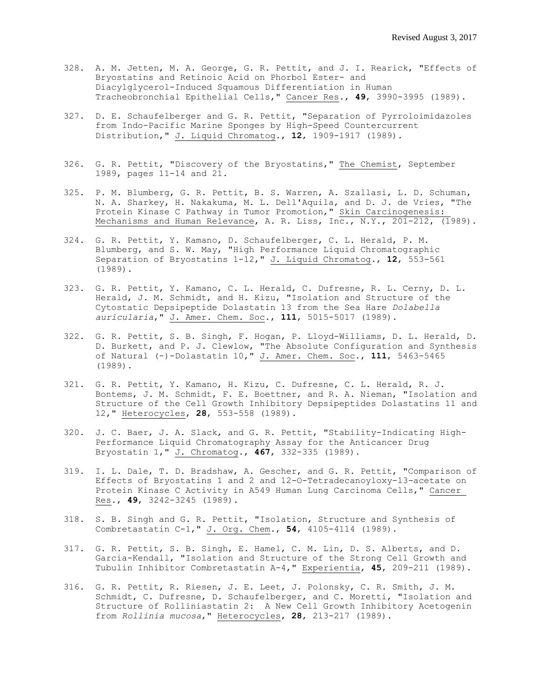- 328. A. M. Jetten, M. A. George, G. R. Pettit, and J. I. Rearick, "Effects of Bryostatins and Retinoic Acid on Phorbol Ester- and Diacylglycerol-Induced Squamous Differentiation in Human Tracheobronchial Epithelial Cells," Cancer Res., **49**, 3990-3995 (1989).
- 327. D. E. Schaufelberger and G. R. Pettit, "Separation of Pyrroloimidazoles from Indo-Pacific Marine Sponges by High-Speed Countercurrent Distribution," J. Liquid Chromatog., **12**, 1909-1917 (1989).
- 326. G. R. Pettit, "Discovery of the Bryostatins," The Chemist, September 1989, pages 11-14 and 21.
- 325. P. M. Blumberg, G. R. Pettit, B. S. Warren, A. Szallasi, L. D. Schuman, N. A. Sharkey, H. Nakakuma, M. L. Dell'Aquila, and D. J. de Vries, "The Protein Kinase C Pathway in Tumor Promotion," Skin Carcinogenesis: Mechanisms and Human Relevance, A. R. Liss, Inc., N.Y., 201-212, (1989).
- 324. G. R. Pettit, Y. Kamano, D. Schaufelberger, C. L. Herald, P. M. Blumberg, and S. W. May, "High Performance Liquid Chromatographic Separation of Bryostatins 1-12," J. Liquid Chromatog., **12**, 553-561 (1989).
- 323. G. R. Pettit, Y. Kamano, C. L. Herald, C. Dufresne, R. L. Cerny, D. L. Herald, J. M. Schmidt, and H. Kizu, "Isolation and Structure of the Cytostatic Depsipeptide Dolastatin 13 from the Sea Hare *Dolabella auricularia*," J. Amer. Chem. Soc., **111**, 5015-5017 (1989).
- 322. G. R. Pettit, S. B. Singh, F. Hogan, P. Lloyd-Williams, D. L. Herald, D. D. Burkett, and P. J. Clewlow, "The Absolute Configuration and Synthesis of Natural (-)-Dolastatin 10," J. Amer. Chem. Soc., **111**, 5463-5465 (1989).
- 321. G. R. Pettit, Y. Kamano, H. Kizu, C. Dufresne, C. L. Herald, R. J. Bontems, J. M. Schmidt, F. E. Boettner, and R. A. Nieman, "Isolation and Structure of the Cell Growth Inhibitory Depsipeptides Dolastatins 11 and 12," Heterocycles, **28**, 553-558 (1989).
- 320. J. C. Baer, J. A. Slack, and G. R. Pettit, "Stability-Indicating High-Performance Liquid Chromatography Assay for the Anticancer Drug Bryostatin 1," J. Chromatog., **467**, 332-335 (1989).
- 319. I. L. Dale, T. D. Bradshaw, A. Gescher, and G. R. Pettit, "Comparison of Effects of Bryostatins 1 and 2 and 12-O-Tetradecanoyloxy-13-acetate on Protein Kinase C Activity in A549 Human Lung Carcinoma Cells," Cancer Res., **49**, 3242-3245 (1989).
- 318. S. B. Singh and G. R. Pettit, "Isolation, Structure and Synthesis of Combretastatin C-1," J. Org. Chem., **54**, 4105-4114 (1989).
- 317. G. R. Pettit, S. B. Singh, E. Hamel, C. M. Lin, D. S. Alberts, and D. Garcia-Kendall, "Isolation and Structure of the Strong Cell Growth and Tubulin Inhibitor Combretastatin A-4," Experientia, **45**, 209-211 (1989).
- 316. G. R. Pettit, R. Riesen, J. E. Leet, J. Polonsky, C. R. Smith, J. M. Schmidt, C. Dufresne, D. Schaufelberger, and C. Moretti, "Isolation and Structure of Rolliniastatin 2: A New Cell Growth Inhibitory Acetogenin from *Rollinia mucosa*," Heterocycles, **28**, 213-217 (1989).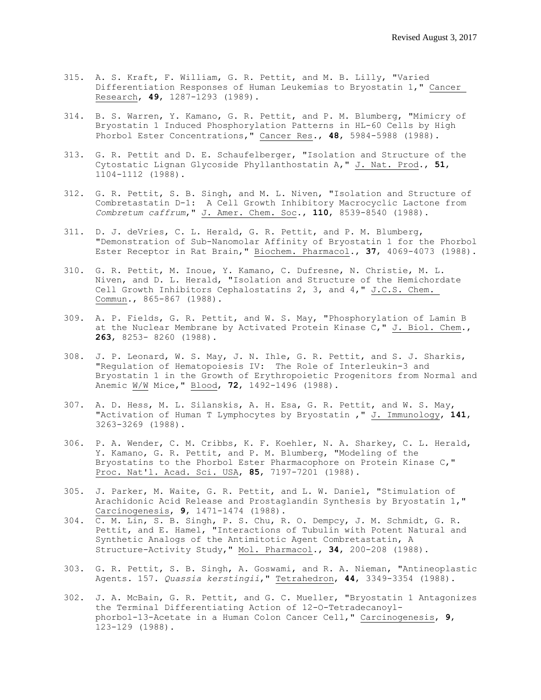- 315. A. S. Kraft, F. William, G. R. Pettit, and M. B. Lilly, "Varied Differentiation Responses of Human Leukemias to Bryostatin 1," Cancer Research, **49**, 1287-1293 (1989).
- 314. B. S. Warren, Y. Kamano, G. R. Pettit, and P. M. Blumberg, "Mimicry of Bryostatin 1 Induced Phosphorylation Patterns in HL-60 Cells by High Phorbol Ester Concentrations," Cancer Res., **48**, 5984-5988 (1988).
- 313. G. R. Pettit and D. E. Schaufelberger, "Isolation and Structure of the Cytostatic Lignan Glycoside Phyllanthostatin A," J. Nat. Prod., **51**, 1104-1112 (1988).
- 312. G. R. Pettit, S. B. Singh, and M. L. Niven, "Isolation and Structure of Combretastatin D-1: A Cell Growth Inhibitory Macrocyclic Lactone from *Combretum caffrum*," J. Amer. Chem. Soc., **110**, 8539-8540 (1988).
- 311. D. J. deVries, C. L. Herald, G. R. Pettit, and P. M. Blumberg, "Demonstration of Sub-Nanomolar Affinity of Bryostatin 1 for the Phorbol Ester Receptor in Rat Brain," Biochem. Pharmacol., **37**, 4069-4073 (1988).
- 310. G. R. Pettit, M. Inoue, Y. Kamano, C. Dufresne, N. Christie, M. L. Niven, and D. L. Herald, "Isolation and Structure of the Hemichordate Cell Growth Inhibitors Cephalostatins 2, 3, and 4," J.C.S. Chem. Commun., 865-867 (1988).
- 309. A. P. Fields, G. R. Pettit, and W. S. May, "Phosphorylation of Lamin B at the Nuclear Membrane by Activated Protein Kinase C," J. Biol. Chem., **263**, 8253- 8260 (1988).
- 308. J. P. Leonard, W. S. May, J. N. Ihle, G. R. Pettit, and S. J. Sharkis, "Regulation of Hematopoiesis IV: The Role of Interleukin-3 and Bryostatin 1 in the Growth of Erythropoietic Progenitors from Normal and Anemic W/W Mice," Blood, **72**, 1492-1496 (1988).
- 307. A. D. Hess, M. L. Silanskis, A. H. Esa, G. R. Pettit, and W. S. May, "Activation of Human T Lymphocytes by Bryostatin ," J. Immunology, **141**, 3263-3269 (1988).
- 306. P. A. Wender, C. M. Cribbs, K. F. Koehler, N. A. Sharkey, C. L. Herald, Y. Kamano, G. R. Pettit, and P. M. Blumberg, "Modeling of the Bryostatins to the Phorbol Ester Pharmacophore on Protein Kinase C," Proc. Nat'l. Acad. Sci. USA, **85**, 7197-7201 (1988).
- 305. J. Parker, M. Waite, G. R. Pettit, and L. W. Daniel, "Stimulation of Arachidonic Acid Release and Prostaglandin Synthesis by Bryostatin 1," Carcinogenesis, **9**, 1471-1474 (1988).
- 304. C. M. Lin, S. B. Singh, P. S. Chu, R. O. Dempcy, J. M. Schmidt, G. R. Pettit, and E. Hamel, "Interactions of Tubulin with Potent Natural and Synthetic Analogs of the Antimitotic Agent Combretastatin, A Structure-Activity Study," Mol. Pharmacol., **34**, 200-208 (1988).
- 303. G. R. Pettit, S. B. Singh, A. Goswami, and R. A. Nieman, "Antineoplastic Agents. 157. *Quassia kerstingii*," Tetrahedron, **44**, 3349-3354 (1988).
- 302. J. A. McBain, G. R. Pettit, and G. C. Mueller, "Bryostatin 1 Antagonizes the Terminal Differentiating Action of 12-O-Tetradecanoylphorbol-13-Acetate in a Human Colon Cancer Cell," Carcinogenesis, **9**, 123-129 (1988).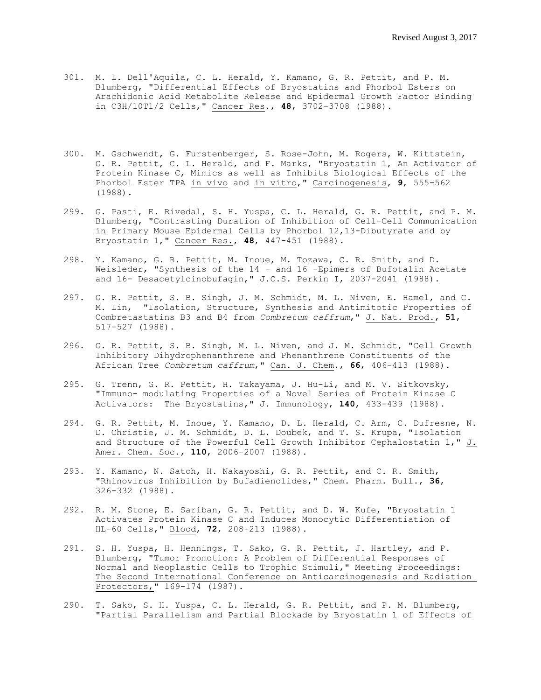- 301. M. L. Dell'Aquila, C. L. Herald, Y. Kamano, G. R. Pettit, and P. M. Blumberg, "Differential Effects of Bryostatins and Phorbol Esters on Arachidonic Acid Metabolite Release and Epidermal Growth Factor Binding in C3H/10T1/2 Cells," Cancer Res., **48**, 3702-3708 (1988).
- 300. M. Gschwendt, G. Furstenberger, S. Rose-John, M. Rogers, W. Kittstein, G. R. Pettit, C. L. Herald, and F. Marks, "Bryostatin 1, An Activator of Protein Kinase C, Mimics as well as Inhibits Biological Effects of the Phorbol Ester TPA in vivo and in vitro," Carcinogenesis, **9**, 555-562 (1988).
- 299. G. Pasti, E. Rivedal, S. H. Yuspa, C. L. Herald, G. R. Pettit, and P. M. Blumberg, "Contrasting Duration of Inhibition of Cell-Cell Communication in Primary Mouse Epidermal Cells by Phorbol 12,13-Dibutyrate and by Bryostatin 1," Cancer Res., **48**, 447-451 (1988).
- 298. Y. Kamano, G. R. Pettit, M. Inoue, M. Tozawa, C. R. Smith, and D. Weisleder, "Synthesis of the 14 - and 16 -Epimers of Bufotalin Acetate and 16- Desacetylcinobufagin," J.C.S. Perkin I, 2037-2041 (1988).
- 297. G. R. Pettit, S. B. Singh, J. M. Schmidt, M. L. Niven, E. Hamel, and C. M. Lin, "Isolation, Structure, Synthesis and Antimitotic Properties of Combretastatins B3 and B4 from *Combretum caffrum*," J. Nat. Prod., **51**, 517-527 (1988).
- 296. G. R. Pettit, S. B. Singh, M. L. Niven, and J. M. Schmidt, "Cell Growth Inhibitory Dihydrophenanthrene and Phenanthrene Constituents of the African Tree *Combretum caffrum*," Can. J. Chem., **66**, 406-413 (1988).
- 295. G. Trenn, G. R. Pettit, H. Takayama, J. Hu-Li, and M. V. Sitkovsky, "Immuno- modulating Properties of a Novel Series of Protein Kinase C Activators: The Bryostatins," J. Immunology, **140**, 433-439 (1988).
- 294. G. R. Pettit, M. Inoue, Y. Kamano, D. L. Herald, C. Arm, C. Dufresne, N. D. Christie, J. M. Schmidt, D. L. Doubek, and T. S. Krupa, "Isolation and Structure of the Powerful Cell Growth Inhibitor Cephalostatin 1," J. Amer. Chem. Soc., **110**, 2006-2007 (1988).
- 293. Y. Kamano, N. Satoh, H. Nakayoshi, G. R. Pettit, and C. R. Smith, "Rhinovirus Inhibition by Bufadienolides," Chem. Pharm. Bull., **36**, 326-332 (1988).
- 292. R. M. Stone, E. Sariban, G. R. Pettit, and D. W. Kufe, "Bryostatin 1 Activates Protein Kinase C and Induces Monocytic Differentiation of HL-60 Cells," Blood, **72**, 208-213 (1988).
- 291. S. H. Yuspa, H. Hennings, T. Sako, G. R. Pettit, J. Hartley, and P. Blumberg, "Tumor Promotion: A Problem of Differential Responses of Normal and Neoplastic Cells to Trophic Stimuli," Meeting Proceedings: The Second International Conference on Anticarcinogenesis and Radiation Protectors," 169-174 (1987).
- 290. T. Sako, S. H. Yuspa, C. L. Herald, G. R. Pettit, and P. M. Blumberg, "Partial Parallelism and Partial Blockade by Bryostatin 1 of Effects of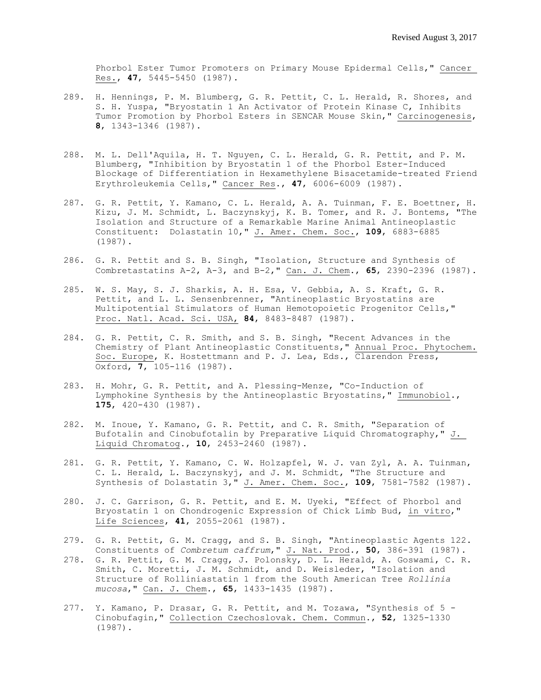Phorbol Ester Tumor Promoters on Primary Mouse Epidermal Cells," Cancer Res., **47**, 5445-5450 (1987).

- 289. H. Hennings, P. M. Blumberg, G. R. Pettit, C. L. Herald, R. Shores, and S. H. Yuspa, "Bryostatin 1 An Activator of Protein Kinase C, Inhibits Tumor Promotion by Phorbol Esters in SENCAR Mouse Skin," Carcinogenesis, **8**, 1343-1346 (1987).
- 288. M. L. Dell'Aquila, H. T. Nguyen, C. L. Herald, G. R. Pettit, and P. M. Blumberg, "Inhibition by Bryostatin 1 of the Phorbol Ester-Induced Blockage of Differentiation in Hexamethylene Bisacetamide-treated Friend Erythroleukemia Cells," Cancer Res., **47**, 6006-6009 (1987).
- 287. G. R. Pettit, Y. Kamano, C. L. Herald, A. A. Tuinman, F. E. Boettner, H. Kizu, J. M. Schmidt, L. Baczynskyj, K. B. Tomer, and R. J. Bontems, "The Isolation and Structure of a Remarkable Marine Animal Antineoplastic Constituent: Dolastatin 10," J. Amer. Chem. Soc., **109**, 6883-6885 (1987).
- 286. G. R. Pettit and S. B. Singh, "Isolation, Structure and Synthesis of Combretastatins A-2, A-3, and B-2," Can. J. Chem., **65**, 2390-2396 (1987).
- 285. W. S. May, S. J. Sharkis, A. H. Esa, V. Gebbia, A. S. Kraft, G. R. Pettit, and L. L. Sensenbrenner, "Antineoplastic Bryostatins are Multipotential Stimulators of Human Hemotopoietic Progenitor Cells," Proc. Natl. Acad. Sci. USA, **84**, 8483-8487 (1987).
- 284. G. R. Pettit, C. R. Smith, and S. B. Singh, "Recent Advances in the Chemistry of Plant Antineoplastic Constituents," Annual Proc. Phytochem. Soc. Europe, K. Hostettmann and P. J. Lea, Eds., Clarendon Press, Oxford, **7**, 105-116 (1987).
- 283. H. Mohr, G. R. Pettit, and A. Plessing-Menze, "Co-Induction of Lymphokine Synthesis by the Antineoplastic Bryostatins," Immunobiol., **175**, 420-430 (1987).
- 282. M. Inoue, Y. Kamano, G. R. Pettit, and C. R. Smith, "Separation of Bufotalin and Cinobufotalin by Preparative Liquid Chromatography," J. Liquid Chromatog., **10**, 2453-2460 (1987).
- 281. G. R. Pettit, Y. Kamano, C. W. Holzapfel, W. J. van Zyl, A. A. Tuinman, C. L. Herald, L. Baczynskyj, and J. M. Schmidt, "The Structure and Synthesis of Dolastatin 3," J. Amer. Chem. Soc., **109**, 7581-7582 (1987).
- 280. J. C. Garrison, G. R. Pettit, and E. M. Uyeki, "Effect of Phorbol and Bryostatin 1 on Chondrogenic Expression of Chick Limb Bud, in vitro," Life Sciences, **41**, 2055-2061 (1987).
- 279. G. R. Pettit, G. M. Cragg, and S. B. Singh, "Antineoplastic Agents 122. Constituents of *Combretum caffrum*," J. Nat. Prod., **50**, 386-391 (1987).
- 278. G. R. Pettit, G. M. Cragg, J. Polonsky, D. L. Herald, A. Goswami, C. R. Smith, C. Moretti, J. M. Schmidt, and D. Weisleder, "Isolation and Structure of Rolliniastatin 1 from the South American Tree *Rollinia mucosa*," Can. J. Chem., **65**, 1433-1435 (1987).
- 277. Y. Kamano, P. Drasar, G. R. Pettit, and M. Tozawa, "Synthesis of 5 Cinobufagin," Collection Czechoslovak. Chem. Commun., **52**, 1325-1330 (1987).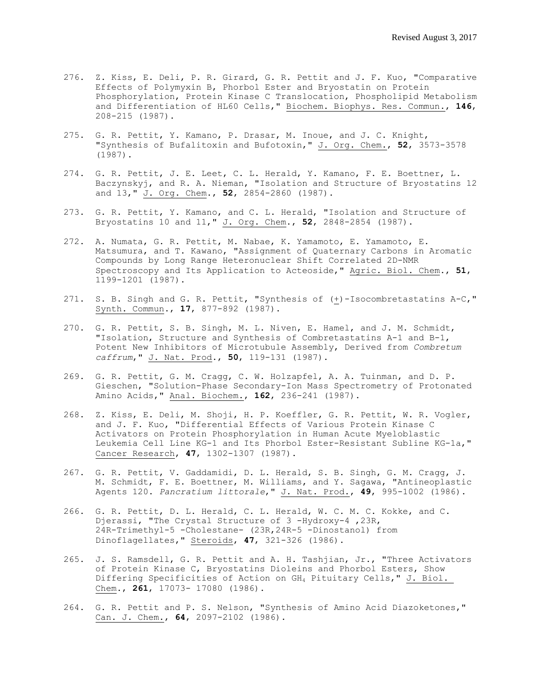- 276. Z. Kiss, E. Deli, P. R. Girard, G. R. Pettit and J. F. Kuo, "Comparative Effects of Polymyxin B, Phorbol Ester and Bryostatin on Protein Phosphorylation, Protein Kinase C Translocation, Phospholipid Metabolism and Differentiation of HL60 Cells," Biochem. Biophys. Res. Commun., **146**, 208-215 (1987).
- 275. G. R. Pettit, Y. Kamano, P. Drasar, M. Inoue, and J. C. Knight, "Synthesis of Bufalitoxin and Bufotoxin," J. Org. Chem., **52**, 3573-3578 (1987).
- 274. G. R. Pettit, J. E. Leet, C. L. Herald, Y. Kamano, F. E. Boettner, L. Baczynskyj, and R. A. Nieman, "Isolation and Structure of Bryostatins 12 and 13," J. Org. Chem., **52**, 2854-2860 (1987).
- 273. G. R. Pettit, Y. Kamano, and C. L. Herald, "Isolation and Structure of Bryostatins 10 and 11," J. Org. Chem., **52**, 2848-2854 (1987).
- 272. A. Numata, G. R. Pettit, M. Nabae, K. Yamamoto, E. Yamamoto, E. Matsumura, and T. Kawano, "Assignment of Quaternary Carbons in Aromatic Compounds by Long Range Heteronuclear Shift Correlated 2D-NMR Spectroscopy and Its Application to Acteoside," Agric. Biol. Chem., **51**, 1199-1201 (1987).
- 271. S. B. Singh and G. R. Pettit, "Synthesis of (+)-Isocombretastatins A-C," Synth. Commun., **17**, 877-892 (1987).
- 270. G. R. Pettit, S. B. Singh, M. L. Niven, E. Hamel, and J. M. Schmidt, "Isolation, Structure and Synthesis of Combretastatins A-1 and B-1, Potent New Inhibitors of Microtubule Assembly, Derived from *Combretum caffrum*," J. Nat. Prod., **50**, 119-131 (1987).
- 269. G. R. Pettit, G. M. Cragg, C. W. Holzapfel, A. A. Tuinman, and D. P. Gieschen, "Solution-Phase Secondary-Ion Mass Spectrometry of Protonated Amino Acids," Anal. Biochem., **162**, 236-241 (1987).
- 268. Z. Kiss, E. Deli, M. Shoji, H. P. Koeffler, G. R. Pettit, W. R. Vogler, and J. F. Kuo, "Differential Effects of Various Protein Kinase C Activators on Protein Phosphorylation in Human Acute Myeloblastic Leukemia Cell Line KG-1 and Its Phorbol Ester-Resistant Subline KG-1a," Cancer Research, **47**, 1302-1307 (1987).
- 267. G. R. Pettit, V. Gaddamidi, D. L. Herald, S. B. Singh, G. M. Cragg, J. M. Schmidt, F. E. Boettner, M. Williams, and Y. Sagawa, "Antineoplastic Agents 120. *Pancratium littorale*," J. Nat. Prod., **49**, 995-1002 (1986).
- 266. G. R. Pettit, D. L. Herald, C. L. Herald, W. C. M. C. Kokke, and C. Djerassi, "The Crystal Structure of 3 -Hydroxy-4, 23R, 24R-Trimethyl-5 -Cholestane- (23R,24R-5 -Dinostanol) from Dinoflagellates," Steroids, **47**, 321-326 (1986).
- 265. J. S. Ramsdell, G. R. Pettit and A. H. Tashjian, Jr., "Three Activators of Protein Kinase C, Bryostatins Dioleins and Phorbol Esters, Show Differing Specificities of Action on GH<sup>4</sup> Pituitary Cells," J. Biol. Chem., **261**, 17073- 17080 (1986).
- 264. G. R. Pettit and P. S. Nelson, "Synthesis of Amino Acid Diazoketones," Can. J. Chem., **64**, 2097-2102 (1986).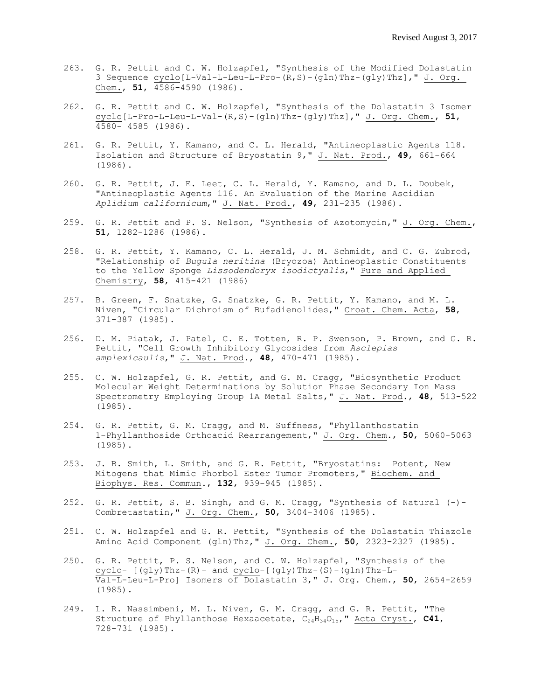- 263. G. R. Pettit and C. W. Holzapfel, "Synthesis of the Modified Dolastatin 3 Sequence cyclo[L-Val-L-Leu-L-Pro-(R,S)-(gln)Thz-(gly)Thz]," J. Org. Chem., **51**, 4586-4590 (1986).
- 262. G. R. Pettit and C. W. Holzapfel, "Synthesis of the Dolastatin 3 Isomer cyclo[L-Pro-L-Leu-L-Val-(R,S)-(gln)Thz-(gly)Thz]," J. Org. Chem., **51**, 4580- 4585 (1986).
- 261. G. R. Pettit, Y. Kamano, and C. L. Herald, "Antineoplastic Agents 118. Isolation and Structure of Bryostatin 9," J. Nat. Prod., **49**, 661-664 (1986).
- 260. G. R. Pettit, J. E. Leet, C. L. Herald, Y. Kamano, and D. L. Doubek, "Antineoplastic Agents 116. An Evaluation of the Marine Ascidian *Aplidium californicum*," J. Nat. Prod., **49**, 23l-235 (1986).
- 259. G. R. Pettit and P. S. Nelson, "Synthesis of Azotomycin," J. Org. Chem., **51**, 1282-1286 (1986).
- 258. G. R. Pettit, Y. Kamano, C. L. Herald, J. M. Schmidt, and C. G. Zubrod, "Relationship of *Bugula neritina* (Bryozoa) Antineoplastic Constituents to the Yellow Sponge *Lissodendoryx isodictyalis*," Pure and Applied Chemistry, **58**, 415-421 (1986)
- 257. B. Green, F. Snatzke, G. Snatzke, G. R. Pettit, Y. Kamano, and M. L. Niven, "Circular Dichroism of Bufadienolides," Croat. Chem. Acta, **58**, 371-387 (1985).
- 256. D. M. Piatak, J. Patel, C. E. Totten, R. P. Swenson, P. Brown, and G. R. Pettit, "Cell Growth Inhibitory Glycosides from *Asclepias amplexicaulis*," J. Nat. Prod., **48**, 470-471 (1985).
- 255. C. W. Holzapfel, G. R. Pettit, and G. M. Cragg, "Biosynthetic Product Molecular Weight Determinations by Solution Phase Secondary Ion Mass Spectrometry Employing Group 1A Metal Salts," J. Nat. Prod., **48**, 513-522 (1985).
- 254. G. R. Pettit, G. M. Cragg, and M. Suffness, "Phyllanthostatin 1-Phyllanthoside Orthoacid Rearrangement," J. Org. Chem., **50**, 5060-5063 (1985).
- 253. J. B. Smith, L. Smith, and G. R. Pettit, "Bryostatins: Potent, New Mitogens that Mimic Phorbol Ester Tumor Promoters," Biochem. and Biophys. Res. Commun., **132**, 939-945 (1985).
- 252. G. R. Pettit, S. B. Singh, and G. M. Cragg, "Synthesis of Natural (-)-Combretastatin," J. Org. Chem., **50**, 3404-3406 (1985).
- 251. C. W. Holzapfel and G. R. Pettit, "Synthesis of the Dolastatin Thiazole Amino Acid Component (gln)Thz," J. Org. Chem., **50**, 2323-2327 (1985).
- 250. G. R. Pettit, P. S. Nelson, and C. W. Holzapfel, "Synthesis of the cyclo-  $[(gly)Thz-(R)$ - and cyclo- $[(gly)Thz-(S)-(gln)Thz-L-$ Val-L-Leu-L-Pro] Isomers of Dolastatin 3," J. Org. Chem., **50**, 2654-2659 (1985).
- 249. L. R. Nassimbeni, M. L. Niven, G. M. Cragg, and G. R. Pettit, "The Structure of Phyllanthose Hexaacetate, C<sub>24</sub>H<sub>34</sub>O<sub>15</sub>," Acta Cryst., C41, 728-731 (1985).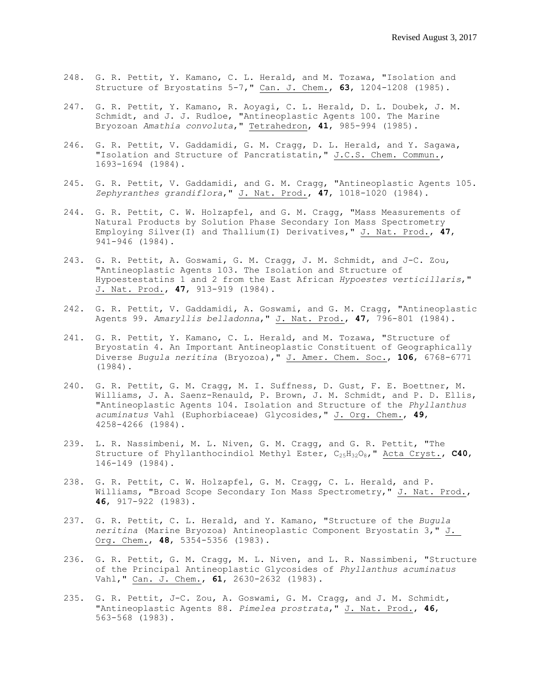- 248. G. R. Pettit, Y. Kamano, C. L. Herald, and M. Tozawa, "Isolation and Structure of Bryostatins 5-7," Can. J. Chem., **63**, 1204-1208 (1985).
- 247. G. R. Pettit, Y. Kamano, R. Aoyagi, C. L. Herald, D. L. Doubek, J. M. Schmidt, and J. J. Rudloe, "Antineoplastic Agents 100. The Marine Bryozoan *Amathia convoluta*," Tetrahedron, **41**, 985-994 (1985).
- 246. G. R. Pettit, V. Gaddamidi, G. M. Cragg, D. L. Herald, and Y. Sagawa, "Isolation and Structure of Pancratistatin," J.C.S. Chem. Commun., 1693-1694 (1984).
- 245. G. R. Pettit, V. Gaddamidi, and G. M. Cragg, "Antineoplastic Agents 105. *Zephyranthes grandiflora*," J. Nat. Prod., **47**, 1018-1020 (1984).
- 244. G. R. Pettit, C. W. Holzapfel, and G. M. Cragg, "Mass Measurements of Natural Products by Solution Phase Secondary Ion Mass Spectrometry Employing Silver(I) and Thallium(I) Derivatives," J. Nat. Prod., **47**, 941-946 (1984).
- 243. G. R. Pettit, A. Goswami, G. M. Cragg, J. M. Schmidt, and J-C. Zou, "Antineoplastic Agents 103. The Isolation and Structure of Hypoestestatins 1 and 2 from the East African *Hypoestes verticillaris*," J. Nat. Prod., **47**, 913-919 (1984).
- 242. G. R. Pettit, V. Gaddamidi, A. Goswami, and G. M. Cragg, "Antineoplastic Agents 99. *Amaryllis belladonna*," J. Nat. Prod., **47**, 796-801 (1984).
- 241. G. R. Pettit, Y. Kamano, C. L. Herald, and M. Tozawa, "Structure of Bryostatin 4. An Important Antineoplastic Constituent of Geographically Diverse *Bugula neritina* (Bryozoa)," J. Amer. Chem. Soc., **106**, 6768-6771 (1984).
- 240. G. R. Pettit, G. M. Cragg, M. I. Suffness, D. Gust, F. E. Boettner, M. Williams, J. A. Saenz-Renauld, P. Brown, J. M. Schmidt, and P. D. Ellis, "Antineoplastic Agents 104. Isolation and Structure of the *Phyllanthus acuminatus* Vahl (Euphorbiaceae) Glycosides," J. Org. Chem., **49**, 4258-4266 (1984).
- 239. L. R. Nassimbeni, M. L. Niven, G. M. Cragg, and G. R. Pettit, "The Structure of Phyllanthocindiol Methyl Ester, C25H32O8," Acta Cryst., **C40**, 146-149 (1984).
- 238. G. R. Pettit, C. W. Holzapfel, G. M. Cragg, C. L. Herald, and P. Williams, "Broad Scope Secondary Ion Mass Spectrometry," J. Nat. Prod., **46**, 917-922 (1983).
- 237. G. R. Pettit, C. L. Herald, and Y. Kamano, "Structure of the *Bugula neritina* (Marine Bryozoa) Antineoplastic Component Bryostatin 3," J. Org. Chem., **48**, 5354-5356 (1983).
- 236. G. R. Pettit, G. M. Cragg, M. L. Niven, and L. R. Nassimbeni, "Structure of the Principal Antineoplastic Glycosides of *Phyllanthus acuminatus* Vahl," Can. J. Chem., **61**, 2630-2632 (1983).
- 235. G. R. Pettit, J-C. Zou, A. Goswami, G. M. Cragg, and J. M. Schmidt, "Antineoplastic Agents 88. *Pimelea prostrata*," J. Nat. Prod., **46**, 563-568 (1983).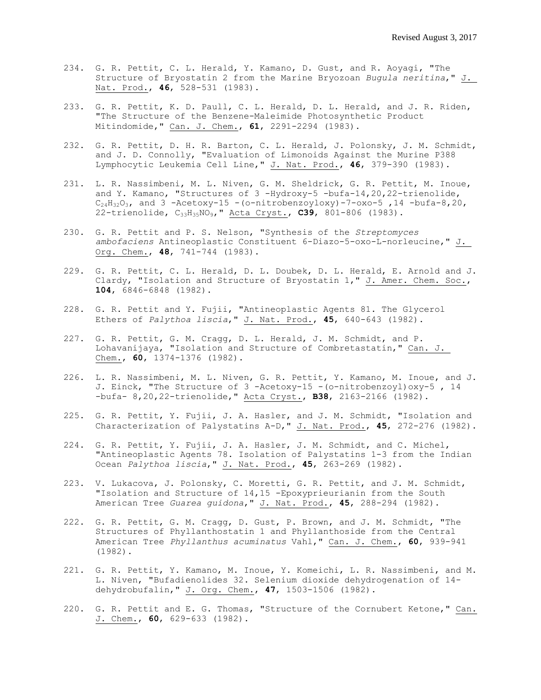- 234. G. R. Pettit, C. L. Herald, Y. Kamano, D. Gust, and R. Aoyagi, "The Structure of Bryostatin 2 from the Marine Bryozoan *Bugula neritina*," J. Nat. Prod., **46**, 528-531 (1983).
- 233. G. R. Pettit, K. D. Paull, C. L. Herald, D. L. Herald, and J. R. Riden, "The Structure of the Benzene-Maleimide Photosynthetic Product Mitindomide," Can. J. Chem., **61**, 2291-2294 (1983).
- 232. G. R. Pettit, D. H. R. Barton, C. L. Herald, J. Polonsky, J. M. Schmidt, and J. D. Connolly, "Evaluation of Limonoids Against the Murine P388 Lymphocytic Leukemia Cell Line," J. Nat. Prod., **46**, 379-390 (1983).
- 231. L. R. Nassimbeni, M. L. Niven, G. M. Sheldrick, G. R. Pettit, M. Inoue, and Y. Kamano, "Structures of 3 -Hydroxy-5 -bufa-14,20,22-trienolide,  $C_{24}H_{32}O_3$ , and 3 -Acetoxy-15 - (o-nitrobenzoyloxy)-7-oxo-5, 14 -bufa-8, 20, 22-trienolide, C33H35NO9," Acta Cryst., **C39**, 801-806 (1983).
- 230. G. R. Pettit and P. S. Nelson, "Synthesis of the *Streptomyces ambofaciens* Antineoplastic Constituent 6-Diazo-5-oxo-L-norleucine," J. Org. Chem., **48**, 741-744 (1983).
- 229. G. R. Pettit, C. L. Herald, D. L. Doubek, D. L. Herald, E. Arnold and J. Clardy, "Isolation and Structure of Bryostatin 1," J. Amer. Chem. Soc., **104**, 6846-6848 (1982).
- 228. G. R. Pettit and Y. Fujii, "Antineoplastic Agents 81. The Glycerol Ethers of *Palythoa liscia*," J. Nat. Prod., **45**, 640-643 (1982).
- 227. G. R. Pettit, G. M. Cragg, D. L. Herald, J. M. Schmidt, and P. Lohavanijaya, "Isolation and Structure of Combretastatin," Can. J. Chem., **60**, 1374-1376 (1982).
- 226. L. R. Nassimbeni, M. L. Niven, G. R. Pettit, Y. Kamano, M. Inoue, and J. J. Einck, "The Structure of 3 -Acetoxy-15 -(o-nitrobenzoyl)oxy-5 , 14 -bufa- 8,20,22-trienolide," Acta Cryst., **B38**, 2163-2166 (1982).
- 225. G. R. Pettit, Y. Fujii, J. A. Hasler, and J. M. Schmidt, "Isolation and Characterization of Palystatins A-D," J. Nat. Prod., **45**, 272-276 (1982).
- 224. G. R. Pettit, Y. Fujii, J. A. Hasler, J. M. Schmidt, and C. Michel, "Antineoplastic Agents 78. Isolation of Palystatins 1-3 from the Indian Ocean *Palythoa liscia*," J. Nat. Prod., **45**, 263-269 (1982).
- 223. V. Lukacova, J. Polonsky, C. Moretti, G. R. Pettit, and J. M. Schmidt, "Isolation and Structure of 14,15 -Epoxyprieurianin from the South American Tree *Guarea guidona*," J. Nat. Prod., **45**, 288-294 (1982).
- 222. G. R. Pettit, G. M. Cragg, D. Gust, P. Brown, and J. M. Schmidt, "The Structures of Phyllanthostatin 1 and Phyllanthoside from the Central American Tree *Phyllanthus acuminatus* Vahl," Can. J. Chem., **60**, 939-941 (1982).
- 221. G. R. Pettit, Y. Kamano, M. Inoue, Y. Komeichi, L. R. Nassimbeni, and M. L. Niven, "Bufadienolides 32. Selenium dioxide dehydrogenation of 14 dehydrobufalin," J. Org. Chem., **47**, 1503-1506 (1982).
- 220. G. R. Pettit and E. G. Thomas, "Structure of the Cornubert Ketone," Can. J. Chem., **60**, 629-633 (1982).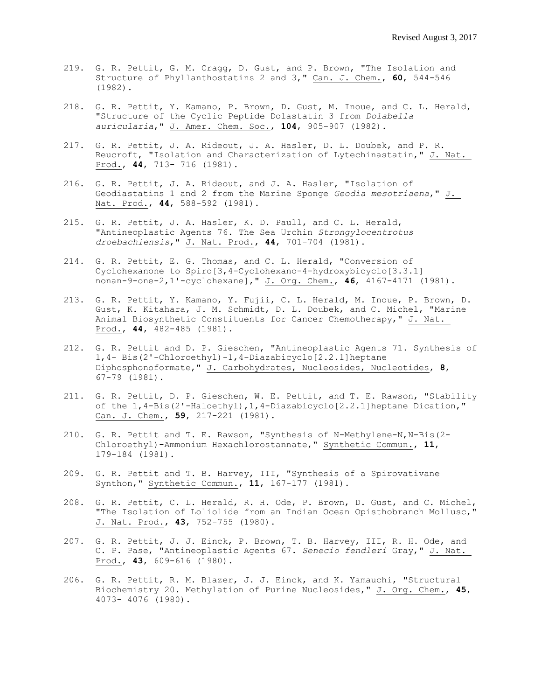- 219. G. R. Pettit, G. M. Cragg, D. Gust, and P. Brown, "The Isolation and Structure of Phyllanthostatins 2 and 3," Can. J. Chem., **60**, 544-546 (1982).
- 218. G. R. Pettit, Y. Kamano, P. Brown, D. Gust, M. Inoue, and C. L. Herald, "Structure of the Cyclic Peptide Dolastatin 3 from *Dolabella auricularia*," J. Amer. Chem. Soc., **104**, 905-907 (1982).
- 217. G. R. Pettit, J. A. Rideout, J. A. Hasler, D. L. Doubek, and P. R. Reucroft, "Isolation and Characterization of Lytechinastatin," J. Nat. Prod., **44**, 713- 716 (1981).
- 216. G. R. Pettit, J. A. Rideout, and J. A. Hasler, "Isolation of Geodiastatins 1 and 2 from the Marine Sponge *Geodia mesotriaena*," J. Nat. Prod., **44**, 588-592 (1981).
- 215. G. R. Pettit, J. A. Hasler, K. D. Paull, and C. L. Herald, "Antineoplastic Agents 76. The Sea Urchin *Strongylocentrotus droebachiensis*," J. Nat. Prod., **44**, 701-704 (1981).
- 214. G. R. Pettit, E. G. Thomas, and C. L. Herald, "Conversion of Cyclohexanone to Spiro[3,4-Cyclohexano-4-hydroxybicyclo[3.3.1] nonan-9-one-2,1'-cyclohexane]," J. Org. Chem., **46**, 4167-4171 (1981).
- 213. G. R. Pettit, Y. Kamano, Y. Fujii, C. L. Herald, M. Inoue, P. Brown, D. Gust, K. Kitahara, J. M. Schmidt, D. L. Doubek, and C. Michel, "Marine Animal Biosynthetic Constituents for Cancer Chemotherapy," J. Nat. Prod., **44**, 482-485 (1981).
- 212. G. R. Pettit and D. P. Gieschen, "Antineoplastic Agents 71. Synthesis of 1,4- Bis(2'-Chloroethyl)-1,4-Diazabicyclo[2.2.1]heptane Diphosphonoformate," J. Carbohydrates, Nucleosides, Nucleotides, **8**, 67-79 (1981).
- 211. G. R. Pettit, D. P. Gieschen, W. E. Pettit, and T. E. Rawson, "Stability of the 1,4-Bis(2'-Haloethyl),1,4-Diazabicyclo[2.2.1]heptane Dication," Can. J. Chem., **59**, 217-221 (1981).
- 210. G. R. Pettit and T. E. Rawson, "Synthesis of N-Methylene-N,N-Bis(2- Chloroethyl)-Ammonium Hexachlorostannate," Synthetic Commun., **11**, 179-184 (1981).
- 209. G. R. Pettit and T. B. Harvey, III, "Synthesis of a Spirovativane Synthon," Synthetic Commun., **11**, 167-177 (1981).
- 208. G. R. Pettit, C. L. Herald, R. H. Ode, P. Brown, D. Gust, and C. Michel, "The Isolation of Loliolide from an Indian Ocean Opisthobranch Mollusc," J. Nat. Prod., **43**, 752-755 (1980).
- 207. G. R. Pettit, J. J. Einck, P. Brown, T. B. Harvey, III, R. H. Ode, and C. P. Pase, "Antineoplastic Agents 67. *Senecio fendleri* Gray," J. Nat. Prod., **43**, 609-616 (1980).
- 206. G. R. Pettit, R. M. Blazer, J. J. Einck, and K. Yamauchi, "Structural Biochemistry 20. Methylation of Purine Nucleosides," J. Org. Chem., **45**, 4073- 4076 (1980).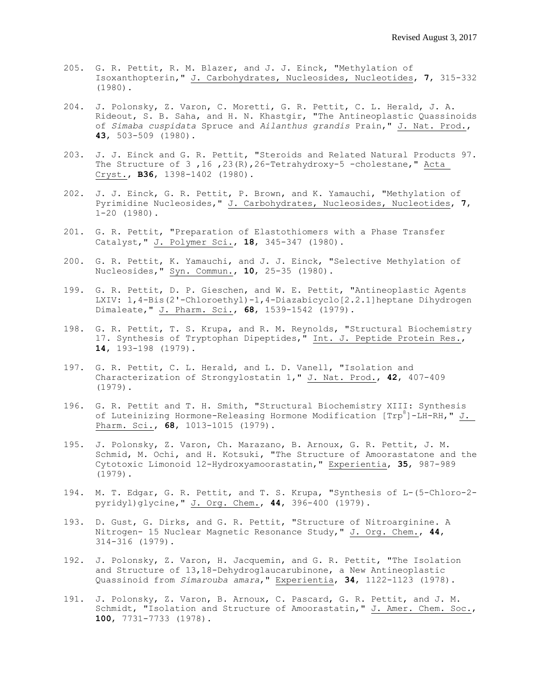- 205. G. R. Pettit, R. M. Blazer, and J. J. Einck, "Methylation of Isoxanthopterin," J. Carbohydrates, Nucleosides, Nucleotides, **7**, 315-332 (1980).
- 204. J. Polonsky, Z. Varon, C. Moretti, G. R. Pettit, C. L. Herald, J. A. Rideout, S. B. Saha, and H. N. Khastgir, "The Antineoplastic Quassinoids of *Simaba cuspidata* Spruce and *Ailanthus grandis* Prain," J. Nat. Prod., **43**, 503-509 (1980).
- 203. J. J. Einck and G. R. Pettit, "Steroids and Related Natural Products 97. The Structure of 3 ,16 ,23(R),26-Tetrahydroxy-5 -cholestane," Acta Cryst., **B36**, 1398-1402 (1980).
- 202. J. J. Einck, G. R. Pettit, P. Brown, and K. Yamauchi, "Methylation of Pyrimidine Nucleosides," J. Carbohydrates, Nucleosides, Nucleotides, **7**, 1-20 (1980).
- 201. G. R. Pettit, "Preparation of Elastothiomers with a Phase Transfer Catalyst," J. Polymer Sci., **18**, 345-347 (1980).
- 200. G. R. Pettit, K. Yamauchi, and J. J. Einck, "Selective Methylation of Nucleosides," Syn. Commun., **10**, 25-35 (1980).
- 199. G. R. Pettit, D. P. Gieschen, and W. E. Pettit, "Antineoplastic Agents LXIV: 1,4-Bis(2'-Chloroethyl)-1,4-Diazabicyclo[2.2.1]heptane Dihydrogen Dimaleate," J. Pharm. Sci., **68**, 1539-1542 (1979).
- 198. G. R. Pettit, T. S. Krupa, and R. M. Reynolds, "Structural Biochemistry 17. Synthesis of Tryptophan Dipeptides," Int. J. Peptide Protein Res., **14**, 193-198 (1979).
- 197. G. R. Pettit, C. L. Herald, and L. D. Vanell, "Isolation and Characterization of Strongylostatin 1," J. Nat. Prod., **42**, 407-409 (1979).
- 196. G. R. Pettit and T. H. Smith, "Structural Biochemistry XIII: Synthesis of Luteinizing Hormone-Releasing Hormone Modification  $[TP^8]$ -LH-RH," J. Pharm. Sci., **68**, 1013-1015 (1979).
- 195. J. Polonsky, Z. Varon, Ch. Marazano, B. Arnoux, G. R. Pettit, J. M. Schmid, M. Ochi, and H. Kotsuki, "The Structure of Amoorastatone and the Cytotoxic Limonoid 12-Hydroxyamoorastatin," Experientia, **35**, 987-989 (1979).
- 194. M. T. Edgar, G. R. Pettit, and T. S. Krupa, "Synthesis of L-(5-Chloro-2 pyridyl)glycine," J. Org. Chem., **44**, 396-400 (1979).
- 193. D. Gust, G. Dirks, and G. R. Pettit, "Structure of Nitroarginine. A Nitrogen- 15 Nuclear Magnetic Resonance Study," J. Org. Chem., **44**, 314-316 (1979).
- 192. J. Polonsky, Z. Varon, H. Jacquemin, and G. R. Pettit, "The Isolation and Structure of 13,18-Dehydroglaucarubinone, a New Antineoplastic Quassinoid from *Simarouba amara*," Experientia, **34**, 1122-1123 (1978).
- 191. J. Polonsky, Z. Varon, B. Arnoux, C. Pascard, G. R. Pettit, and J. M. Schmidt, "Isolation and Structure of Amoorastatin," J. Amer. Chem. Soc., **100**, 7731-7733 (1978).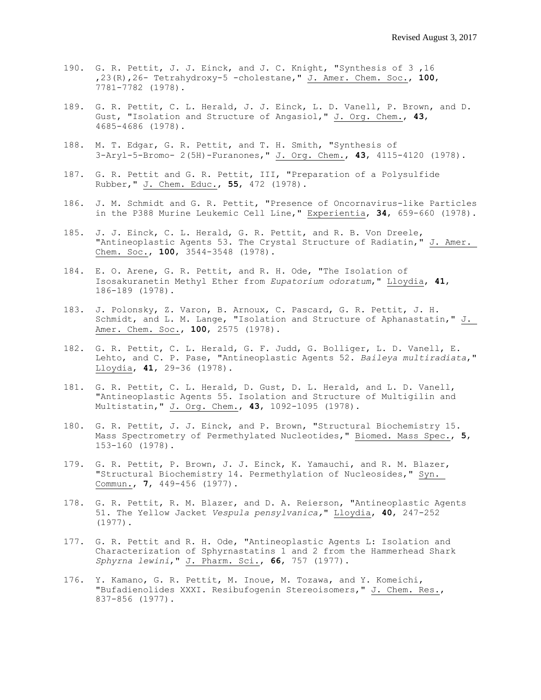- 190. G. R. Pettit, J. J. Einck, and J. C. Knight, "Synthesis of 3 ,16 ,23(R),26- Tetrahydroxy-5 -cholestane," J. Amer. Chem. Soc., **100**, 7781-7782 (1978).
- 189. G. R. Pettit, C. L. Herald, J. J. Einck, L. D. Vanell, P. Brown, and D. Gust, "Isolation and Structure of Angasiol," J. Org. Chem., **43**, 4685-4686 (1978).
- 188. M. T. Edgar, G. R. Pettit, and T. H. Smith, "Synthesis of 3-Aryl-5-Bromo- 2(5H)-Furanones," J. Org. Chem., **43**, 4115-4120 (1978).
- 187. G. R. Pettit and G. R. Pettit, III, "Preparation of a Polysulfide Rubber," J. Chem. Educ., **55**, 472 (1978).
- 186. J. M. Schmidt and G. R. Pettit, "Presence of Oncornavirus-like Particles in the P388 Murine Leukemic Cell Line," Experientia, **34**, 659-660 (1978).
- 185. J. J. Einck, C. L. Herald, G. R. Pettit, and R. B. Von Dreele, "Antineoplastic Agents 53. The Crystal Structure of Radiatin," J. Amer. Chem. Soc., **100**, 3544-3548 (1978).
- 184. E. O. Arene, G. R. Pettit, and R. H. Ode, "The Isolation of Isosakuranetin Methyl Ether from *Eupatorium odoratum*," Lloydia, **41**, 186-189 (1978).
- 183. J. Polonsky, Z. Varon, B. Arnoux, C. Pascard, G. R. Pettit, J. H. Schmidt, and L. M. Lange, "Isolation and Structure of Aphanastatin," J. Amer. Chem. Soc., **100**, 2575 (1978).
- 182. G. R. Pettit, C. L. Herald, G. F. Judd, G. Bolliger, L. D. Vanell, E. Lehto, and C. P. Pase, "Antineoplastic Agents 52. *Baileya multiradiata*," Lloydia, **41**, 29-36 (1978).
- 181. G. R. Pettit, C. L. Herald, D. Gust, D. L. Herald, and L. D. Vanell, "Antineoplastic Agents 55. Isolation and Structure of Multigilin and Multistatin," J. Org. Chem., **43**, 1092-1095 (1978).
- 180. G. R. Pettit, J. J. Einck, and P. Brown, "Structural Biochemistry 15. Mass Spectrometry of Permethylated Nucleotides," Biomed. Mass Spec., **5**, 153-160 (1978).
- 179. G. R. Pettit, P. Brown, J. J. Einck, K. Yamauchi, and R. M. Blazer, "Structural Biochemistry 14. Permethylation of Nucleosides," Syn. Commun., **7**, 449-456 (1977).
- 178. G. R. Pettit, R. M. Blazer, and D. A. Reierson, "Antineoplastic Agents 51. The Yellow Jacket *Vespula pensylvanica,*" Lloydia, **40**, 247-252 (1977).
- 177. G. R. Pettit and R. H. Ode, "Antineoplastic Agents L: Isolation and Characterization of Sphyrnastatins 1 and 2 from the Hammerhead Shark *Sphyrna lewini*," J. Pharm. Sci., **66**, 757 (1977).
- 176. Y. Kamano, G. R. Pettit, M. Inoue, M. Tozawa, and Y. Komeichi, "Bufadienolides XXXI. Resibufogenin Stereoisomers," J. Chem. Res., 837-856 (1977).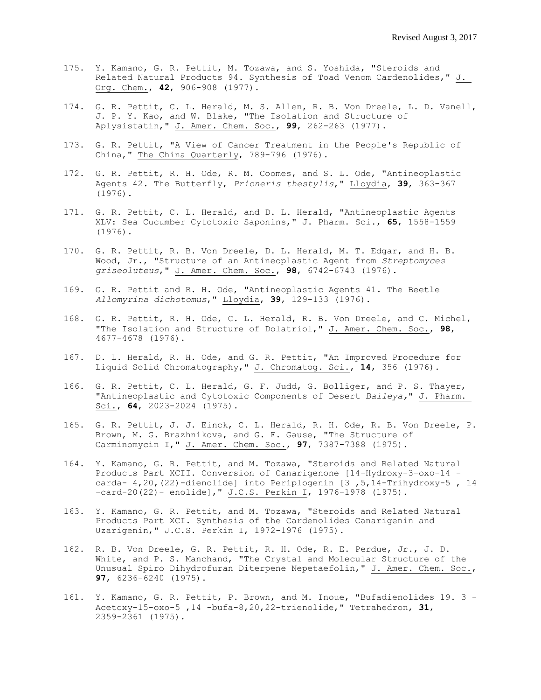- 175. Y. Kamano, G. R. Pettit, M. Tozawa, and S. Yoshida, "Steroids and Related Natural Products 94. Synthesis of Toad Venom Cardenolides," J. Org. Chem., **42**, 906-908 (1977).
- 174. G. R. Pettit, C. L. Herald, M. S. Allen, R. B. Von Dreele, L. D. Vanell, J. P. Y. Kao, and W. Blake, "The Isolation and Structure of Aplysistatin," J. Amer. Chem. Soc., **99**, 262-263 (1977).
- 173. G. R. Pettit, "A View of Cancer Treatment in the People's Republic of China," The China Quarterly, 789-796 (1976).
- 172. G. R. Pettit, R. H. Ode, R. M. Coomes, and S. L. Ode, "Antineoplastic Agents 42. The Butterfly, *Prioneris thestylis*," Lloydia, **39**, 363-367 (1976).
- 171. G. R. Pettit, C. L. Herald, and D. L. Herald, "Antineoplastic Agents XLV: Sea Cucumber Cytotoxic Saponins," J. Pharm. Sci., **65**, 1558-1559 (1976).
- 170. G. R. Pettit, R. B. Von Dreele, D. L. Herald, M. T. Edgar, and H. B. Wood, Jr., "Structure of an Antineoplastic Agent from *Streptomyces griseoluteus*," J. Amer. Chem. Soc., **98**, 6742-6743 (1976).
- 169. G. R. Pettit and R. H. Ode, "Antineoplastic Agents 41. The Beetle *Allomyrina dichotomus*," Lloydia, **39**, 129-133 (1976).
- 168. G. R. Pettit, R. H. Ode, C. L. Herald, R. B. Von Dreele, and C. Michel, "The Isolation and Structure of Dolatriol," J. Amer. Chem. Soc., **98**, 4677-4678 (1976).
- 167. D. L. Herald, R. H. Ode, and G. R. Pettit, "An Improved Procedure for Liquid Solid Chromatography," J. Chromatog. Sci., **14**, 356 (1976).
- 166. G. R. Pettit, C. L. Herald, G. F. Judd, G. Bolliger, and P. S. Thayer, "Antineoplastic and Cytotoxic Components of Desert *Baileya,*" J. Pharm. Sci., **64**, 2023-2024 (1975).
- 165. G. R. Pettit, J. J. Einck, C. L. Herald, R. H. Ode, R. B. Von Dreele, P. Brown, M. G. Brazhnikova, and G. F. Gause, "The Structure of Carminomycin I," J. Amer. Chem. Soc., **97**, 7387-7388 (1975).
- 164. Y. Kamano, G. R. Pettit, and M. Tozawa, "Steroids and Related Natural Products Part XCII. Conversion of Canarigenone [14-Hydroxy-3-oxo-14 carda- 4,20,(22)-dienolide] into Periplogenin [3 ,5,14-Trihydroxy-5 , 14 -card-20(22)- enolide]," J.C.S. Perkin I, 1976-1978 (1975).
- 163. Y. Kamano, G. R. Pettit, and M. Tozawa, "Steroids and Related Natural Products Part XCI. Synthesis of the Cardenolides Canarigenin and Uzarigenin," J.C.S. Perkin I, 1972-1976 (1975).
- 162. R. B. Von Dreele, G. R. Pettit, R. H. Ode, R. E. Perdue, Jr., J. D. White, and P. S. Manchand, "The Crystal and Molecular Structure of the Unusual Spiro Dihydrofuran Diterpene Nepetaefolin," J. Amer. Chem. Soc., **97**, 6236-6240 (1975).
- 161. Y. Kamano, G. R. Pettit, P. Brown, and M. Inoue, "Bufadienolides 19. 3 Acetoxy-15-oxo-5 ,14 -bufa-8,20,22-trienolide," Tetrahedron, **31**, 2359-2361 (1975).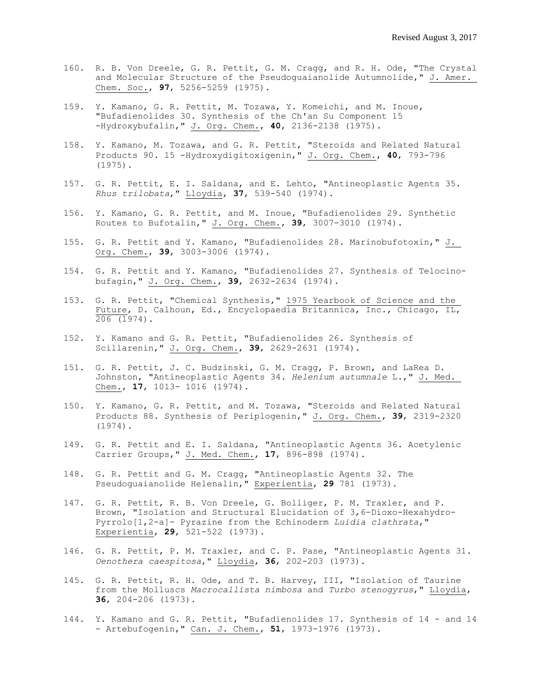- 160. R. B. Von Dreele, G. R. Pettit, G. M. Cragg, and R. H. Ode, "The Crystal and Molecular Structure of the Pseudoguaianolide Autumnolide," J. Amer. Chem. Soc., **97**, 5256-5259 (1975).
- 159. Y. Kamano, G. R. Pettit, M. Tozawa, Y. Komeichi, and M. Inoue, "Bufadienolides 30. Synthesis of the Ch'an Su Component 15 -Hydroxybufalin," J. Org. Chem., **40**, 2136-2138 (1975).
- 158. Y. Kamano, M. Tozawa, and G. R. Pettit, "Steroids and Related Natural Products 90. 15 -Hydroxydigitoxigenin," J. Org. Chem., **40**, 793-796 (1975).
- 157. G. R. Pettit, E. I. Saldana, and E. Lehto, "Antineoplastic Agents 35. *Rhus trilobata*," Lloydia, **37**, 539-540 (1974).
- 156. Y. Kamano, G. R. Pettit, and M. Inoue, "Bufadienolides 29. Synthetic Routes to Bufotalin," J. Org. Chem., **39**, 3007-3010 (1974).
- 155. G. R. Pettit and Y. Kamano, "Bufadienolides 28. Marinobufotoxin," J. Org. Chem., **39**, 3003-3006 (1974).
- 154. G. R. Pettit and Y. Kamano, "Bufadienolides 27. Synthesis of Telocinobufagin," J. Org. Chem., **39**, 2632-2634 (1974).
- 153. G. R. Pettit, "Chemical Synthesis," 1975 Yearbook of Science and the Future, D. Calhoun, Ed., Encyclopaedia Britannica, Inc., Chicago, IL,  $\overline{206}$  (1974).
- 152. Y. Kamano and G. R. Pettit, "Bufadienolides 26. Synthesis of Scillarenin," J. Org. Chem., **39**, 2629-2631 (1974).
- 151. G. R. Pettit, J. C. Budzinski, G. M. Cragg, P. Brown, and LaRea D. Johnston, "Antineoplastic Agents 34. *Helenium autumnale* L.," J. Med. Chem., **17**, 1013- 1016 (1974).
- 150. Y. Kamano, G. R. Pettit, and M. Tozawa, "Steroids and Related Natural Products 88. Synthesis of Periplogenin," J. Org. Chem., **39**, 2319-2320 (1974).
- 149. G. R. Pettit and E. I. Saldana, "Antineoplastic Agents 36. Acetylenic Carrier Groups," J. Med. Chem., **17**, 896-898 (1974).
- 148. G. R. Pettit and G. M. Cragg, "Antineoplastic Agents 32. The Pseudoguaianolide Helenalin," Experientia, **29** 781 (1973).
- 147. G. R. Pettit, R. B. Von Dreele, G. Bolliger, P. M. Traxler, and P. Brown, "Isolation and Structural Elucidation of 3,6-Dioxo-Hexahydro-Pyrrolo[1,2-a]- Pyrazine from the Echinoderm *Luidia clathrata*," Experientia, **29**, 521-522 (1973).
- 146. G. R. Pettit, P. M. Traxler, and C. P. Pase, "Antineoplastic Agents 31. *Oenothera caespitosa*," Lloydia, **36**, 202-203 (1973).
- 145. G. R. Pettit, R. H. Ode, and T. B. Harvey, III, "Isolation of Taurine from the Molluscs *Macrocallista nimbosa* and *Turbo stenogyrus*," Lloydia, **36**, 204-206 (1973).
- 144. Y. Kamano and G. R. Pettit, "Bufadienolides 17. Synthesis of 14 and 14 - Artebufogenin," Can. J. Chem., **51**, 1973-1976 (1973).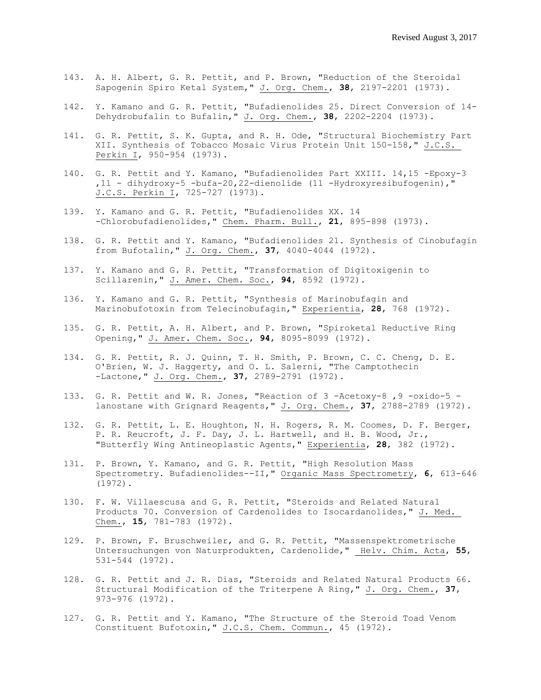- 143. A. H. Albert, G. R. Pettit, and P. Brown, "Reduction of the Steroidal Sapogenin Spiro Ketal System," J. Org. Chem., **38**, 2197-2201 (1973).
- 142. Y. Kamano and G. R. Pettit, "Bufadienolides 25. Direct Conversion of 14- Dehydrobufalin to Bufalin," J. Org. Chem., **38**, 2202-2204 (1973).
- 141. G. R. Pettit, S. K. Gupta, and R. H. Ode, "Structural Biochemistry Part XII. Synthesis of Tobacco Mosaic Virus Protein Unit 150-158," J.C.S. Perkin I, 950-954 (1973).
- 140. G. R. Pettit and Y. Kamano, "Bufadienolides Part XXIII. 14,15 -Epoxy-3 ,11 - dihydroxy-5 -bufa-20,22-dienolide (11 -Hydroxyresibufogenin)," J.C.S. Perkin I, 725-727 (1973).
- 139. Y. Kamano and G. R. Pettit, "Bufadienolides XX. 14 -Chlorobufadienolides," Chem. Pharm. Bull., **21**, 895-898 (1973).
- 138. G. R. Pettit and Y. Kamano, "Bufadienolides 21. Synthesis of Cinobufagin from Bufotalin," J. Org. Chem., **37**, 4040-4044 (1972).
- 137. Y. Kamano and G. R. Pettit, "Transformation of Digitoxigenin to Scillarenin," J. Amer. Chem. Soc., **94**, 8592 (1972).
- 136. Y. Kamano and G. R. Pettit, "Synthesis of Marinobufagin and Marinobufotoxin from Telecinobufagin," Experientia, **28**, 768 (1972).
- 135. G. R. Pettit, A. H. Albert, and P. Brown, "Spiroketal Reductive Ring Opening," J. Amer. Chem. Soc., **94**, 8095-8099 (1972).
- 134. G. R. Pettit, R. J. Quinn, T. H. Smith, P. Brown, C. C. Cheng, D. E. O'Brien, W. J. Haggerty, and O. L. Salerni, "The Camptothecin -Lactone," J. Org. Chem., **37**, 2789-2791 (1972).
- 133. G. R. Pettit and W. R. Jones, "Reaction of 3 -Acetoxy-8 ,9 -oxido-5 lanostane with Grignard Reagents," J. Org. Chem., **37**, 2788-2789 (1972).
- 132. G. R. Pettit, L. E. Houghton, N. H. Rogers, R. M. Coomes, D. F. Berger, P. R. Reucroft, J. F. Day, J. L. Hartwell, and H. B. Wood, Jr., "Butterfly Wing Antineoplastic Agents," Experientia, **28**, 382 (1972).
- 131. P. Brown, Y. Kamano, and G. R. Pettit, "High Resolution Mass Spectrometry. Bufadienolides--II," Organic Mass Spectrometry, **6**, 613-646 (1972).
- 130. F. W. Villaescusa and G. R. Pettit, "Steroids and Related Natural Products 70. Conversion of Cardenolides to Isocardanolides," J. Med. Chem., **15**, 781-783 (1972).
- 129. P. Brown, F. Bruschweiler, and G. R. Pettit, "Massenspektrometrische Untersuchungen von Naturprodukten, Cardenolide," Helv. Chim. Acta, **55**, 531-544 (1972).
- 128. G. R. Pettit and J. R. Dias, "Steroids and Related Natural Products 66. Structural Modification of the Triterpene A Ring," J. Org. Chem., **37**, 973-976 (1972).
- 127. G. R. Pettit and Y. Kamano, "The Structure of the Steroid Toad Venom Constituent Bufotoxin," J.C.S. Chem. Commun., 45 (1972).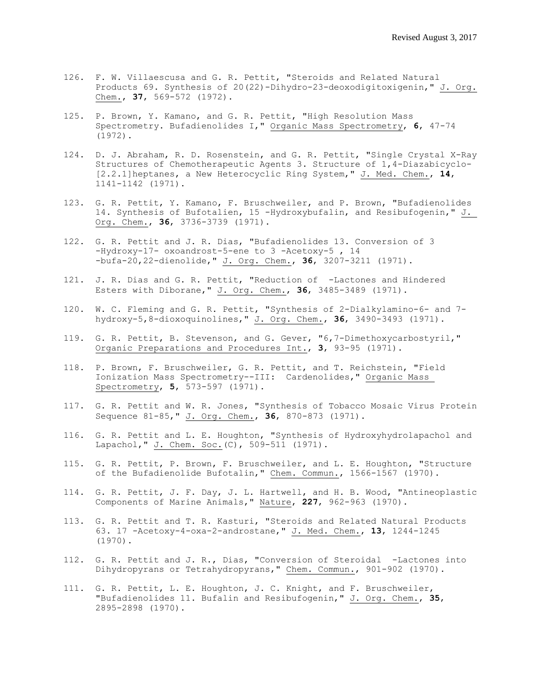- 126. F. W. Villaescusa and G. R. Pettit, "Steroids and Related Natural Products 69. Synthesis of 20(22)-Dihydro-23-deoxodigitoxigenin," J. Org. Chem., **37**, 569-572 (1972).
- 125. P. Brown, Y. Kamano, and G. R. Pettit, "High Resolution Mass Spectrometry. Bufadienolides I," Organic Mass Spectrometry, **6**, 47-74 (1972).
- 124. D. J. Abraham, R. D. Rosenstein, and G. R. Pettit, "Single Crystal X-Ray Structures of Chemotherapeutic Agents 3. Structure of 1,4-Diazabicyclo- [2.2.1]heptanes, a New Heterocyclic Ring System," J. Med. Chem., **14**, 1141-1142 (1971).
- 123. G. R. Pettit, Y. Kamano, F. Bruschweiler, and P. Brown, "Bufadienolides 14. Synthesis of Bufotalien, 15 -Hydroxybufalin, and Resibufogenin," J. Org. Chem., **36**, 3736-3739 (1971).
- 122. G. R. Pettit and J. R. Dias, "Bufadienolides 13. Conversion of 3 -Hydroxy-17- oxoandrost-5-ene to 3 -Acetoxy-5, 14 -bufa-20,22-dienolide," J. Org. Chem., **36**, 3207-3211 (1971).
- 121. J. R. Dias and G. R. Pettit, "Reduction of -Lactones and Hindered Esters with Diborane," J. Org. Chem., **36**, 3485-3489 (1971).
- 120. W. C. Fleming and G. R. Pettit, "Synthesis of 2-Dialkylamino-6- and 7 hydroxy-5,8-dioxoquinolines," J. Org. Chem., **36**, 3490-3493 (1971).
- 119. G. R. Pettit, B. Stevenson, and G. Gever, "6,7-Dimethoxycarbostyril," Organic Preparations and Procedures Int., **3**, 93-95 (1971).
- 118. P. Brown, F. Bruschweiler, G. R. Pettit, and T. Reichstein, "Field Ionization Mass Spectrometry--III: Cardenolides," Organic Mass Spectrometry, **5**, 573-597 (1971).
- 117. G. R. Pettit and W. R. Jones, "Synthesis of Tobacco Mosaic Virus Protein Sequence 81-85," J. Org. Chem., **36**, 870-873 (1971).
- 116. G. R. Pettit and L. E. Houghton, "Synthesis of Hydroxyhydrolapachol and Lapachol," J. Chem. Soc.(C), 509-511 (1971).
- 115. G. R. Pettit, P. Brown, F. Bruschweiler, and L. E. Houghton, "Structure of the Bufadienolide Bufotalin," Chem. Commun., 1566-1567 (1970).
- 114. G. R. Pettit, J. F. Day, J. L. Hartwell, and H. B. Wood, "Antineoplastic Components of Marine Animals," Nature, **227**, 962-963 (1970).
- 113. G. R. Pettit and T. R. Kasturi, "Steroids and Related Natural Products 63. 17 -Acetoxy-4-oxa-2-androstane," J. Med. Chem., **13**, 1244-1245 (1970).
- 112. G. R. Pettit and J. R., Dias, "Conversion of Steroidal -Lactones into Dihydropyrans or Tetrahydropyrans," Chem. Commun., 901-902 (1970).
- 111. G. R. Pettit, L. E. Houghton, J. C. Knight, and F. Bruschweiler, "Bufadienolides 11. Bufalin and Resibufogenin," J. Org. Chem., **35**, 2895-2898 (1970).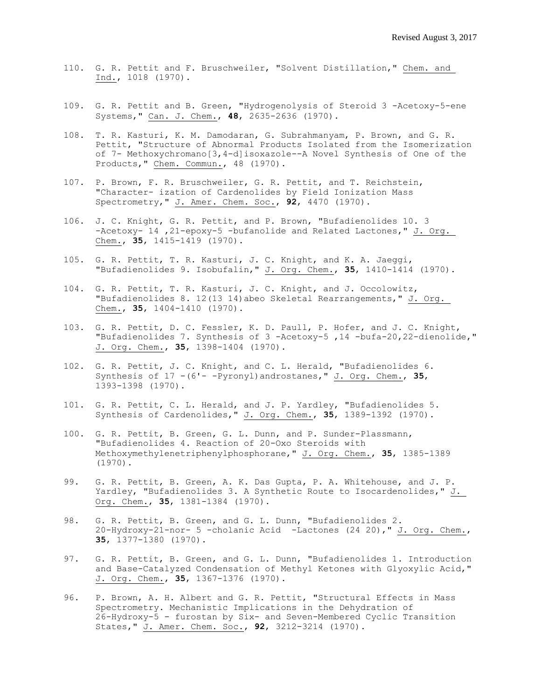- 110. G. R. Pettit and F. Bruschweiler, "Solvent Distillation," Chem. and Ind., 1018 (1970).
- 109. G. R. Pettit and B. Green, "Hydrogenolysis of Steroid 3 -Acetoxy-5-ene Systems," Can. J. Chem., **48**, 2635-2636 (1970).
- 108. T. R. Kasturi, K. M. Damodaran, G. Subrahmanyam, P. Brown, and G. R. Pettit, "Structure of Abnormal Products Isolated from the Isomerization of 7- Methoxychromano[3,4-d]isoxazole--A Novel Synthesis of One of the Products, " Chem. Commun., 48 (1970).
- 107. P. Brown, F. R. Bruschweiler, G. R. Pettit, and T. Reichstein, "Character- ization of Cardenolides by Field Ionization Mass Spectrometry," J. Amer. Chem. Soc., **92**, 4470 (1970).
- 106. J. C. Knight, G. R. Pettit, and P. Brown, "Bufadienolides 10. 3 -Acetoxy- 14 ,21-epoxy-5 -bufanolide and Related Lactones," J. Org. Chem., **35**, 1415-1419 (1970).
- 105. G. R. Pettit, T. R. Kasturi, J. C. Knight, and K. A. Jaeggi, "Bufadienolides 9. Isobufalin," J. Org. Chem., **35**, 1410-1414 (1970).
- 104. G. R. Pettit, T. R. Kasturi, J. C. Knight, and J. Occolowitz, "Bufadienolides 8. 12(13 14)abeo Skeletal Rearrangements," J. Org. Chem., **35**, 1404-1410 (1970).
- 103. G. R. Pettit, D. C. Fessler, K. D. Paull, P. Hofer, and J. C. Knight, "Bufadienolides 7. Synthesis of 3 -Acetoxy-5 ,14 -bufa-20,22-dienolide," J. Org. Chem., **35**, 1398-1404 (1970).
- 102. G. R. Pettit, J. C. Knight, and C. L. Herald, "Bufadienolides 6. Synthesis of 17 -(6'- -Pyronyl)androstanes," J. Org. Chem., **35**, 1393-1398 (1970).
- 101. G. R. Pettit, C. L. Herald, and J. P. Yardley, "Bufadienolides 5. Synthesis of Cardenolides," J. Org. Chem., **35**, 1389-1392 (1970).
- 100. G. R. Pettit, B. Green, G. L. Dunn, and P. Sunder-Plassmann, "Bufadienolides 4. Reaction of 20-Oxo Steroids with Methoxymethylenetriphenylphosphorane," J. Org. Chem., **35**, 1385-1389 (1970).
- 99. G. R. Pettit, B. Green, A. K. Das Gupta, P. A. Whitehouse, and J. P. Yardley, "Bufadienolides 3. A Synthetic Route to Isocardenolides," J. Org. Chem., **35**, 1381-1384 (1970).
- 98. G. R. Pettit, B. Green, and G. L. Dunn, "Bufadienolides 2. 20-Hydroxy-21-nor- 5 -cholanic Acid -Lactones (24 20)," J. Org. Chem., **35**, 1377-1380 (1970).
- 97. G. R. Pettit, B. Green, and G. L. Dunn, "Bufadienolides 1. Introduction and Base-Catalyzed Condensation of Methyl Ketones with Glyoxylic Acid," J. Org. Chem., **35**, 1367-1376 (1970).
- 96. P. Brown, A. H. Albert and G. R. Pettit, "Structural Effects in Mass Spectrometry. Mechanistic Implications in the Dehydration of 26-Hydroxy-5 - furostan by Six- and Seven-Membered Cyclic Transition States," J. Amer. Chem. Soc., **92**, 3212-3214 (1970).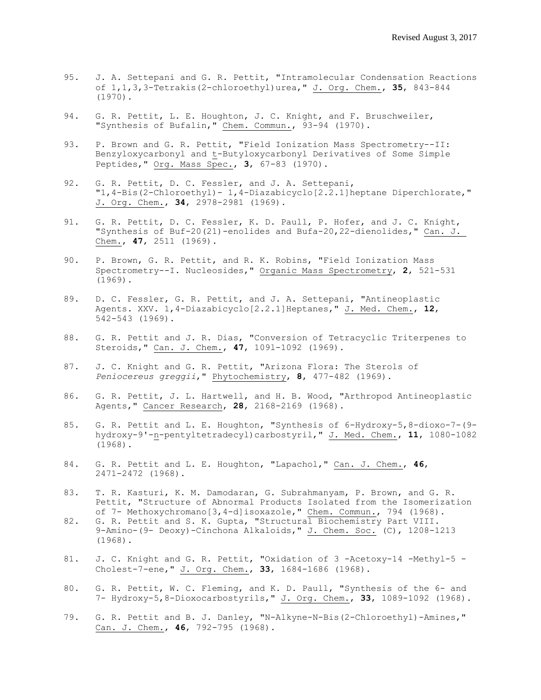- 95. J. A. Settepani and G. R. Pettit, "Intramolecular Condensation Reactions of 1,1,3,3-Tetrakis(2-chloroethyl)urea," J. Org. Chem., **35**, 843-844 (1970).
- 94. G. R. Pettit, L. E. Houghton, J. C. Knight, and F. Bruschweiler, "Synthesis of Bufalin," Chem. Commun., 93-94 (1970).
- 93. P. Brown and G. R. Pettit, "Field Ionization Mass Spectrometry--II: Benzyloxycarbonyl and t-Butyloxycarbonyl Derivatives of Some Simple Peptides," Org. Mass Spec., **3**, 67-83 (1970).
- 92. G. R. Pettit, D. C. Fessler, and J. A. Settepani, "1,4-Bis(2-Chloroethyl)- 1,4-Diazabicyclo[2.2.1]heptane Diperchlorate," J. Org. Chem., **34**, 2978-2981 (1969).
- 91. G. R. Pettit, D. C. Fessler, K. D. Paull, P. Hofer, and J. C. Knight, "Synthesis of Buf-20(21)-enolides and Bufa-20,22-dienolides," Can. J. Chem., **47**, 2511 (1969).
- 90. P. Brown, G. R. Pettit, and R. K. Robins, "Field Ionization Mass Spectrometry--I. Nucleosides," Organic Mass Spectrometry, **2**, 521-531 (1969).
- 89. D. C. Fessler, G. R. Pettit, and J. A. Settepani, "Antineoplastic Agents. XXV. 1,4-Diazabicyclo[2.2.1]Heptanes," J. Med. Chem., **12**, 542-543 (1969).
- 88. G. R. Pettit and J. R. Dias, "Conversion of Tetracyclic Triterpenes to Steroids," Can. J. Chem., **47**, 109l-1092 (1969).
- 87. J. C. Knight and G. R. Pettit, "Arizona Flora: The Sterols of *Peniocereus greggii*," Phytochemistry, **8**, 477-482 (1969).
- 86. G. R. Pettit, J. L. Hartwell, and H. B. Wood, "Arthropod Antineoplastic Agents," Cancer Research, **28**, 2168-2169 (1968).
- 85. G. R. Pettit and L. E. Houghton, "Synthesis of 6-Hydroxy-5,8-dioxo-7-(9 hydroxy-9'-n-pentyltetradecyl)carbostyril," J. Med. Chem., **11**, 1080-1082 (1968).
- 84. G. R. Pettit and L. E. Houghton, "Lapachol," Can. J. Chem., **46**, 2471-2472 (1968).
- 83. T. R. Kasturi, K. M. Damodaran, G. Subrahmanyam, P. Brown, and G. R. Pettit, "Structure of Abnormal Products Isolated from the Isomerization of 7- Methoxychromano[3,4-d]isoxazole," Chem. Commun., 794 (1968).
- 82. G. R. Pettit and S. K. Gupta, "Structural Biochemistry Part VIII. 9-Amino-(9- Deoxy)-Cinchona Alkaloids," J. Chem. Soc. (C), 1208-1213 (1968).
- 81. J. C. Knight and G. R. Pettit, "Oxidation of 3 -Acetoxy-14 -Methyl-5 -Cholest-7-ene," J. Org. Chem., **33**, 1684-1686 (1968).
- 80. G. R. Pettit, W. C. Fleming, and K. D. Paull, "Synthesis of the 6- and 7- Hydroxy-5,8-Dioxocarbostyrils," J. Org. Chem., **33**, 1089-1092 (1968).
- 79. G. R. Pettit and B. J. Danley, "N-Alkyne-N-Bis(2-Chloroethyl)-Amines," Can. J. Chem., **46**, 792-795 (1968).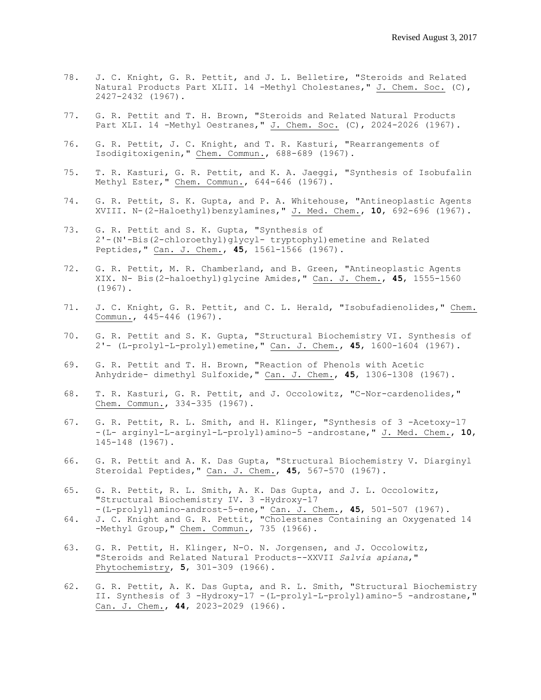- 78. J. C. Knight, G. R. Pettit, and J. L. Belletire, "Steroids and Related Natural Products Part XLII. l4 -Methyl Cholestanes," J. Chem. Soc. (C), 2427-2432 (1967).
- 77. G. R. Pettit and T. H. Brown, "Steroids and Related Natural Products Part XLI. 14 -Methyl Oestranes," J. Chem. Soc. (C), 2024-2026 (1967).
- 76. G. R. Pettit, J. C. Knight, and T. R. Kasturi, "Rearrangements of Isodigitoxigenin," Chem. Commun., 688-689 (1967).
- 75. T. R. Kasturi, G. R. Pettit, and K. A. Jaeggi, "Synthesis of Isobufalin Methyl Ester," Chem. Commun., 644-646 (1967).
- 74. G. R. Pettit, S. K. Gupta, and P. A. Whitehouse, "Antineoplastic Agents XVIII. N-(2-Haloethyl)benzylamines," J. Med. Chem., **10**, 692-696 (1967).
- 73. G. R. Pettit and S. K. Gupta, "Synthesis of 2'-(N'-Bis(2-chloroethyl)glycyl- tryptophyl)emetine and Related Peptides," Can. J. Chem., **45**, 156l-1566 (1967).
- 72. G. R. Pettit, M. R. Chamberland, and B. Green, "Antineoplastic Agents XIX. N- Bis(2-haloethyl)glycine Amides," Can. J. Chem., **45**, 1555-1560 (1967).
- 71. J. C. Knight, G. R. Pettit, and C. L. Herald, "Isobufadienolides," Chem. Commun., 445-446 (1967).
- 70. G. R. Pettit and S. K. Gupta, "Structural Biochemistry VI. Synthesis of 2'- (L-prolyl-L-prolyl)emetine," Can. J. Chem., **45**, 1600-1604 (1967).
- 69. G. R. Pettit and T. H. Brown, "Reaction of Phenols with Acetic Anhydride- dimethyl Sulfoxide," Can. J. Chem., **45**, 1306-1308 (1967).
- 68. T. R. Kasturi, G. R. Pettit, and J. Occolowitz, "C-Nor-cardenolides," Chem. Commun., 334-335 (1967).
- 67. G. R. Pettit, R. L. Smith, and H. Klinger, "Synthesis of 3 -Acetoxy-17 -(L- arginyl-L-arginyl-L-prolyl)amino-5 -androstane," J. Med. Chem., **10**, 145-148 (1967).
- 66. G. R. Pettit and A. K. Das Gupta, "Structural Biochemistry V. Diarginyl Steroidal Peptides," Can. J. Chem., **45**, 567-570 (1967).
- 65. G. R. Pettit, R. L. Smith, A. K. Das Gupta, and J. L. Occolowitz, "Structural Biochemistry IV. 3 -Hydroxy-17 -(L-prolyl)amino-androst-5-ene," Can. J. Chem., **45**, 501-507 (1967).
- 64. J. C. Knight and G. R. Pettit, "Cholestanes Containing an Oxygenated 14 -Methyl Group," Chem. Commun., 735 (1966).
- 63. G. R. Pettit, H. Klinger, N-O. N. Jorgensen, and J. Occolowitz, "Steroids and Related Natural Products--XXVII *Salvia apiana*," Phytochemistry, **5**, 301-309 (1966).
- 62. G. R. Pettit, A. K. Das Gupta, and R. L. Smith, "Structural Biochemistry II. Synthesis of 3 -Hydroxy-17 -(L-prolyl-L-prolyl)amino-5 -androstane," Can. J. Chem., **44**, 2023-2029 (1966).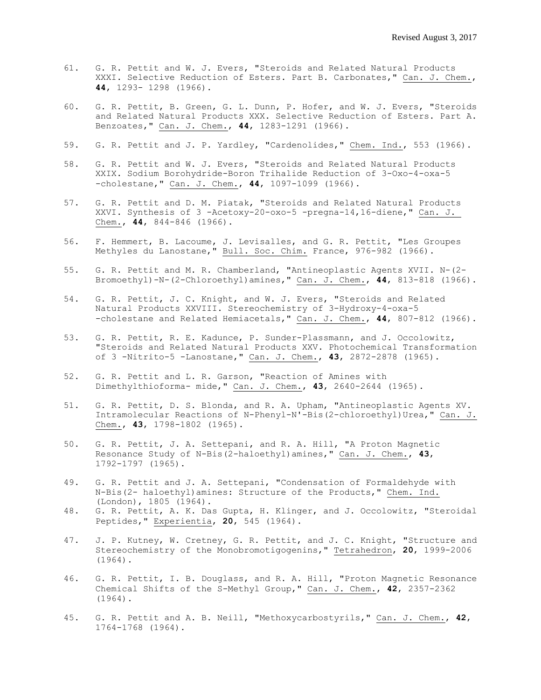- 61. G. R. Pettit and W. J. Evers, "Steroids and Related Natural Products XXXI. Selective Reduction of Esters. Part B. Carbonates," Can. J. Chem., **44**, 1293- 1298 (1966).
- 60. G. R. Pettit, B. Green, G. L. Dunn, P. Hofer, and W. J. Evers, "Steroids and Related Natural Products XXX. Selective Reduction of Esters. Part A. Benzoates," Can. J. Chem., **44**, 1283-1291 (1966).
- 59. G. R. Pettit and J. P. Yardley, "Cardenolides," Chem. Ind., 553 (1966).
- 58. G. R. Pettit and W. J. Evers, "Steroids and Related Natural Products XXIX. Sodium Borohydride-Boron Trihalide Reduction of 3-Oxo-4-oxa-5 -cholestane," Can. J. Chem., **44**, 1097-1099 (1966).
- 57. G. R. Pettit and D. M. Piatak, "Steroids and Related Natural Products XXVI. Synthesis of 3 -Acetoxy-20-oxo-5 -pregna-14,16-diene," Can. J. Chem., **44**, 844-846 (1966).
- 56. F. Hemmert, B. Lacoume, J. Levisalles, and G. R. Pettit, "Les Groupes Methyles du Lanostane," Bull. Soc. Chim. France, 976-982 (1966).
- 55. G. R. Pettit and M. R. Chamberland, "Antineoplastic Agents XVII. N-(2- Bromoethyl)-N-(2-Chloroethyl)amines," Can. J. Chem., **44**, 813-818 (1966).
- 54. G. R. Pettit, J. C. Knight, and W. J. Evers, "Steroids and Related Natural Products XXVIII. Stereochemistry of 3-Hydroxy-4-oxa-5 -cholestane and Related Hemiacetals," Can. J. Chem., **44**, 807-812 (1966).
- 53. G. R. Pettit, R. E. Kadunce, P. Sunder-Plassmann, and J. Occolowitz, "Steroids and Related Natural Products XXV. Photochemical Transformation of 3 -Nitrito-5 -Lanostane," Can. J. Chem., **43**, 2872-2878 (1965).
- 52. G. R. Pettit and L. R. Garson, "Reaction of Amines with Dimethylthioforma- mide," Can. J. Chem., **43**, 2640-2644 (1965).
- 51. G. R. Pettit, D. S. Blonda, and R. A. Upham, "Antineoplastic Agents XV. Intramolecular Reactions of N-Phenyl-N'-Bis(2-chloroethyl)Urea," Can. J. Chem., **43**, 1798-1802 (1965).
- 50. G. R. Pettit, J. A. Settepani, and R. A. Hill, "A Proton Magnetic Resonance Study of N-Bis(2-haloethyl)amines," Can. J. Chem., **43**, 1792-1797 (1965).
- 49. G. R. Pettit and J. A. Settepani, "Condensation of Formaldehyde with N-Bis(2- haloethyl)amines: Structure of the Products," Chem. Ind. (London), 1805 (1964).
- 48. G. R. Pettit, A. K. Das Gupta, H. Klinger, and J. Occolowitz, "Steroidal Peptides," Experientia, **20**, 545 (1964).
- 47. J. P. Kutney, W. Cretney, G. R. Pettit, and J. C. Knight, "Structure and Stereochemistry of the Monobromotigogenins," Tetrahedron, **20**, 1999-2006 (1964).
- 46. G. R. Pettit, I. B. Douglass, and R. A. Hill, "Proton Magnetic Resonance Chemical Shifts of the S-Methyl Group," Can. J. Chem., **42**, 2357-2362 (1964).
- 45. G. R. Pettit and A. B. Neill, "Methoxycarbostyrils," Can. J. Chem., **42**, 1764-1768 (1964).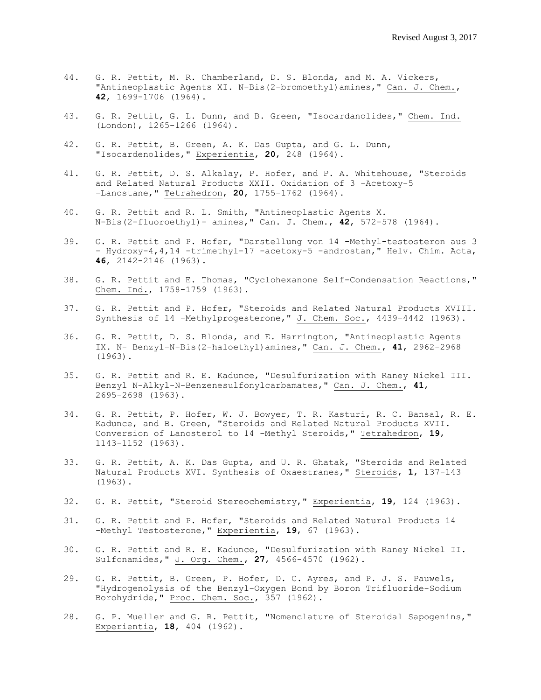- 44. G. R. Pettit, M. R. Chamberland, D. S. Blonda, and M. A. Vickers, "Antineoplastic Agents XI. N-Bis(2-bromoethyl)amines," Can. J. Chem., **42**, 1699-1706 (1964).
- 43. G. R. Pettit, G. L. Dunn, and B. Green, "Isocardanolides," Chem. Ind. (London), 1265-1266 (1964).
- 42. G. R. Pettit, B. Green, A. K. Das Gupta, and G. L. Dunn, "Isocardenolides," Experientia, **20**, 248 (1964).
- 41. G. R. Pettit, D. S. Alkalay, P. Hofer, and P. A. Whitehouse, "Steroids and Related Natural Products XXII. Oxidation of 3 -Acetoxy-5 -Lanostane," Tetrahedron, **20**, 1755-1762 (1964).
- 40. G. R. Pettit and R. L. Smith, "Antineoplastic Agents X. N-Bis(2-fluoroethyl)- amines," Can. J. Chem., **42**, 572-578 (1964).
- 39. G. R. Pettit and P. Hofer, "Darstellung von 14 -Methyl-testosteron aus 3 - Hydroxy-4,4,14 -trimethyl-17 -acetoxy-5 -androstan," Helv. Chim. Acta, **46**, 2142-2146 (1963).
- 38. G. R. Pettit and E. Thomas, "Cyclohexanone Self-Condensation Reactions," Chem. Ind., 1758-1759 (1963).
- 37. G. R. Pettit and P. Hofer, "Steroids and Related Natural Products XVIII. Synthesis of 14 -Methylprogesterone," J. Chem. Soc., 4439-4442 (1963).
- 36. G. R. Pettit, D. S. Blonda, and E. Harrington, "Antineoplastic Agents IX. N- Benzyl-N-Bis(2-haloethyl)amines," Can. J. Chem., **41**, 2962-2968 (1963).
- 35. G. R. Pettit and R. E. Kadunce, "Desulfurization with Raney Nickel III. Benzyl N-Alkyl-N-Benzenesulfonylcarbamates," Can. J. Chem., **41**, 2695-2698 (1963).
- 34. G. R. Pettit, P. Hofer, W. J. Bowyer, T. R. Kasturi, R. C. Bansal, R. E. Kadunce, and B. Green, "Steroids and Related Natural Products XVII. Conversion of Lanosterol to 14 -Methyl Steroids," Tetrahedron, **19**, 1143-1152 (1963).
- 33. G. R. Pettit, A. K. Das Gupta, and U. R. Ghatak, "Steroids and Related Natural Products XVI. Synthesis of Oxaestranes," Steroids, **1**, 137-143 (1963).
- 32. G. R. Pettit, "Steroid Stereochemistry," Experientia, **19**, 124 (1963).
- 31. G. R. Pettit and P. Hofer, "Steroids and Related Natural Products 14 -Methyl Testosterone," Experientia, **19**, 67 (1963).
- 30. G. R. Pettit and R. E. Kadunce, "Desulfurization with Raney Nickel II. Sulfonamides," J. Org. Chem., **27**, 4566-4570 (1962).
- 29. G. R. Pettit, B. Green, P. Hofer, D. C. Ayres, and P. J. S. Pauwels, "Hydrogenolysis of the Benzyl-Oxygen Bond by Boron Trifluoride-Sodium Borohydride," Proc. Chem. Soc., 357 (1962).
- 28. G. P. Mueller and G. R. Pettit, "Nomenclature of Steroidal Sapogenins," Experientia, **18**, 404 (1962).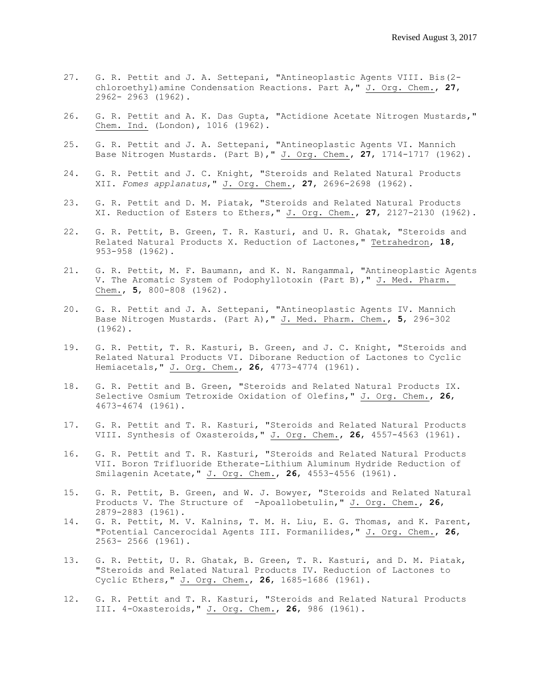- 27. G. R. Pettit and J. A. Settepani, "Antineoplastic Agents VIII. Bis(2 chloroethyl)amine Condensation Reactions. Part A," J. Org. Chem., **27**, 2962- 2963 (1962).
- 26. G. R. Pettit and A. K. Das Gupta, "Actidione Acetate Nitrogen Mustards," Chem. Ind. (London), 1016 (1962).
- 25. G. R. Pettit and J. A. Settepani, "Antineoplastic Agents VI. Mannich Base Nitrogen Mustards. (Part B)," J. Org. Chem., **27**, 1714-1717 (1962).
- 24. G. R. Pettit and J. C. Knight, "Steroids and Related Natural Products XII. *Fomes applanatus*," J. Org. Chem., **27**, 2696-2698 (1962).
- 23. G. R. Pettit and D. M. Piatak, "Steroids and Related Natural Products XI. Reduction of Esters to Ethers," J. Org. Chem., **27**, 2127-2130 (1962).
- 22. G. R. Pettit, B. Green, T. R. Kasturi, and U. R. Ghatak, "Steroids and Related Natural Products X. Reduction of Lactones," Tetrahedron, **18**, 953-958 (1962).
- 21. G. R. Pettit, M. F. Baumann, and K. N. Rangammal, "Antineoplastic Agents V. The Aromatic System of Podophyllotoxin (Part B)," J. Med. Pharm. Chem., **5**, 800-808 (1962).
- 20. G. R. Pettit and J. A. Settepani, "Antineoplastic Agents IV. Mannich Base Nitrogen Mustards. (Part A)," J. Med. Pharm. Chem., **5**, 296-302 (1962).
- 19. G. R. Pettit, T. R. Kasturi, B. Green, and J. C. Knight, "Steroids and Related Natural Products VI. Diborane Reduction of Lactones to Cyclic Hemiacetals," J. Org. Chem., **26**, 4773-4774 (1961).
- 18. G. R. Pettit and B. Green, "Steroids and Related Natural Products IX. Selective Osmium Tetroxide Oxidation of Olefins," J. Org. Chem., **26**, 4673-4674 (1961).
- 17. G. R. Pettit and T. R. Kasturi, "Steroids and Related Natural Products VIII. Synthesis of Oxasteroids," J. Org. Chem., **26**, 4557-4563 (1961).
- 16. G. R. Pettit and T. R. Kasturi, "Steroids and Related Natural Products VII. Boron Trifluoride Etherate-Lithium Aluminum Hydride Reduction of Smilagenin Acetate," J. Org. Chem., **26**, 4553-4556 (1961).
- 15. G. R. Pettit, B. Green, and W. J. Bowyer, "Steroids and Related Natural Products V. The Structure of -Apoallobetulin," J. Org. Chem., **26**, 2879-2883 (1961).
- 14. G. R. Pettit, M. V. Kalnins, T. M. H. Liu, E. G. Thomas, and K. Parent, "Potential Cancerocidal Agents III. Formanilides," J. Org. Chem., **26**, 2563- 2566 (1961).
- 13. G. R. Pettit, U. R. Ghatak, B. Green, T. R. Kasturi, and D. M. Piatak, "Steroids and Related Natural Products IV. Reduction of Lactones to Cyclic Ethers," J. Org. Chem., **26**, 1685-1686 (1961).
- 12. G. R. Pettit and T. R. Kasturi, "Steroids and Related Natural Products III. 4-Oxasteroids," J. Org. Chem., **26**, 986 (1961).